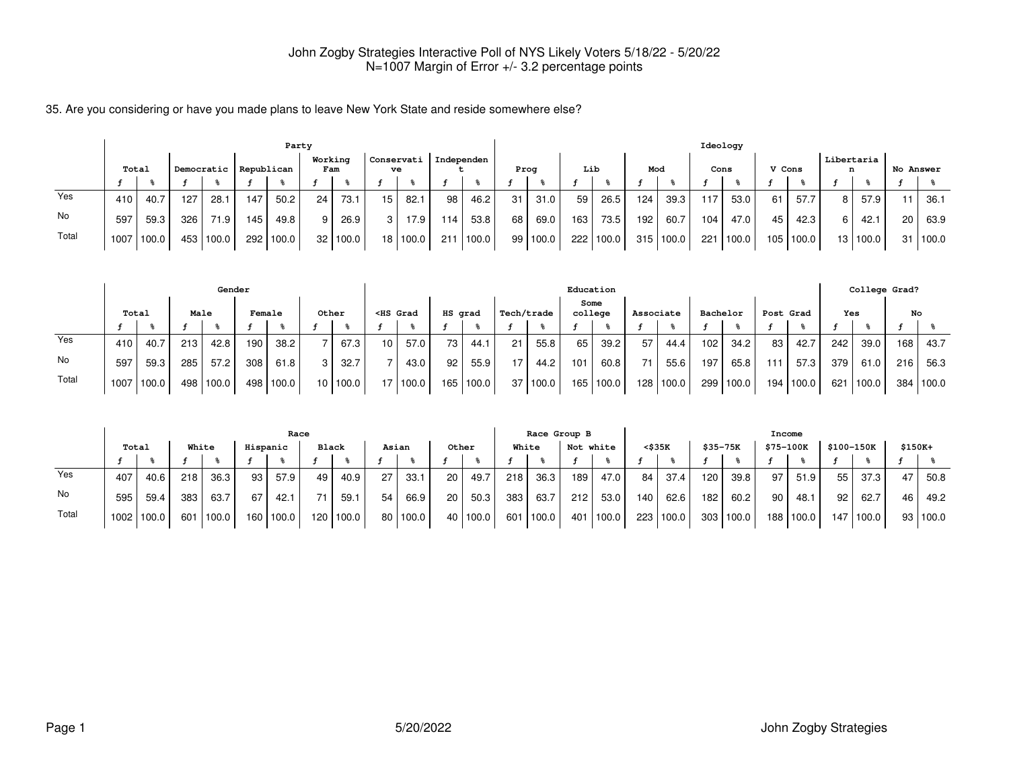35. Are you considering or have you made plans to leave New York State and reside somewhere else?

|       |       |                   |     |            |            | Party     |                |       |     |            |     |            |      |          |     |       |     |           | Ideology |       |        |       |     |            |           |       |
|-------|-------|-------------------|-----|------------|------------|-----------|----------------|-------|-----|------------|-----|------------|------|----------|-----|-------|-----|-----------|----------|-------|--------|-------|-----|------------|-----------|-------|
|       | Total |                   |     | Democratic | Republican |           | Working<br>Fam |       | ve  | Conservati |     | Independen | Prog |          | Lib |       | Mod |           |          | Cons  | V Cons |       | n   | Libertaria | No Answer |       |
|       |       |                   |     |            |            |           |                |       |     |            |     |            |      |          |     |       |     |           |          |       |        |       |     |            |           |       |
| Yes   | 410   | 40.7              | 127 | 28.1       | 147        | 50.2      | 24             | 73.1  | 15  | 82.1       | 98  | 46.2       | 31   | 31.0     | 59  | 26.5  | 124 | 39.3      | .17      | 53.0  | 61     | 57.7  | 8 I | 57.9       | 11        | 36.1  |
| No    | 597   | 59.3              | 326 | 71.9       | 145        | 49.8      | 9              | 26.9  | 3 I | 17.9       | 114 | 53.8       | 68   | 69.0     | 163 | 73.5  | 192 | 60.7      | 104      | 47.0  | 45     | 42.3  | 6 I | 42.1       | 20        | 63.9  |
| Total | 1007  | $^{\prime}$ 100.0 | 453 | 100.0      |            | 292 100.0 | 32             | 100.0 |     | 18   100.0 | 211 | 100.0      |      | 99 100.0 | 222 | 100.0 |     | 315 100.0 | 221      | 100.0 | 105    | 100.0 |     | 13   100.0 | 31        | 100.0 |

|       |       |            |      | Gender    |        |       |                 |       |                                                                                                                                                                                                                                                   |              |         |       |            |       |     | Education       |    |           |     |                   |     |           |                  |       | College Grad? |           |
|-------|-------|------------|------|-----------|--------|-------|-----------------|-------|---------------------------------------------------------------------------------------------------------------------------------------------------------------------------------------------------------------------------------------------------|--------------|---------|-------|------------|-------|-----|-----------------|----|-----------|-----|-------------------|-----|-----------|------------------|-------|---------------|-----------|
|       | Total |            | Male |           | Female |       | Other           |       | <hs grad<="" th=""><th></th><th>HS grad</th><th></th><th>Tech/trade</th><th></th><th></th><th>Some<br/>college</th><th></th><th>Associate</th><th></th><th>Bachelor</th><th></th><th>Post Grad</th><th>Yes</th><th></th><th>No</th><th></th></hs> |              | HS grad |       | Tech/trade |       |     | Some<br>college |    | Associate |     | Bachelor          |     | Post Grad | Yes              |       | No            |           |
|       |       |            |      |           |        |       |                 |       |                                                                                                                                                                                                                                                   |              |         |       |            |       |     |                 |    |           |     |                   |     |           |                  |       |               |           |
| Yes   | 410 ' | 40.7       | 213  | 42.8      | 190    | 38.2  |                 | 67.3  | 10 <sup>1</sup>                                                                                                                                                                                                                                   | 57.0         | 73      | 44.1  | 21         | 55.8  | 65  | 39.2            | 57 | 44.4      | 102 | 34.2 <sub>1</sub> | 83  | 42.7      | 242 <sub>1</sub> | 39.0  | 168 I         | 43.7      |
| No    | 597   | 59.3       | 285  | 57.2      | 308    | 61.8  |                 | 32.7  |                                                                                                                                                                                                                                                   | 43.0         | 92      | 55.9  |            | 44.2  | 101 | 60.8            |    | 55.6      | 197 | 65.8              | 111 | 57.3      | 379 <sub>1</sub> | 61.0  | 216           | 56.3      |
| Total |       | 1007 100.0 |      | 498 100.0 | 498    | 100.0 | 10 <sub>1</sub> | 100.0 |                                                                                                                                                                                                                                                   | $17$   100.0 | 165     | 100.0 | 37         | 100.0 |     | 165 100.0       |    | 128 100.0 |     | 299 100.0         | 194 | 100.0     | 621              | 100.0 |               | 384 100.0 |

|       |       |              |       |       |          | Race  |       |       |           |            |       |            |       | Race Group B |           |           |     |           |     |             | Income    |       |            |       |         |          |
|-------|-------|--------------|-------|-------|----------|-------|-------|-------|-----------|------------|-------|------------|-------|--------------|-----------|-----------|-----|-----------|-----|-------------|-----------|-------|------------|-------|---------|----------|
|       | Total |              | White |       | Hispanic |       | Black |       |           | Asian      | Other |            | White |              | Not white |           |     | <\$35K    |     | $$35 - 75K$ | \$75-100K |       | \$100-150K |       | \$150K+ |          |
|       |       |              |       |       |          |       |       |       |           |            |       |            |       |              |           |           |     |           |     |             |           |       |            |       |         |          |
| Yes   | 407   | 40.6         | 218   | 36.3  | 93       | 57.9  | 49    | 40.9  | 27 I      | 33.1       | 20    | 49.7       | 218   | 36.3         | 189       | 47.0      | 84  | 37.4      | 120 | 39.8        | 97        | 51.9  | 55         | 37.3  | 47      | 50.8     |
| No    | 595   | 59.4         | 383   | 63.7  | 67       | 42.1  | 71    | 59.1  | $54 \mid$ | 66.9       | 20    | 50.3       | 383   | 63.7         | 212       | 53.0      | 140 | 62.6      | 182 | 60.2        | 90        | 48.1  | 92         | 62.7  | 46      | 49.2     |
| Total |       | 1002   100.0 | 601   | 100.0 | 160      | 100.0 | 120   | 100.0 |           | 80   100.0 |       | 40   100.0 |       | 601 100.0    |           | 401 100.0 |     | 223 100.0 |     | 303 100.0   | 188       | 100.0 | 147        | 100.0 |         | 93 100.0 |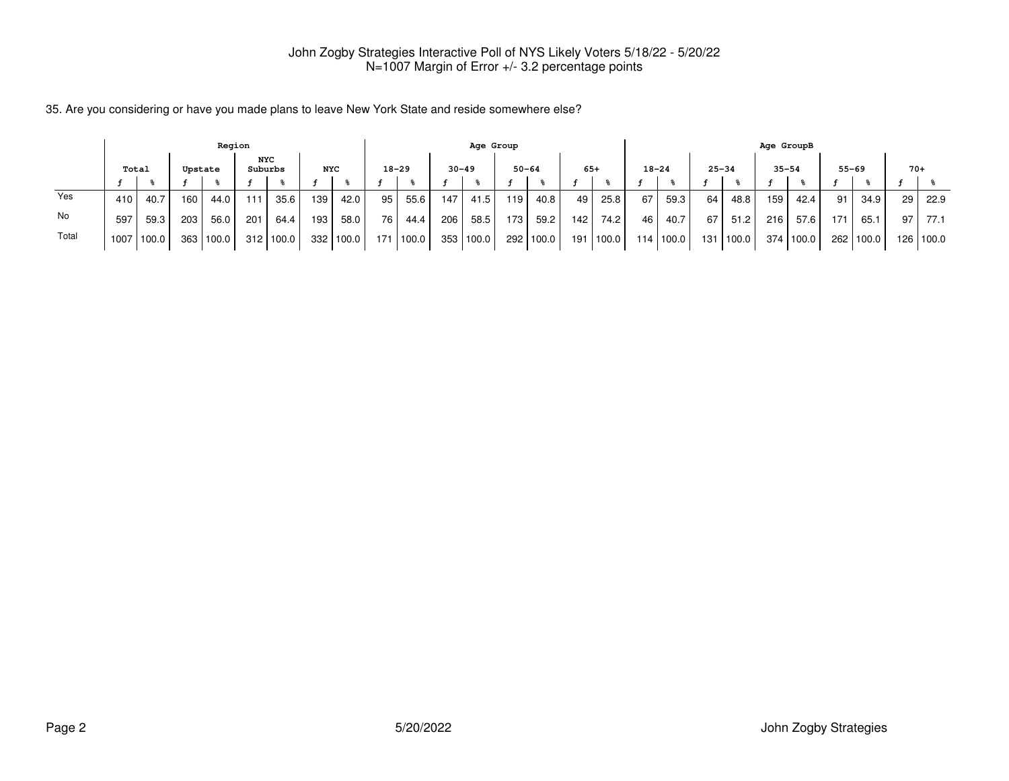| 35. Are you considering or have you made plans to leave New York State and reside somewhere else? |  |
|---------------------------------------------------------------------------------------------------|--|
|---------------------------------------------------------------------------------------------------|--|

|       |       |       |         | Region |         |       |            |           |     |           |           | Age Group |           |           |       |       |           |             |           |        | Age GroupB |       |                 |           |                 |           |
|-------|-------|-------|---------|--------|---------|-------|------------|-----------|-----|-----------|-----------|-----------|-----------|-----------|-------|-------|-----------|-------------|-----------|--------|------------|-------|-----------------|-----------|-----------------|-----------|
|       | Total |       | Upstate |        | Suburbs | NYC   | <b>NYC</b> |           |     | $18 - 29$ | $30 - 49$ |           | $50 - 64$ |           | $65+$ |       | $18 - 24$ |             | $25 - 34$ |        | $35 - 54$  |       |                 | $55 - 69$ | $70+$           |           |
|       |       |       |         |        |         |       |            |           |     |           |           |           |           |           |       |       |           |             |           |        |            |       |                 |           |                 |           |
| Yes   | 410   | 40.7  | 160     | 44.0   | 111     | 35.6  | 139        | 42.0      | 95  | 55.6      | 147       | 41.5      | 119       | 40.8      | 49    | 25.8  | 67        | 59.3        | 64        | 48.8   | 159        | 42.4  | 91              | 34.9      | 29 <sub>1</sub> | 22.9      |
| No    | 597   | 59.3  | 203     | 56.0   | 201     | 64.4  | 193        | 58.0      | 76  | 44.4      | 206       | 58.5      | 173       | 59.2      | 142   | 74.2  | 46        | 40.7        | 67        | 51.2   | 216        | 57.6  | 17 <sup>1</sup> | 65.1      | 97              | 77.1      |
| Total | 1007  | 100.0 | 363     | 100.0  | 312     | 100.0 |            | 332 100.0 | 171 | '100.0    | 353       | 100.0     |           | 292 100.0 | 191   | 100.0 |           | 114   100.0 | 131       | 1100.0 | 374        | 100.0 | 262             | 100.0     |                 | 126 100.0 |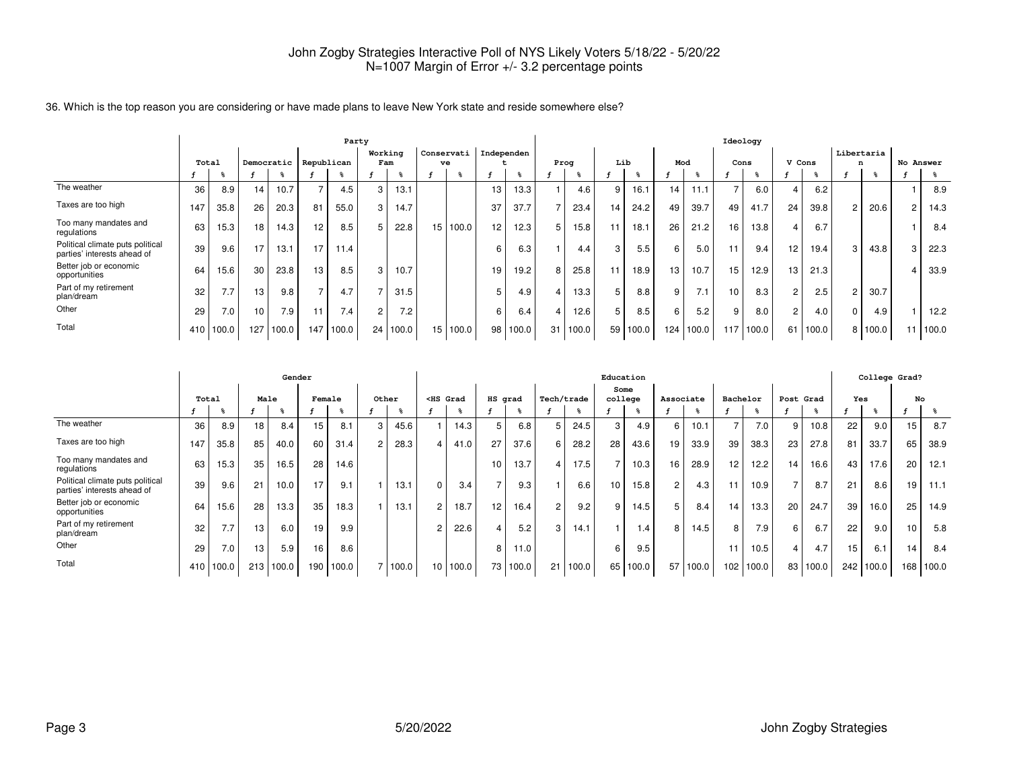36. Which is the top reason you are considering or have made plans to leave New York state and reside somewhere else?

|                                                                 |                  |       |                 |                       |                 | Party |         |          |            |                 |          |    |       |     |       |     |       | Ideology        |           |                       |       |                |         |           |
|-----------------------------------------------------------------|------------------|-------|-----------------|-----------------------|-----------------|-------|---------|----------|------------|-----------------|----------|----|-------|-----|-------|-----|-------|-----------------|-----------|-----------------------|-------|----------------|---------|-----------|
|                                                                 |                  |       |                 |                       |                 |       | Working |          | Conservati | Independen      |          |    |       |     |       |     |       |                 |           |                       |       | Libertaria     |         |           |
|                                                                 | Total            |       |                 | Democratic Republican |                 |       | Fam     |          | ve         |                 |          |    | Prog  | Lib |       | Mod |       | Cons            |           | V Cons                |       | n              |         | No Answer |
|                                                                 |                  |       |                 |                       |                 |       |         |          |            |                 |          |    |       |     |       |     |       |                 |           |                       |       |                |         |           |
| The weather                                                     | 36               | 8.9   | 14              | 10.7                  | $\rightarrow$   | 4.5   | 3       | 13.1     |            | 13              | 13.3     |    | 4.6   | 9   | 16.1  | 14  | 11.1  | $\overline{ }$  | 6.0       | 4                     | 6.2   |                |         | 8.9       |
| Taxes are too high                                              | 147              | 35.8  | 26 <sub>1</sub> | 20.3                  | 81              | 55.0  | 3       | 14.7     |            | 37              | 37.7     |    | 23.4  | 14  | 24.2  | 49  | 39.7  | 49              | 41.7      | 24                    | 39.8  | 2 <sub>1</sub> | 20.6    | 14.3      |
| Too many mandates and<br>regulations                            | 63               | 15.3  | 18              | 14.3                  | 12 <sup>2</sup> | 8.5   |         | 22.8     | 15 100.0   | 12 <sup>2</sup> | 12.3     | 5  | 15.8  | 11  | 18.1  | 26  | 21.2  | 16 <sub>1</sub> | 13.8      | 4                     | 6.7   |                |         | 8.4       |
| Political climate puts political<br>parties' interests ahead of | 39               | 9.6   | 17 <sub>1</sub> | 13.1                  | 17 <sub>1</sub> | 11.4  |         |          |            | 6               | 6.3      |    | 4.4   | 3   | 5.5   | 6   | 5.0   | 11              | 9.4       | 12                    | 19.4  | 3              | 43.8    | 22.3      |
| Better job or economic<br>opportunities                         | 64               | 15.6  | 30              | 23.8                  | 13              | 8.5   | 3       | 10.7     |            | 19              | 19.2     | 8  | 25.8  |     | 18.9  | 13  | 10.7  | 15              | 12.9      | 13                    | 21.3  |                |         | 33.9      |
| Part of my retirement<br>plan/dream                             | 32               | 7.7   | 13              | 9.8                   | $\rightarrow$   | 4.7   |         | 31.5     |            | 5               | 4.9      |    | 13.3  | 5   | 8.8   | 9   | 7.1   | 10              | 8.3       | $\mathbf{2}^{\prime}$ | 2.5   | $\overline{2}$ | 30.7    |           |
| Other                                                           | 29               | 7.0   | 10 <sup>1</sup> | 7.9                   | 11              | 7.4   |         | 7.2      |            | 6               | 6.4      |    | 12.6  | 5   | 8.5   | 6   | 5.2   | 9               | 8.0       | $\mathbf{2}^{\prime}$ | 4.0   | 0 <sub>1</sub> | 4.9     | 12.2      |
| Total                                                           | 410 <sup>1</sup> | 100.0 | 127             | 100.0                 | 147             | 100.0 |         | 24 100.0 | 15 100.0   |                 | 98 100.0 | 31 | 100.0 | 59  | 100.0 | 124 | 100.0 |                 | 117 100.0 | 61                    | 100.0 |                | 8 100.0 | 100.0     |

|                                                                 |       |       |      | Gender |        |       |               |         |           |                                                                                                                                                                                                                                          |         |          |                |            | Education       |       |                 |       |                 |       |           |       |     | College Grad? |     |       |
|-----------------------------------------------------------------|-------|-------|------|--------|--------|-------|---------------|---------|-----------|------------------------------------------------------------------------------------------------------------------------------------------------------------------------------------------------------------------------------------------|---------|----------|----------------|------------|-----------------|-------|-----------------|-------|-----------------|-------|-----------|-------|-----|---------------|-----|-------|
|                                                                 | Total |       | Male |        | Female |       | Other         |         |           | <hs grad<="" th=""><th>HS grad</th><th></th><th></th><th>Tech/trade</th><th>Some<br/>college</th><th></th><th>Associate</th><th></th><th>Bachelor</th><th></th><th>Post Grad</th><th></th><th>Yes</th><th></th><th>No</th><th></th></hs> | HS grad |          |                | Tech/trade | Some<br>college |       | Associate       |       | Bachelor        |       | Post Grad |       | Yes |               | No  |       |
|                                                                 |       |       |      |        |        |       |               |         |           |                                                                                                                                                                                                                                          |         |          |                |            |                 |       |                 |       |                 |       |           |       |     |               |     |       |
| The weather                                                     | 36    | 8.9   | 18   | 8.4    | 15     | 8.1   | 3             | 45.6    |           | 14.3                                                                                                                                                                                                                                     | 5       | 6.8      | 5              | 24.5       | 3               | 4.9   | 6               | 10.1  |                 | 7.0   | 9         | 10.8  | 22  | 9.0           | 15  | 8.7   |
| Taxes are too high                                              | 147   | 35.8  | 85   | 40.0   | 60     | 31.4  | $\mathcal{P}$ | 28.3    | $\vert$ 4 | 41.0                                                                                                                                                                                                                                     | 27      | 37.6     | 6              | 28.2       | 28              | 43.6  | 19 <sub>1</sub> | 33.9  | 39              | 38.3  | 23        | 27.8  | 81  | 33.7          | 65  | 38.9  |
| Too many mandates and<br>regulations                            | 63    | 15.3  | 35   | 16.5   | 28     | 14.6  |               |         |           |                                                                                                                                                                                                                                          | 10      | 13.7     |                | 17.5       | $\overline{ }$  | 10.3  | 16 <sub>1</sub> | 28.9  | 12 <sub>1</sub> | 12.2  | 14        | 16.6  | 43  | 17.6          | 20  | 12.1  |
| Political climate puts political<br>parties' interests ahead of | 39    | 9.6   | 21   | 10.0   | 17     | 9.1   |               | 13.1    | $\Omega$  | 3.4                                                                                                                                                                                                                                      |         | 9.3      |                | 6.6        | 10 <sub>1</sub> | 15.8  | $\overline{2}$  | 4.3   |                 | 10.9  |           | 8.7   | 21  | 8.6           | 19  | 11.1  |
| Better job or economic<br>opportunities                         | 64    | 15.6  | 28   | 13.3   | 35     | 18.3  |               | 13.1    | 2         | 18.7                                                                                                                                                                                                                                     | 12      | 16.4     | $\overline{2}$ | 9.2        | 9               | 14.5  | 5.              | 8.4   | 14              | 13.3  | 20        | 24.7  | 39  | 16.0          | 25  | 14.9  |
| Part of my retirement<br>plan/dream                             | 32    | 7.7   | 13   | 6.0    | 19     | 9.9   |               |         | 2         | 22.6                                                                                                                                                                                                                                     |         | 5.2      | 3              | 14.1       |                 | .4    | 8               | 14.5  | 8               | 7.9   | 6         | 6.7   | 22  | 9.0           | 10  | 5.8   |
| Other                                                           | 29    | 7.0   | 13   | 5.9    | 16     | 8.6   |               |         |           |                                                                                                                                                                                                                                          | 8       | 11.0     |                |            | 6               | 9.5   |                 |       |                 | 10.5  |           | 4.7   | 15  | 6.1           | 14  | 8.4   |
| Total                                                           | 410   | 100.0 | 213  | 100.0  | 190    | 100.0 |               | 7 100.0 |           | 10 100.0                                                                                                                                                                                                                                 |         | 73 100.0 | 21             | 100.0      | 65              | 100.0 | 57              | 100.0 | 102             | 100.0 | 83        | 100.0 | 242 | 100.0         | 168 | 100.0 |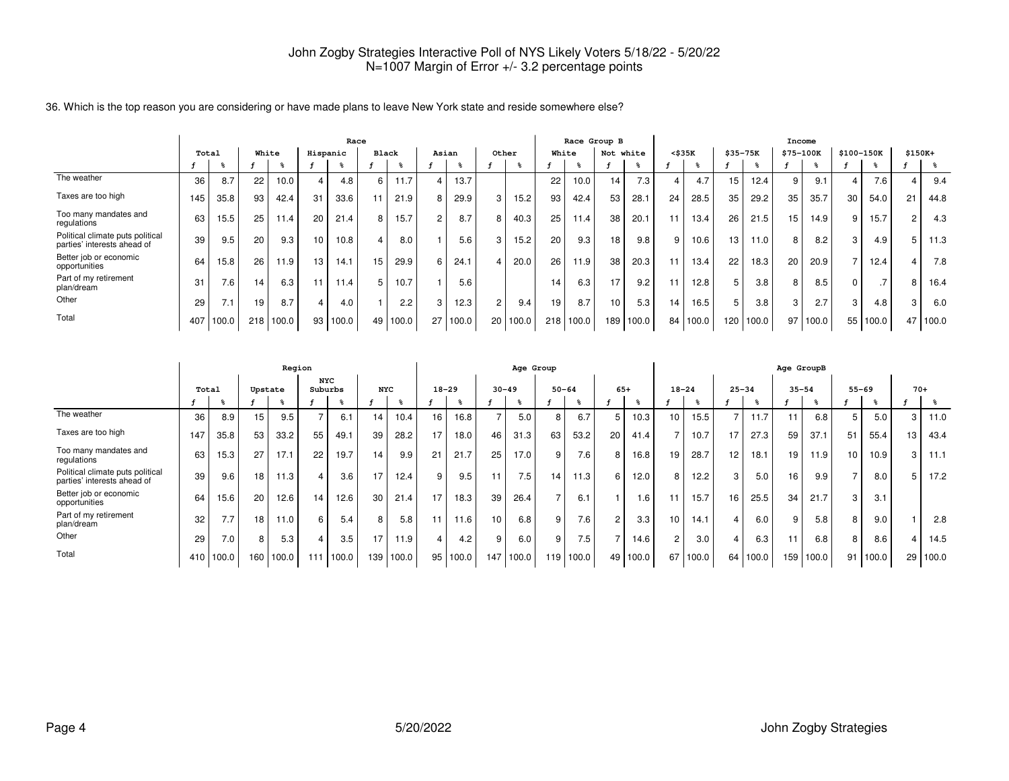|                                                                 |       |       |    |           |                | Race     |                |          |       |          |                |          |    | Race Group B  |                 |       |              |          |                  |           | Income          |       |            |               |         |       |
|-----------------------------------------------------------------|-------|-------|----|-----------|----------------|----------|----------------|----------|-------|----------|----------------|----------|----|---------------|-----------------|-------|--------------|----------|------------------|-----------|-----------------|-------|------------|---------------|---------|-------|
|                                                                 | Total |       |    | White     |                | Hispanic | Black          |          | Asian |          | Other          |          |    | White         | Not white       |       | $<$ \$35 $K$ |          | \$35-75K         |           | \$75-100K       |       | \$100-150K |               | \$150K+ |       |
|                                                                 |       |       |    |           |                |          |                |          |       |          |                |          |    |               |                 |       |              |          |                  |           |                 |       |            |               |         |       |
| The weather                                                     | 36    | 8.7   | 22 | 10.0      | $\overline{4}$ | 4.8      | 6              | 11.7     |       | 13.7     |                |          | 22 | 10.0          | 14              | 7.3   |              | 4.7      | 15 <sup>15</sup> | 12.4      | 9               | 9.1   |            | 7.6           |         | 9.4   |
| Taxes are too high                                              | 145   | 35.8  | 93 | 42.4      | 31             | 33.6     | 11             | 21.9     | 8     | 29.9     | 3 <sup>1</sup> | 15.2     | 93 | 42.4          | 53              | 28.1  | 24           | 28.5     | 35               | 29.2      | 35              | 35.7  | 30         | 54.0          | 21      | 44.8  |
| Too many mandates and<br>regulations                            | 63    | 15.5  | 25 | 11.4      | 20             | 21.4     | 8              | 15.7     |       | 8.7      | 8 <sup>1</sup> | 40.3     | 25 | 11.4          | 38              | 20.1  |              | 13.4     | 26               | 21.5      | 15 <sub>1</sub> | 14.9  | a          | 15.7          |         | 4.3   |
| Political climate puts political<br>parties' interests ahead of | 39    | 9.5   | 20 | 9.3       | 10             | 10.8     | $\overline{4}$ | 8.0      |       | 5.6      | 3              | 15.2     | 20 | 9.3           | 18              | 9.8   | 9            | 10.6     | 13               | 11.0      | 8               | 8.2   | 3          | 4.9           |         | 11.3  |
| Better job or economic<br>opportunities                         | 64    | 15.8  | 26 | 11.9      | 13             | 14.1     | 15             | 29.9     | 6     | 24.1     | $\overline{4}$ | 20.0     | 26 | 11.9          | 38              | 20.3  |              | 13.4     | 22               | 18.3      | 20              | 20.9  |            | 12.4          |         | 7.8   |
| Part of my retirement<br>plan/dream                             | 31    | 7.6   | 14 | 6.3       | 11             | 11.4     | 5              | 10.7     |       | 5.6      |                |          | 14 | 6.3           | 17              | 9.2   |              | 12.8     | 5 <sup>1</sup>   | 3.8       | 8               | 8.5   |            | $\rightarrow$ |         | 16.4  |
| Other                                                           | 29    | 7.1   | 19 | 8.7       | $\overline{4}$ | 4.0      |                | 2.2      | 3     | 12.3     | $\overline{2}$ | 9.4      | 19 | 8.7           | 10 <sup>1</sup> | 5.3   | 14           | 16.5     | 5                | 3.8       | 3               | 2.7   | 3          | 4.8           |         | 6.0   |
| Total                                                           | 407   | 100.0 |    | 218 100.0 |                | 93 100.0 |                | 49 100.0 |       | 27 100.0 |                | 20 100.0 |    | $218$   100.0 | 189             | 100.0 |              | 84 100.0 |                  | 120 100.0 | 97              | 100.0 | 55         | 100.0         | 47      | 100.0 |

36. Which is the top reason you are considering or have made plans to leave New York state and reside somewhere else?

|                                                                 |       |       |         | Region |                       |       |            |           |           |          |                 | Age Group |           |                  |                |       |                 |       |           |       | Age GroupB |       |                 |       |       |       |
|-----------------------------------------------------------------|-------|-------|---------|--------|-----------------------|-------|------------|-----------|-----------|----------|-----------------|-----------|-----------|------------------|----------------|-------|-----------------|-------|-----------|-------|------------|-------|-----------------|-------|-------|-------|
|                                                                 | Total |       | Upstate |        | <b>NYC</b><br>Suburbs |       | <b>NYC</b> |           | $18 - 29$ |          | $30 - 49$       |           | $50 - 64$ |                  | $65+$          |       | $18 - 24$       |       | $25 - 34$ |       | $35 - 54$  |       | $55 - 69$       |       | $70+$ |       |
|                                                                 |       |       |         |        |                       |       |            |           |           |          |                 |           |           |                  |                |       |                 |       |           |       |            |       |                 | ႜႜ    |       | ႜႜၟ   |
| The weather                                                     | 36    | 8.9   | 15      | 9.5    |                       | 6.1   | 14         | 10.4      | 16        | 16.8     |                 | 5.0       | 8         | 6.7              | 5              | 10.3  | 10              | 15.5  | -         | 11.7  |            | 6.8   | 5               | 5.0   | 3     | 11.0  |
| Taxes are too high                                              | 147   | 35.8  | 53      | 33.2   | 55                    | 49.1  | 39         | 28.2      |           | 18.0     | 46              | 31.3      | 63        | 53.2             | 20             | 41.4  | ⇁               | 10.7  | 17        | 27.3  | 59         | 37.1  | 51              | 55.4  | 13    | 43.4  |
| Too many mandates and<br>regulations                            | 63    | 15.3  | 27      | 17.1   | 22                    | 19.7  | 14         | 9.9       | 21        | 21.7     | 25              | 17.0      | 9         | 7.6              | 8              | 16.8  | 19              | 28.7  | 12        | 18.1  | 19         | 11.9  | 10 <sub>1</sub> | 10.9  | 3     | 11.1  |
| Political climate puts political<br>parties' interests ahead of | 39    | 9.6   | 18      | 11.3   |                       | 3.6   | 17         | 12.4      | 9         | 9.5      |                 | 7.5       | 14.       | 11.3             | 6              | 12.0  | 8               | 12.2  | 3         | 5.0   | 16         | 9.9   |                 | 8.0   | 5     | 17.2  |
| Better job or economic<br>opportunities                         | 64    | 15.6  | 20      | 12.6   | 14                    | 12.6  | 30         | 21.4      | 17        | 18.3     | 39              | 26.4      |           | 6.1              |                | .6    | $\mathbf{1}$    | 15.7  | 16        | 25.5  | 34         | 21.7  | 3               | 3.1   |       |       |
| Part of my retirement<br>plan/dream                             | 32    | 7.7   | 18      | 11.0   | 6                     | 5.4   | 8          | 5.8       |           | 11.6     | 10 <sup>1</sup> | 6.8       | 9         | 7.6 <sub>1</sub> | $\overline{2}$ | 3.3   | 10 <sub>1</sub> | 14.1  | 4         | 6.0   | 9          | 5.8   | 8               | 9.0   |       | 2.8   |
| Other                                                           | 29    | 7.0   | 8       | 5.3    |                       | 3.5   | 17         | 11.9      |           | 4.2      | 9               | 6.0       | 9         | 7.5              | 7              | 14.6  | 2 <sub>1</sub>  | 3.0   | 4         | 6.3   |            | 6.8   | 8               | 8.6   | 4     | 14.5  |
| Total                                                           | 410   | 100.0 | 160     | 100.0  | 111                   | 100.0 |            | 139 100.0 |           | 95 100.0 | 147             | 100.0     | 119       | 100.0            | 49             | 100.0 | 67              | 100.0 | 64        | 100.0 | 159        | 100.0 | 91              | 100.0 | 29    | 100.0 |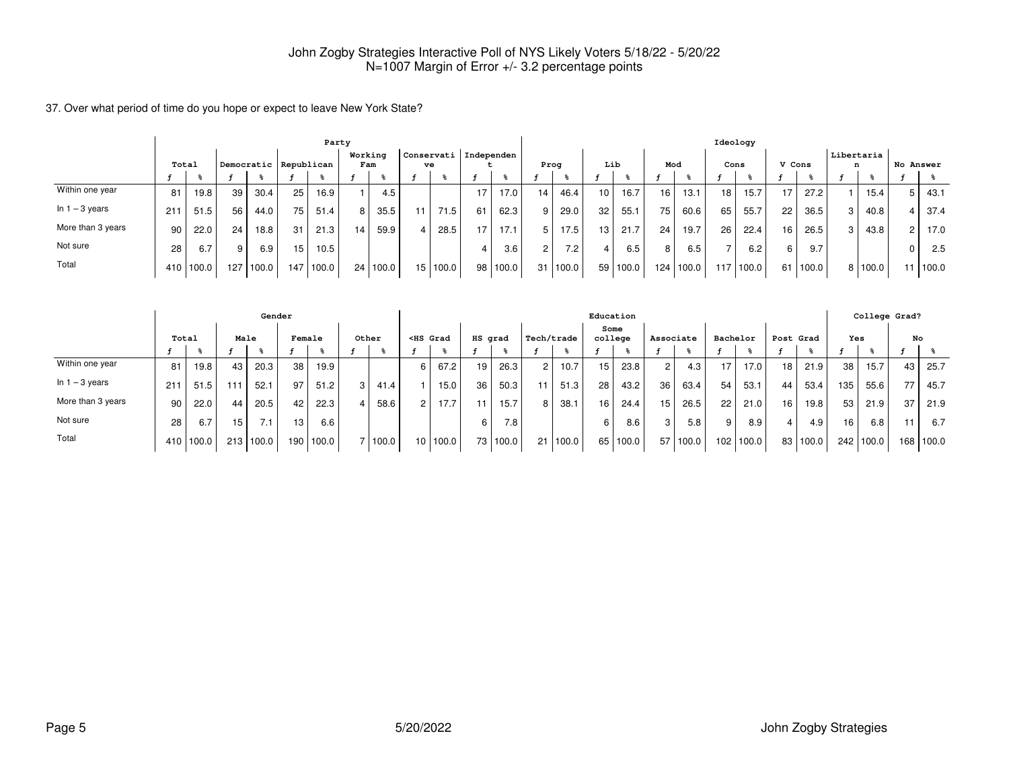37. Over what period of time do you hope or expect to leave New York State?

|                   |       |       |     |                       |     | Party |                |          |     |                  |            |          |                 |       |                 |          |                 |           | Ideology |           |        |       |                 |         |           |       |
|-------------------|-------|-------|-----|-----------------------|-----|-------|----------------|----------|-----|------------------|------------|----------|-----------------|-------|-----------------|----------|-----------------|-----------|----------|-----------|--------|-------|-----------------|---------|-----------|-------|
|                   | Total |       |     | Democratic Republican |     |       | Working<br>Fam |          |     | Conservati<br>ve | Independen |          |                 | Prog  | Lib             |          | Mod             |           | Cons     |           | V Cons |       | Libertaria<br>n |         | No Answer |       |
|                   |       |       |     |                       |     |       |                |          |     |                  |            |          |                 |       |                 |          |                 |           |          |           |        |       |                 |         |           |       |
| Within one year   | 81    | 19.8  | 39  | 30.4                  | 25  | 16.9  |                | 4.5      |     |                  |            | 17.0     | 14 <sub>1</sub> | 46.4  | 10 <sub>1</sub> | 16.7     | 16              | 13.1      | 18       | 15.7      | 17     | 27.2  |                 | 15.4    |           | 43.1  |
| In $1 - 3$ years  | 211   | 51.5  | 56  | 44.0                  | 75  | 51.4  | 8              | 35.5     | 11. | 71.5             | 61         | 62.3     | 9 <sub>1</sub>  | 29.0  | 32              | 55.1     | 75 <sub>1</sub> | 60.6      | 65       | 55.7      | 22     | 36.5  | 3               | 40.8    |           | 37.4  |
| More than 3 years | 90    | 22.0  | 24  | 18.8                  | 31  | 21.3  | 14             | 59.9     |     | 28.5             | 17         | 17.1     | 5 <sup>1</sup>  | 17.5  | 13 <sub>1</sub> | 21.7     | 24              | 19.7      | 26       | 22.4      | 16     | 26.5  | 3               | 43.8    |           | 17.0  |
| Not sure          | 28    | 6.7   | 9.  | 6.9                   | 15  | 10.5  |                |          |     |                  |            | 3.6      | $\overline{2}$  | 7.2   |                 | 6.5      | 8               | 6.5       |          | 6.2       | 6      | 9.7   |                 |         |           | 2.5   |
| Total             | 410 l | 100.0 | 127 | 100.0                 | 147 | 100.0 |                | 24 100.0 |     | 15 100.0         |            | 98 100.0 | 31 <sup>1</sup> | 100.0 |                 | 59 100.0 |                 | 124 100.0 |          | 117 100.0 | 61     | 100.0 |                 | 8 100.0 | 11        | 100.0 |

|                   |       |           |                 | Gender |        |       |       |   |                                                                                                                                                                                                                                          |         |            |                |          | Education       |          |                |       |          |                   |           |       |     | College Grad?    |     |       |
|-------------------|-------|-----------|-----------------|--------|--------|-------|-------|---|------------------------------------------------------------------------------------------------------------------------------------------------------------------------------------------------------------------------------------------|---------|------------|----------------|----------|-----------------|----------|----------------|-------|----------|-------------------|-----------|-------|-----|------------------|-----|-------|
|                   | Total |           | Male            |        | Female |       | Other |   | <hs grad<="" th=""><th>HS grad</th><th></th><th>Tech/trade</th><th></th><th>Some<br/>college</th><th></th><th>Associate</th><th></th><th>Bachelor</th><th></th><th>Post Grad</th><th></th><th>Yes</th><th></th><th>No</th><th></th></hs> | HS grad |            | Tech/trade     |          | Some<br>college |          | Associate      |       | Bachelor |                   | Post Grad |       | Yes |                  | No  |       |
|                   |       |           |                 |        |        |       |       |   |                                                                                                                                                                                                                                          |         |            |                |          |                 |          |                |       |          |                   |           |       |     |                  |     |       |
| Within one year   | 81    | 19.8      | 43              | 20.3   | 38     | 19.9  |       | 6 | 67.2                                                                                                                                                                                                                                     | 19      | 26.3       | 2 <sup>1</sup> | 10.7     | 15 <sup>1</sup> | 23.8     | $\overline{2}$ | 4.3   | 17       | 17.0 <sub>1</sub> | 18        | 21.9  | 38  | 15.7             | 43  | 25.7  |
| In $1 - 3$ years  | 211   | 51.5      | 11 <sup>1</sup> | 52.1   | 97     | 51.2  | 41.4  |   | 15.0                                                                                                                                                                                                                                     | 36      | 50.3       |                | 51.3     | 28              | 43.2     | 36             | 63.4  | 54       | 53.1              | 44        | 53.4  | 135 | 55.6             | 77  | 45.7  |
| More than 3 years | 90    | 22.0      | 44              | 20.5   | 42     | 22.3  | 58.6  |   | 17.7                                                                                                                                                                                                                                     |         | 15.7       | 8              | 38.1     | 16              | 24.4     | 15             | 26.5  | 22       | 21.0              | 16        | 19.8  | 53  | 21.9             | 37  | 21.9  |
| Not sure          | 28    | 6.7       | 15              |        | 13     | 6.6   |       |   |                                                                                                                                                                                                                                          | 6       | 7.8        |                |          | 6               | 8.6      | 3              | 5.8   | 9        | 8.9 <sub>1</sub>  | 4         | 4.9   | 16. | 6.8 <sub>1</sub> |     | 6.7   |
| Total             |       | 410 100.0 | 213             | 100.0  | 190    | 100.0 | 100.0 |   | 10 100.0                                                                                                                                                                                                                                 |         | 73   100.0 |                | 21 100.0 |                 | 65 100.0 | 57             | 100.0 |          | 102 100.0         | 83        | 100.0 | 242 | 100.0            | 168 | 100.0 |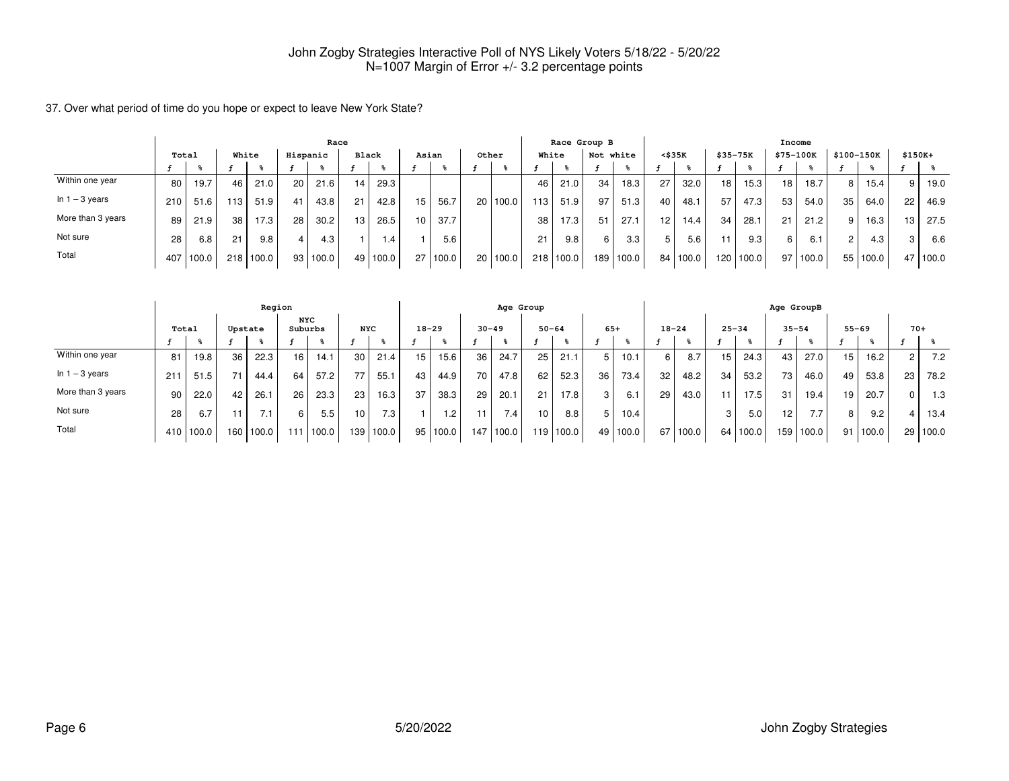37. Over what period of time do you hope or expect to leave New York State?

|                   |       |       |       |       |          | Race  |              |       |                 |          |       |          |                  |                   | Race Group B |       |                 |                   |          |           | Income    |       |            |       |          |       |
|-------------------|-------|-------|-------|-------|----------|-------|--------------|-------|-----------------|----------|-------|----------|------------------|-------------------|--------------|-------|-----------------|-------------------|----------|-----------|-----------|-------|------------|-------|----------|-------|
|                   | Total |       | White |       | Hispanic |       | <b>Black</b> |       | Asian           |          | Other |          |                  | White             | Not white    |       | $<$ \$35 $K$    |                   | \$35-75K |           | \$75-100K |       | \$100-150K |       | $$150K+$ |       |
|                   |       |       |       |       |          |       |              |       |                 |          |       |          |                  |                   |              |       |                 |                   |          |           |           |       |            |       |          |       |
| Within one year   | 80    | 19.7  | 46    | 21.0  | 20       | 21.6  | 14.          | 29.3  |                 |          |       |          | 46               | 21.0              | 34           | 18.3  | 27              | 32.0              | 18       | 15.3      | 18        | 18.7  | 8          | 15.4  | 9        | 19.0  |
| In $1 - 3$ years  | 210   | 51.6  | '13   | 51.9  | 41       | 43.8  | 21           | 42.8  | 15              | 56.7     |       | 20 100.0 | 113 <sup>1</sup> | 51.9              | 97           | 51.3  | 40              | 48.1              | 57       | 47.3      | 53        | 54.0  | 35         | 64.0  | 22       | 46.9  |
| More than 3 years | 89    | 21.9  | 38    | 17.3  | 28       | 30.2  | 13.          | 26.5  | 10 <sub>1</sub> | 37.7     |       |          | 38 <sub>1</sub>  | 17.3 <sub>1</sub> | 51           | 27.1  | 12 <sup>°</sup> | 14.4 <sub>1</sub> | 34       | 28.1      | 21        | 21.2  | 9          | 16.3  | 13       | 27.5  |
| Not sure          | 28    | 6.8   | 21    | 9.8   |          | 4.3'  |              | 1.4   |                 | 5.6      |       |          | 21               | 9.8               | 6            | 3.3   | 5               | 5.6               | 11       | 9.3       | 6         | 6.1   | 2          | 4.3   | 3        | 6.6   |
| Total             | 407   | 100.0 | 218   | 100.0 | 93       | 100.0 | 49           | 100.0 |                 | 27 100.0 |       | 20 100.0 |                  | 218 100.0         | 189          | 100.0 | 84 l            | 100.0             |          | 120 100.0 | 97        | 100.0 | 55         | 100.0 | 47       | 100.0 |

|                   |       |       |                  | Region  |                       |         |            |                  |           |                |     | Age Group |                 |           |                 |          |           |       |           |       | Age GroupB      |       |                |                   |                |        |
|-------------------|-------|-------|------------------|---------|-----------------------|---------|------------|------------------|-----------|----------------|-----|-----------|-----------------|-----------|-----------------|----------|-----------|-------|-----------|-------|-----------------|-------|----------------|-------------------|----------------|--------|
|                   | Total |       |                  | Upstate | <b>NYC</b><br>Suburbs |         | <b>NYC</b> |                  | $18 - 29$ |                |     | $30 - 49$ | $50 - 64$       |           | $65+$           |          | $18 - 24$ |       | $25 - 34$ |       | $35 - 54$       |       | $55 - 69$      |                   | $70+$          |        |
|                   |       |       |                  |         |                       |         |            |                  |           |                |     |           |                 |           |                 |          |           |       |           |       |                 |       |                |                   |                |        |
| Within one year   | 81    | 19.8  | 36               | 22.3    | 16 <sub>1</sub>       | 14.1    | 30         | 21.4             | 15        | 15.6           | 36  | 24.7      | 25 <sub>1</sub> | 21.1      | 5 I             | 10.1     | 6         | 8.7   | 15        | 24.3  | 43              | 27.0  | 15             | 16.2 <sub>1</sub> | 2 <sup>1</sup> | 7.2    |
| In $1 - 3$ years  | 211   | 51.5  | 71               | 44.4    | 64                    | 57.2    |            | 55.7             | 43        | 44.9           | 70  | 47.8      | 62              | 52.3      | 36 <sub>1</sub> | 73.4     | 32        | 48.2  | 34        | 53.2  | 73              | 46.0  | 49             | 53.8              | 23             | 78.2   |
| More than 3 years | 90    | 22.0  | 42               | 26.1    | 26                    | 23.3    | 23         | 16.3             | 37        | 38.3           | 29  | 20.1      | 21              | 17.8      | 3 <sup>1</sup>  | 6.1      | 29        | 43.0  | 11        | 17.5  | 31              | 19.4  | 19             | 20.7              | 0 L            | 1.3    |
| Not sure          | 28    | 6.7   |                  |         | 6                     | $5.5\,$ | 10         | 7.3 <sub>1</sub> |           | $\overline{2}$ | 11  | 7.4       | 10 <sup>1</sup> | 8.8       | 5 I             | 10.4     |           |       | 3         | 5.0   | 12 <sup>2</sup> | 7.7   | 8 <sub>1</sub> | 9.2               |                | 4 13.4 |
| Total             | 410 l | 100.0 | 160 <sub>1</sub> | 100.0   | 111                   | 100.0   | 139        | 100.0            |           | 95 100.0       | 147 | 100.0     |                 | 119 100.0 |                 | 49 100.0 | 67        | 100.0 | 64 I      | 100.0 | 159             | 100.0 | 91             | 100.0             | 29             | 100.0  |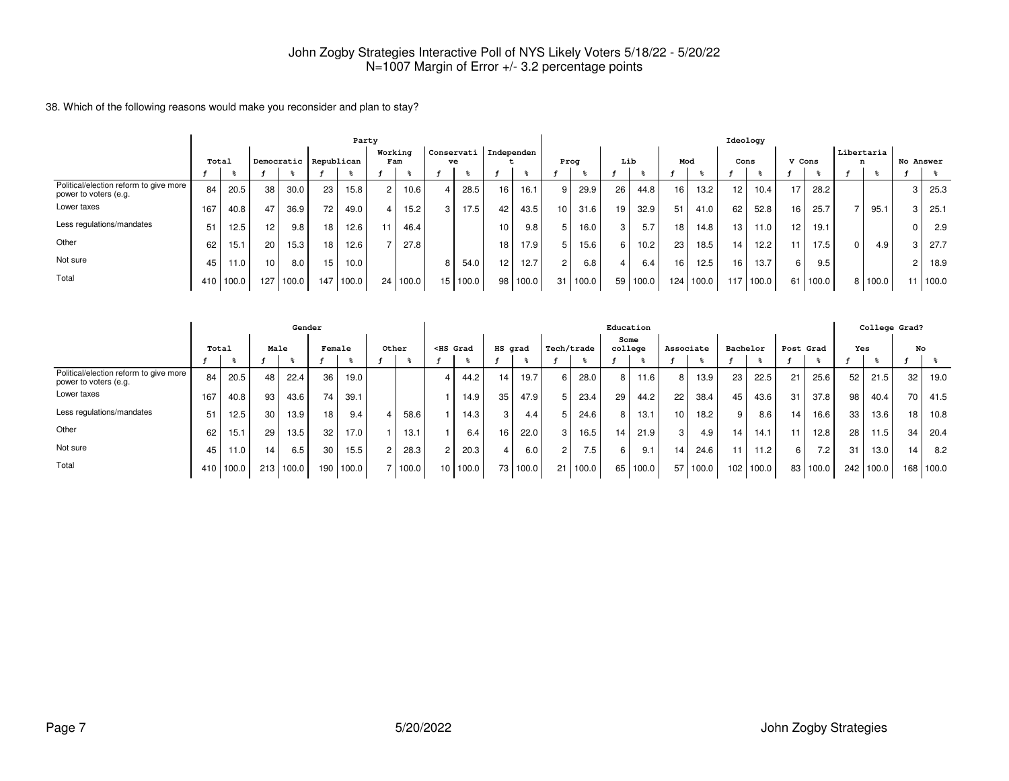#### 38. Which of the following reasons would make you reconsider and plan to stay?

|                                                                 |     |           |     |                       |    | Party     |         |       |    |                       |     |       |                 |       |     |       |                 |           | Ideology        |           |                 |       |   |            |           |       |
|-----------------------------------------------------------------|-----|-----------|-----|-----------------------|----|-----------|---------|-------|----|-----------------------|-----|-------|-----------------|-------|-----|-------|-----------------|-----------|-----------------|-----------|-----------------|-------|---|------------|-----------|-------|
|                                                                 |     |           |     |                       |    |           | Working |       |    | Conservati Independen |     |       |                 |       | Lib |       | Mod             |           |                 |           |                 |       |   | Libertaria | No Answer |       |
|                                                                 |     | Total     |     | Democratic Republican |    |           | Fam     |       |    | ve                    |     |       | Prog            |       |     |       |                 |           | Cons            |           | V Cons          |       | n |            |           |       |
| Political/election reform to give more<br>power to voters (e.g. | 84  | 20.5      | 38  | 30.0                  | 23 | 15.8      | 2       | 10.6  | 4  | 28.5                  | 16  | 16.1  | 9               | 29.9  | 26  | 44.8  | 16              | 13.2      | 12 <sub>1</sub> | 10.4      | 17              | 28.2  |   |            |           | 25.3  |
| Lower taxes                                                     | 167 | 40.8      | 47  | 36.9                  | 72 | 49.0      |         | 15.2  | 3  | 17.5                  | 42  | 43.5  | 10 <sub>1</sub> | 31.6  | 19  | 32.9  | 51              | 41.0      | 62              | 52.8      | 16              | 25.7  |   | 95.1       |           | 25.1  |
| Less regulations/mandates                                       | 51  | 12.5      | 12  | 9.8                   | 18 | 12.6      |         | 46.4  |    |                       | 10  | 9.8   |                 | 16.0  | 3   | 5.7   | 18              | 14.8      | 13 <sup>1</sup> | 11.0      | 12 <sup>2</sup> | 19.1  |   |            |           | 2.9   |
| Other                                                           | 62  | 15.1      | 20  | 15.3                  | 18 | 12.6      |         | 27.8  |    |                       | 18  | 17.9  |                 | 15.6  | 6   | 10.2  | 23 <sub>1</sub> | 18.5      | 141             | 12.2      |                 | 17.5  | 0 | 4.9        |           | 27.7  |
| Not sure                                                        | 45  | 11.0      | 10  | 8.0                   | 15 | 10.0      |         |       | 8  | 54.0                  | 12. | 12.7  | 2 <sub>1</sub>  | 6.8   | 4   | 6.4   | 16              | 12.5      | 16 <sup>1</sup> | 13.7      | 6               | 9.5   |   |            |           | 18.9  |
| Total                                                           |     | 410 100.0 | 127 | 100.0                 |    | 147 100.0 | 24      | 100.0 | 15 | 100.0                 | 98  | 100.0 | 31              | 100.0 | 59  | 100.0 |                 | 124 100.0 |                 | 117 100.0 | 61              | 100.0 |   | 8 100.0    |           | 100.0 |

|                                                                   |       |       |                 | Gender |        |       |       |    |                                                                                                                                                                                                                                          |         |       |                |       | Education       |       |                 |       |                  |          |                 |       |                 |       | College Grad? |       |
|-------------------------------------------------------------------|-------|-------|-----------------|--------|--------|-------|-------|----|------------------------------------------------------------------------------------------------------------------------------------------------------------------------------------------------------------------------------------------|---------|-------|----------------|-------|-----------------|-------|-----------------|-------|------------------|----------|-----------------|-------|-----------------|-------|---------------|-------|
|                                                                   | Total |       | Male            |        | Female |       | Other |    | <hs grad<="" th=""><th>HS grad</th><th></th><th>Tech/trade</th><th></th><th>Some<br/>college</th><th></th><th>Associate</th><th></th><th></th><th>Bachelor</th><th>Post Grad</th><th></th><th>Yes</th><th></th><th>No</th><th></th></hs> | HS grad |       | Tech/trade     |       | Some<br>college |       | Associate       |       |                  | Bachelor | Post Grad       |       | Yes             |       | No            |       |
|                                                                   |       |       |                 |        |        |       |       |    |                                                                                                                                                                                                                                          |         |       |                |       |                 |       |                 |       |                  |          |                 |       |                 |       |               |       |
| Political/election reform to give more  <br>power to voters (e.g. | 84    | 20.5  | 48              | 22.4   | 36     | 19.0  |       |    | 44.2                                                                                                                                                                                                                                     | 14      | 19.7  | 6              | 28.0  | 8               | 11.6  |                 | 13.9  | 23 <sub>1</sub>  | 22.5     | 21              | 25.6  | 52              | 21.5  | 32            | 19.0  |
| Lower taxes                                                       | 167   | 40.8  | 93              | 43.6   | 74     | 39.1  |       |    | 14.9                                                                                                                                                                                                                                     | 35      | 47.9  | 5              | 23.4  | 29              | 44.2  | 22              | 38.4  | 45               | 43.6     | 31              | 37.8  | 98              | 40.4  | 70            | 41.5  |
| Less regulations/mandates                                         | 51    | 12.5  | 30              | 13.9   | 18     | 9.4   | 58.6  |    | 14.3                                                                                                                                                                                                                                     | 3       | 4.4   |                | 24.6  | 8               | 13.1  | 10 <sup>1</sup> | 18.2  | 9                | 8.6      | 14 <sub>1</sub> | 16.6  | 33              | 13.6  | 18            | 10.8  |
| Other                                                             | 62    | 15.1  | 29 <sub>1</sub> | 13.5   | 32     | 17.0  | 13.1  |    | 6.4                                                                                                                                                                                                                                      | 16      | 22.0  | 3              | 16.5  | 14              | 21.9  | 3               | 4.9   | 14               | 14.1     | 11.             | 12.8  | 28 <sub>1</sub> | 11.5  | 34            | 20.4  |
| Not sure                                                          | 45    | 11.0  | 14              | 6.5    | 30     | 15.5  | 28.3  |    | 20.3                                                                                                                                                                                                                                     |         | 6.0   | $\overline{2}$ | 7.5.  | 6               | 9.1   | 14              | 24.6  | 11.              | 11.2     | $6 \mid$        | 7.2   | 31              | 13.0  | 14.           | 8.2   |
| Total                                                             | 410 l | 100.0 | 213             | 100.0  | 190    | 100.0 | 100.0 | 10 | 100.0                                                                                                                                                                                                                                    | 73      | 100.0 | 21             | 100.0 | 65              | 100.0 | 57              | 100.0 | 102 <sub>1</sub> | 100.0    | 83              | 100.0 | 242             | 100.0 | 168           | 100.0 |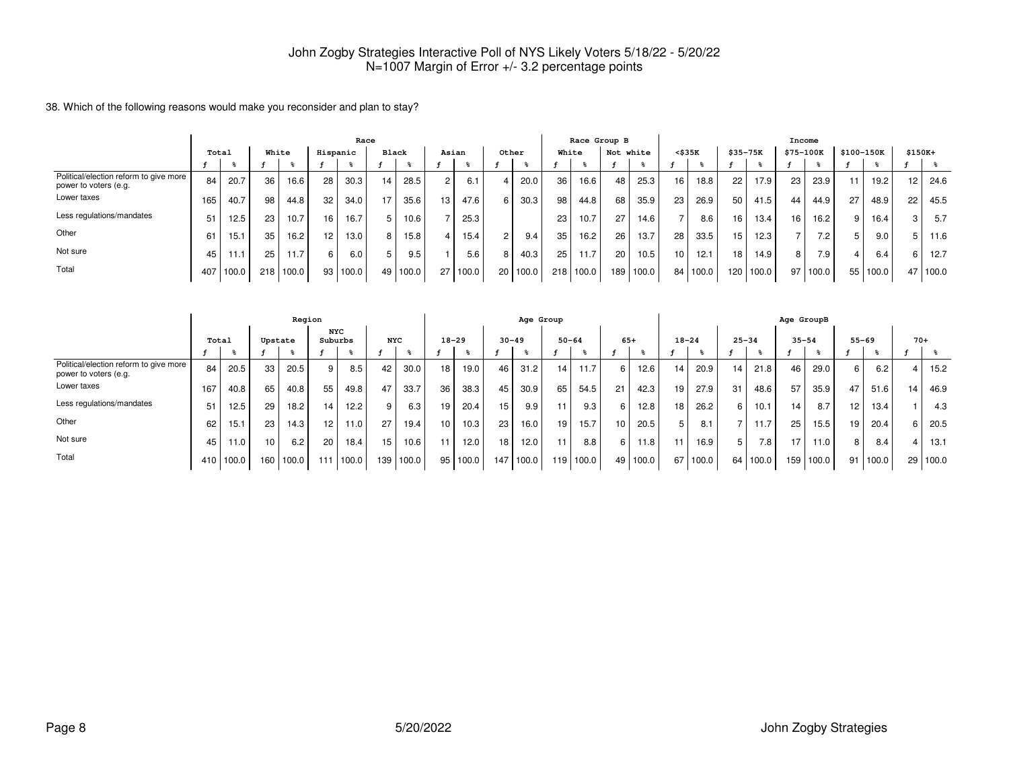38. Which of the following reasons would make you reconsider and plan to stay?

|                                                                   | Race  |       |       |       |                 |          |              |                  |     |        |    |       |       | Race Group B |           |       |                 |       |                 |           | Income          |       |    |                   |         |       |
|-------------------------------------------------------------------|-------|-------|-------|-------|-----------------|----------|--------------|------------------|-----|--------|----|-------|-------|--------------|-----------|-------|-----------------|-------|-----------------|-----------|-----------------|-------|----|-------------------|---------|-------|
|                                                                   | Total |       | White |       | Hispanic        |          | <b>Black</b> |                  |     | Asian  |    | Other | White |              | Not white |       | $<$ \$35 $K$    |       |                 | \$35-75K  | \$75-100K       |       |    | \$100-150K        | \$150K+ |       |
|                                                                   |       |       |       |       |                 |          |              |                  |     |        |    |       |       |              |           |       |                 |       |                 |           |                 |       |    |                   |         |       |
| Political/election reform to give more '<br>power to voters (e.g. | 84    | 20.7  | 36    | 16.6  | 28              | 30.3     | 14           | 28.5             |     | 6.1    |    | 20.0  | 36    | 16.6         | 48        | 25.3  | 16              | 18.8  | 22 <sub>1</sub> | 17.9      | 23              | 23.9  | 11 | 19.2 <sub>1</sub> | 12      | 24.6  |
| Lower taxes                                                       | 165   | 40.7  | 98    | 44.8  | 32              | 34.0     |              | 35.6             | 13. | 47.6   |    | 30.3  | 98    | 44.8         | 68        | 35.9  | 23 <sub>1</sub> | 26.9  | 50              | 41.5      | 44              | 44.9  | 27 | 48.9              | 22      | 45.5  |
| Less regulations/mandates                                         | 51    | 12.5  | 23    | 10.7  | 16              | 16.7     |              | 10.6             |     | 25.3   |    |       | 23    | 10.7         | 27        | 14.6  | $\rightarrow$   | 8.6   | 16              | 13.4      | 16 <sub>1</sub> | 16.2  | 9  | 16.4              |         | 5.7   |
| Other                                                             | 61    | 15.1  | 35    | 16.2  | 12 <sub>1</sub> | 13.0     | 8 I          | 15.8             |     | 15.4   |    | 9.4   | 35    | 16.2         | 26        | 13.7  | 28              | 33.5  | 15              | 12.3      |                 | 7.2   | 5  | 9.0               |         | 11.6  |
| Not sure                                                          | 45    |       | 25    | 11.7  | 6               | 6.0      |              | 9.5 <sub>1</sub> |     | 5.6    |    | 40.3  | 25    | 11.7         | 20        | 10.5  | 10 <sup>1</sup> | 12.1  | 18 <sup>1</sup> | 14.9      | 8               | 7.9   | 4  | 6.4               |         | 12.7  |
| Total                                                             | 407 l | 100.0 | 218   | 100.0 |                 | 93 100.0 |              | 49 100.0         | 27  | 1100.0 | 20 | 100.0 | 218   | 100.0        | 189       | 100.0 | 84 I            | 100.0 |                 | 120 100.0 | 97              | 100.0 |    | 55 100.0          | 47      | 100.0 |

|                                                                   |       |           |                  | Region |                       |       |            |       |    |           |     | Age Group |           |                  |       |       |           |       |                 |                  | Age GroupB |       |           |       |       |       |
|-------------------------------------------------------------------|-------|-----------|------------------|--------|-----------------------|-------|------------|-------|----|-----------|-----|-----------|-----------|------------------|-------|-------|-----------|-------|-----------------|------------------|------------|-------|-----------|-------|-------|-------|
|                                                                   | Total |           | Upstate          |        | <b>NYC</b><br>Suburbs |       | <b>NYC</b> |       |    | $18 - 29$ |     | $30 - 49$ | $50 - 64$ |                  | $65+$ |       | $18 - 24$ |       | $25 - 34$       |                  | $35 - 54$  |       | $55 - 69$ |       | $70+$ |       |
|                                                                   |       |           |                  |        |                       |       |            |       |    |           |     |           |           |                  |       |       |           |       |                 |                  |            |       |           |       |       |       |
| Political/election reform to give more  <br>power to voters (e.g. | 84    | 20.5      | 33               | 20.5   | 9                     | 8.5   | 42         | 30.0  | 18 | 19.0      | 46  | 31.2      | 14        | 11.7             | 6     | 12.6  | 14        | 20.9  | 14 <sub>1</sub> | 21.8             | 46         | 29.0  | 6         | 6.2   |       | 15.2  |
| Lower taxes                                                       | 167   | 40.8      | 65               | 40.8   | 55                    | 49.8  | 47         | 33.7  | 36 | 38.3      | 45  | 30.9      | 65        | 54.5             | 21    | 42.3  | 19        | 27.9  | 31              | 48.6             | 57         | 35.9  | 47        | 51.6  | 14    | 46.9  |
| Less regulations/mandates                                         | 51    | 12.5      | 29               | 18.2   | 14                    | 12.2  | 9          | 6.3   | 19 | 20.4      | 15  | 9.9       | 11        | 9.3 <sub>1</sub> | 6     | 12.8  | 18        | 26.2  | 6 I             | 10.1             | 14         | 8.7   | 12        | 13.4  |       | 4.3   |
| Other                                                             | 62    | 15.1      | 23               | 14.3   | 12 <sup>°</sup>       | 11.0  | 27         | 19.4  | 10 | 10.3      | 23  | 16.0      | 19        | 15.7             | 10    | 20.5  | 5         | 8.1   |                 | 11.7             | 25         | 15.5  | 19        | 20.4  |       | 20.5  |
| Not sure                                                          | 45    | 11.0      | 10 <sup>10</sup> | 6.2    | 20                    | 18.4  | 15         | 10.6  |    | 12.0      | 18  | 12.0      | 11        | 8.8              | 6     | 11.8  |           | 16.9  | 5               | 7.8 <sub>1</sub> | 17         | 11.0  | 8         | 8.4   |       | 13.1  |
| Total                                                             |       | 410 100.0 | 160              | 100.0  | 111                   | 100.0 | 139        | 100.0 | 95 | 100.0     | 147 | 100.0     |           | 119 100.0        | 49 l  | 100.0 | 67        | 100.0 |                 | 64 100.0         | 159        | 100.0 | 91        | 100.0 | 29    | 100.0 |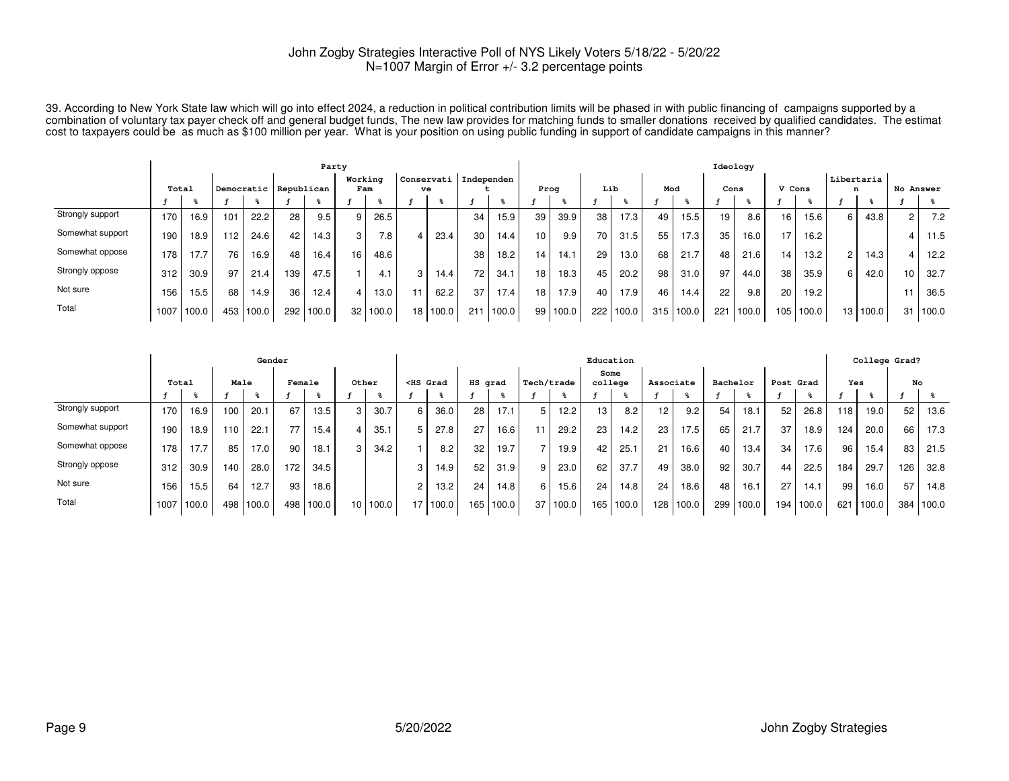39. According to New York State law which will go into effect 2024, a reduction in political contribution limits will be phased in with public financing of campaigns supported by a<br>combination of voluntary tax payer check

|                  |       |       |       |            |            | Party |                |                  |          |                         |       |                 |          |     |       |     |           | Ideology |       |                  |       |                 |       |                |       |
|------------------|-------|-------|-------|------------|------------|-------|----------------|------------------|----------|-------------------------|-------|-----------------|----------|-----|-------|-----|-----------|----------|-------|------------------|-------|-----------------|-------|----------------|-------|
|                  | Total |       |       | Democratic | Republican |       | Working<br>Fam |                  | ve       | Conservati   Independen |       | Prog            |          | Lib |       | Mod |           |          | Cons  | V Cons           |       | Libertaria<br>n |       | No Answer      |       |
|                  |       |       |       |            |            |       |                |                  |          |                         |       |                 |          |     |       |     |           |          |       |                  |       |                 |       |                |       |
| Strongly support | 170   | 16.9  | 101   | 22.2       | 28         | 9.5   | 9              | 26.5             |          | 34                      | 15.9  | 39              | 39.9     | 38  | 17.3  | 49  | 15.5      | 19       | 8.6   | 16               | 15.6  | 6               | 43.8  | $\overline{2}$ | 7.2   |
| Somewhat support | 190   | 18.9  | 112   | 24.6       | 42         | 14.3  | 3              | 7.8 <sub>1</sub> | 23.4     | 30                      | 14.4  | 10 <sub>1</sub> | 9.9      | 70  | 31.5  | 55  | 17.3      | 35       | 16.0  | 17               | 16.2  |                 |       |                | 11.5  |
| Somewhat oppose  | 178   | 17.7  | 76    | 16.9       | 48         | 16.4  | 16             | 48.6             |          | 38                      | 18.2  | 14 <sub>1</sub> | 14.1     | 29  | 13.0  | 68  | 21.7      | 48       | 21.6  | 14               | 13.2  | 2               | 14.3  | 4              | 12.2  |
| Strongly oppose  | 312   | 30.9  | 97    | 21.4       | 139        | 47.5  |                | 4.1              | 14.4     | 72.                     | 34.1  | 18              | 18.3     | 45  | 20.2  | 98  | 31.0      | 97       | 44.0  | 38               | 35.9  | 6               | 42.0  | 10             | 32.7  |
| Not sure         | 156   | 15.5  | 68    | 14.9       | 36         | 12.4  |                | 13.0             | 62.2     | 37                      | 17.4  | 18 <sub>1</sub> | 17.9     | 40  | 17.9  | 46  | 14.4      | 22       | 9.8   | 20               | 19.2  |                 |       |                | 36.5  |
| Total            | 1007  | 100.0 | 453 l | 100.0      | 2921       | 100.0 | 32             | 100.0            | 18 100.0 | 211                     | 100.0 |                 | 99 100.0 | 222 | 100.0 |     | 315 100.0 | 221      | 100.0 | 105 <sub>1</sub> | 100.0 | 13              | 100.0 | 31             | 100.0 |

|                  |       |       |            | Gender |        |       |                 |       |                                                                                                                                                                                                                                                   |       |         |       |            |       | Education       |       |                 |       |          |       |           |       |     | College Grad? |     |       |
|------------------|-------|-------|------------|--------|--------|-------|-----------------|-------|---------------------------------------------------------------------------------------------------------------------------------------------------------------------------------------------------------------------------------------------------|-------|---------|-------|------------|-------|-----------------|-------|-----------------|-------|----------|-------|-----------|-------|-----|---------------|-----|-------|
|                  | Total |       | Male       |        | Female |       | Other           |       | <hs grad<="" th=""><th></th><th>HS grad</th><th></th><th>Tech/trade</th><th></th><th>Some<br/>college</th><th></th><th>Associate</th><th></th><th>Bachelor</th><th></th><th>Post Grad</th><th></th><th>Yes</th><th></th><th></th><th>No</th></hs> |       | HS grad |       | Tech/trade |       | Some<br>college |       | Associate       |       | Bachelor |       | Post Grad |       | Yes |               |     | No    |
|                  |       |       |            |        |        |       |                 |       |                                                                                                                                                                                                                                                   |       |         |       |            |       |                 |       |                 |       |          |       |           |       |     |               |     |       |
| Strongly support | 170   | 16.9  | 100        | 20.1   | 67     | 13.5  | 3               | 30.7  | 6                                                                                                                                                                                                                                                 | 36.0  | 28      | 17.1  | 5          | 12.2  | 13              | 8.2   | 12 <sub>1</sub> | 9.2   | 54       | 18.1  | 52        | 26.8  | 118 | 19.0          | 52  | 13.6  |
| Somewhat support | 190   | 18.9  | $110^{-1}$ | 22.1   | 77     | 15.4  | 4               | 35.1  |                                                                                                                                                                                                                                                   | 27.8  | 27      | 16.6  |            | 29.2  | 23              | 14.2  | 23 <sub>1</sub> | 17.5  | 65       | 21.7  | 37        | 18.9  | 124 | 20.0          | 66  | 17.3  |
| Somewhat oppose  | 178   | 17.7  | 85         | 17.0   | 90     | 18.1  | 3               | 34.2  |                                                                                                                                                                                                                                                   | 8.2   | 32      | 19.7  |            | 19.9  | 42              | 25.1  | 21              | 16.6  | 40       | 13.4  | 34        | 17.6  | 96  | 15.4          | 83  | 21.5  |
| Strongly oppose  | 312   | 30.9  | 140        | 28.0   | 172    | 34.5  |                 |       | 3                                                                                                                                                                                                                                                 | 14.9  | 52      | 31.9  |            | 23.0  | 62              | 37.7  | 49              | 38.0  | 92       | 30.7  | 44        | 22.5  | 184 | 29.7          | 126 | 32.8  |
| Not sure         | 156   | 15.5  | 64         | 12.7   | 93     | 18.6  |                 |       | 2                                                                                                                                                                                                                                                 | 13.2  | 24      | 14.8  | 6.         | 15.6  | 24              | 14.8  | 24 <sub>1</sub> | 18.6  | 48       | 16.1  | 27        | 14.1  | 99  | 16.0          | 57  | 14.8  |
| Total            | 1007  | 100.0 | 498        | 100.0  | 498    | 100.0 | 10 <sup>°</sup> | 100.0 | 17                                                                                                                                                                                                                                                | 100.0 | 165     | 100.0 | 37         | 100.0 | 165             | 100.0 | 128             | 100.0 | 299      | 100.0 | 194       | 100.0 | 621 | 100.0         | 384 | 100.0 |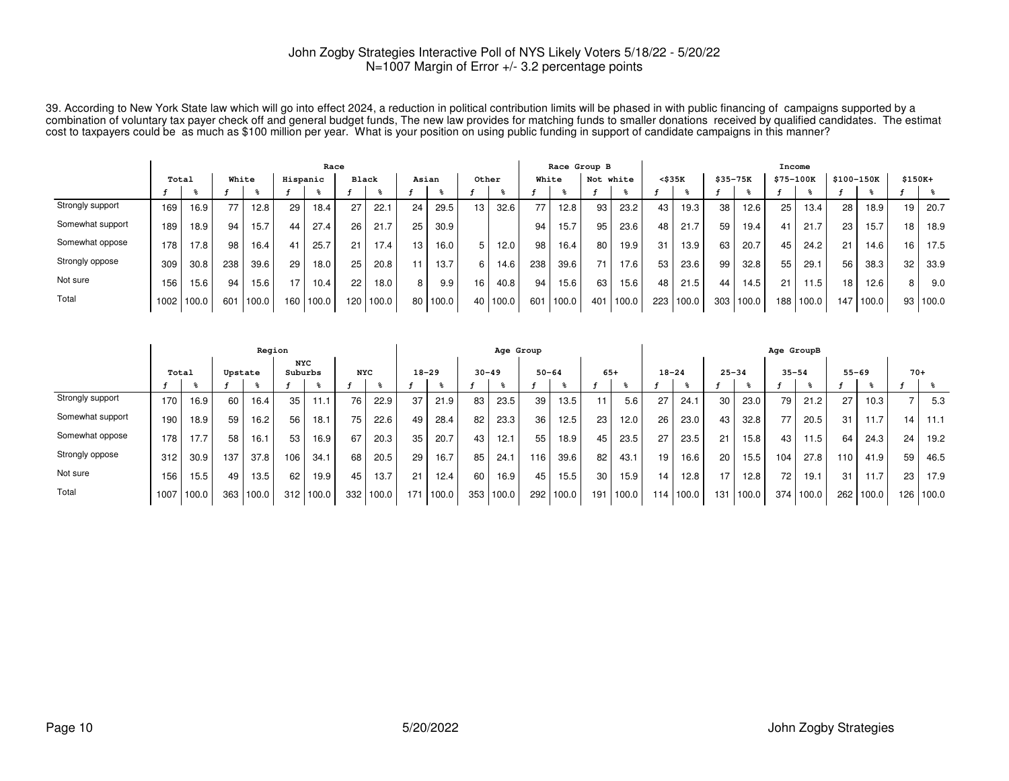39. According to New York State law which will go into effect 2024, a reduction in political contribution limits will be phased in with public financing of campaigns supported by a<br>combination of voluntary tax payer check

|                  |       |       |       |       |          | Race  |              |       |       |       |                 |       |     | Race Group B |     |       |              |           |          |       | Income    |       |     |            |          |       |
|------------------|-------|-------|-------|-------|----------|-------|--------------|-------|-------|-------|-----------------|-------|-----|--------------|-----|-------|--------------|-----------|----------|-------|-----------|-------|-----|------------|----------|-------|
|                  | Total |       | White |       | Hispanic |       | <b>Black</b> |       | Asian |       | Other           |       |     | White        | Not | white | $<$ \$35 $K$ |           | \$35-75K |       | \$75-100K |       |     | \$100-150K | $$150K+$ |       |
|                  |       |       |       |       |          |       |              |       |       |       |                 |       |     |              |     |       |              |           |          |       |           |       |     |            |          |       |
| Strongly support | 169   | 16.9  | 77    | 12.8  | 29       | 18.4  | 27           | 22.1  | 24    | 29.5  | 13              | 32.6  | 77. | 12.8         | 93  | 23.2  | 43           | 19.3      | 38       | 12.6  | 25        | 13.4  | 28  | 18.9       | 19       | 20.7  |
| Somewhat support | 189   | 18.9  | 94    | 15.7  | 44       | 27.4  | 26           | 21.7  | 25    | 30.9  |                 |       | 94  | 15.7         | 95  | 23.6  | 48           | 21.7      | 59       | 19.4  | 41        | 21.7  | 23  | 15.7       | 18       | 18.9  |
| Somewhat oppose  | '78   | 17.8  | 98    | 16.4  | 41       | 25.7  | 21           | 17.4  | 13    | 16.0  |                 | 12.0  | 98  | 16.4         | 80  | 19.9  | 31           | 13.9      | 63       | 20.7  | 45        | 24.2  | 21  | 14.6       | 16       | 17.5  |
| Strongly oppose  | 309   | 30.8  | 238   | 39.6  | 29       | 18.0  | 25           | 20.8  |       | 13.7  | 6               | 14.6  | 238 | 39.6         | 71  | 17.6  | 53           | 23.6      | 99       | 32.8  | 55        | 29.1  | 56  | 38.3       | 32       | 33.9  |
| Not sure         | 156   | 15.6  | 94    | 15.6  | 17       | 10.4  | 22           | 18.0  | 8 I   | 9.9   | 16              | 40.8  | 94  | 15.6         | 63  | 15.6  | 48           | 21.5      | 44       | 14.5  | 21        | 11.5  | 18  | 12.6       | 8        | 9.0   |
| Total            | 1002  | 100.0 | 601   | 100.0 | 160      | 100.0 | 120          | 100.0 | 80    | 100.0 | 40 <sub>1</sub> | 100.0 | 601 | 100.0        | 401 | 100.0 |              | 223 100.0 | 303      | 100.0 | 188 I     | 100.0 | 147 | 100.0      | 93       | 100.0 |

|                  |       |       | Region  |       |                       |       |            |       | Age Group |       |           |       |           |       |       |       |                 | Age GroupB |           |       |                 |       |     |           |       |           |
|------------------|-------|-------|---------|-------|-----------------------|-------|------------|-------|-----------|-------|-----------|-------|-----------|-------|-------|-------|-----------------|------------|-----------|-------|-----------------|-------|-----|-----------|-------|-----------|
|                  | Total |       | Upstate |       | <b>NYC</b><br>Suburbs |       | <b>NYC</b> |       | $18 - 29$ |       | $30 - 49$ |       | $50 - 64$ |       | $65+$ |       | $18 - 24$       |            | $25 - 34$ |       | $35 - 54$       |       |     | $55 - 69$ | $70+$ |           |
|                  |       |       |         |       |                       |       |            |       |           |       |           |       |           |       |       |       |                 |            |           |       |                 |       |     |           |       |           |
| Strongly support | 170   | 16.9  | 60      | 16.4  | 35                    | 11.1  | 76         | 22.9  | 37        | 21.9  | 83        | 23.5  | 39        | 13.5  |       | 5.6   | 27              | 24.1       | 30        | 23.0  | 79              | 21.2  | 27  | 10.3      |       | 5.3       |
| Somewhat support | 190   | 18.9  | 59      | 16.2  | 56                    | 18.1  | 75         | 22.6  | 49        | 28.4  | 82        | 23.3  | 36        | 12.5  | 23    | 12.0  | 26 <sup>1</sup> | 23.0       | 43        | 32.8  | 77              | 20.5  | 31  | 11.7      | 14    | 11.1      |
| Somewhat oppose  | 178   | 17.7  | 58      | 16.1  | 53                    | 16.9  | 67         | 20.3  | 35        | 20.7  | 43        | 12.1  | 55        | 18.9  | 45    | 23.5  | 27              | 23.5       | 21        | 15.8  | 43              | 11.5  | 64  | 24.3      | 24    | 19.2      |
| Strongly oppose  | 312   | 30.9  | 137     | 37.8  | 106                   | 34.1  | 68         | 20.5  | 29        | 16.7  | 85        | 24.1  | 116       | 39.6  | 82    | 43.1  | 19              | 16.6       | 20        | 15.5  | 104             | 27.8  | 110 | 41.9      | 59    | 46.5      |
| Not sure         | 156   | 15.5  | 49      | 13.5  | 62                    | 19.9  | 45         | 13.7  | 21        | 12.4  | 60        | 16.9  | 45        | 15.5  | 30    | 15.9  | 14              | 12.8       | 17        | 12.8  | 72 <sub>1</sub> | 19.1  | 31  | 11.7      | 23    | 17.9      |
| Total            | 1007  | 100.0 | 363     | 100.0 | 312                   | 100.0 | 332        | 100.0 | 171       | 100.0 | 353       | 100.0 | 292       | 100.0 | 191   | 100.0 | 114             | 1100.0     | 131       | 100.0 | 374             | 100.0 | 262 | 100.0     |       | 126 100.0 |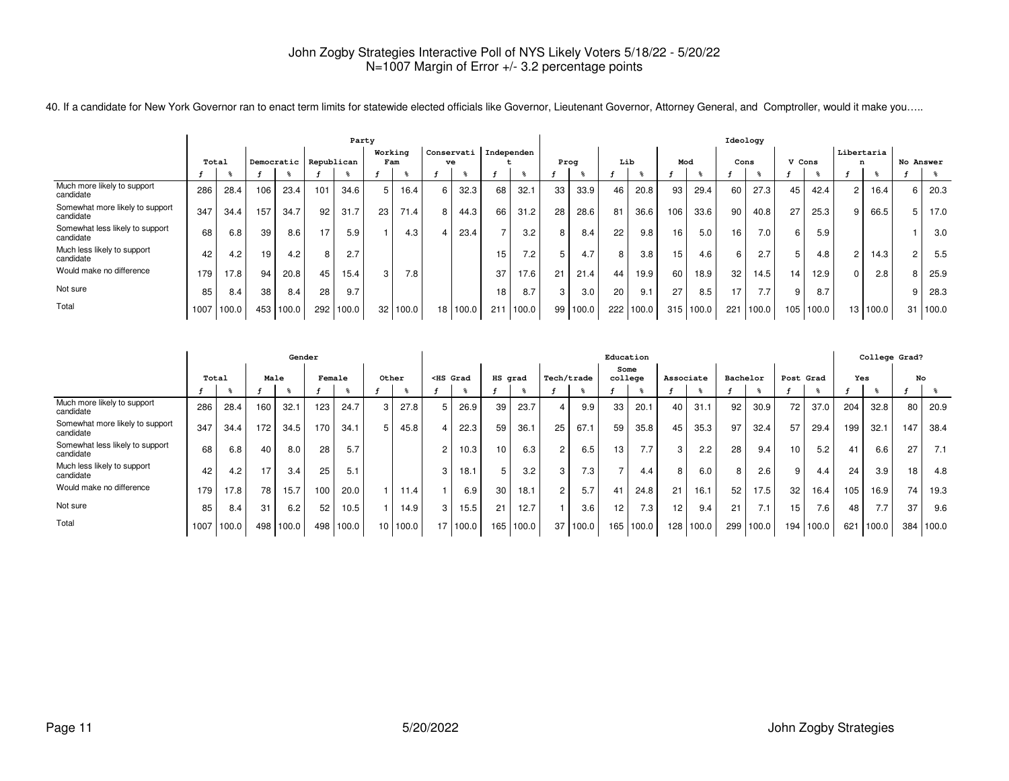|                                              | Party |       |     |            |            |       |                 |                   |                 |            |     |            |                 |       |     |           |     |           | Ideology |       |        |       |            |          |           |       |
|----------------------------------------------|-------|-------|-----|------------|------------|-------|-----------------|-------------------|-----------------|------------|-----|------------|-----------------|-------|-----|-----------|-----|-----------|----------|-------|--------|-------|------------|----------|-----------|-------|
|                                              |       |       |     |            |            |       | Working         |                   |                 | Conservati |     | Independen |                 |       |     |           |     |           |          |       |        |       | Libertaria |          |           |       |
|                                              | Total |       |     | Democratic | Republican |       | Fam             |                   |                 | ve         |     |            |                 | Prog  | Lib |           | Mod |           | Cons     |       | V Cons |       | n          |          | No Answer |       |
|                                              |       |       |     |            |            |       |                 |                   |                 |            |     |            |                 |       |     |           |     |           |          |       |        |       |            |          |           |       |
| Much more likely to support<br>candidate     | 286   | 28.4  | 106 | 23.4       | 101        | 34.6  | 5               | 16.4              |                 | 32.3       | 68  | 32.1       | 33              | 33.9  | 46  | 20.8      | 93  | 29.4      | 60       | 27.3  | 45     | 42.4  | 2          | 16.4     |           | 20.3  |
| Somewhat more likely to support<br>candidate | 347   | 34.4  | 157 | 34.7       | 92         | 31.7  | 23              | 71.4 <sub>1</sub> |                 | 44.3       | 66  | 31.2       | 28              | 28.6  | 81  | 36.6      | 106 | 33.6      | 90       | 40.8  | 27     | 25.3  | 9          | 66.5     |           | 17.0  |
| Somewhat less likely to support<br>candidate | 68    | 6.8   | 39  | 8.6        | 17         | 5.9   |                 | 4.3               |                 | 23.4       |     | 3.2        | 8               | 8.4   | 22  | 9.8       | 16  | 5.0       | 16       | 7.0   | 6      | 5.9   |            |          |           | 3.0   |
| Much less likely to support<br>candidate     | 42    | 4.2   | 19  | 4.2        | 8          | 2.7   |                 |                   |                 |            | 15  | 7.2        |                 | 4.7   | 8   | 3.8       | 15  | 4.6       | 6        | 2.7   | 5      | 4.8   | 2          | 14.3     |           | 5.5   |
| Would make no difference                     | 179   | 17.8  | 94  | 20.8       | 45         | 15.4  | 3               | 7.8               |                 |            | 37  | 17.6       | 21              | 21.4  | 44  | 19.9      | 60  | 18.9      | 32       | 14.5  | 14     | 12.9  | 0          | 2.8      |           | 25.9  |
| Not sure                                     | 85    | 8.4   | 38  | 8.4        | 28         | 9.7   |                 |                   |                 |            | 18  | 8.7        | 3               | 3.0   | 20  | 9.1       | 27  | 8.5       | 17       | 7.7   | 9      | 8.7   |            |          |           | 28.3  |
| Total                                        | 1007  | 100.0 |     | 453 100.0  | 292        | 100.0 | 32 <sub>1</sub> | 100.0             | 18 <sub>1</sub> | 100.0      | 211 | 100.0      | 99 <sub>1</sub> | 100.0 |     | 222 100.0 |     | 315 100.0 | 221      | 100.0 | 1051   | 100.0 |            | 13 100.0 | 31        | 100.0 |

40. If a candidate for New York Governor ran to enact term limits for statewide elected officials like Governor, Lieutenant Governor, Attorney General, and Comptroller, would it make you.....

|                                              |       |       |     |       | Gender |       |       |       |                                                                                                                                                                                                                                          |       |                 |           |    |            | Education |           |           |       |          |       |           |       |     |       | College Grad? |       |
|----------------------------------------------|-------|-------|-----|-------|--------|-------|-------|-------|------------------------------------------------------------------------------------------------------------------------------------------------------------------------------------------------------------------------------------------|-------|-----------------|-----------|----|------------|-----------|-----------|-----------|-------|----------|-------|-----------|-------|-----|-------|---------------|-------|
|                                              |       |       |     |       |        |       |       |       |                                                                                                                                                                                                                                          |       |                 |           |    |            | Some      |           |           |       |          |       |           |       |     |       |               |       |
|                                              | Total |       |     | Male  | Female |       | Other |       | <hs grad<="" th=""><th></th><th>HS grad</th><th></th><th></th><th>Tech/trade</th><th>college</th><th></th><th>Associate</th><th></th><th>Bachelor</th><th></th><th>Post Grad</th><th></th><th>Yes</th><th></th><th>No</th><th></th></hs> |       | HS grad         |           |    | Tech/trade | college   |           | Associate |       | Bachelor |       | Post Grad |       | Yes |       | No            |       |
|                                              |       |       |     |       |        | ₩     |       |       |                                                                                                                                                                                                                                          |       |                 |           |    |            |           |           |           |       |          |       |           |       |     |       |               |       |
| Much more likely to support<br>candidate     | 286   | 28.4  | 160 | 32.1  | 123    | 24.7  | 3     | 27.8  | 5                                                                                                                                                                                                                                        | 26.9  | 39              | 23.7      |    | 9.9        | 33        | 20.1      | 40        | 31.1  | 92       | 30.9  | 72        | 37.0  | 204 | 32.8  | 80            | 20.9  |
| Somewhat more likely to support<br>candidate | 347   | 34.4  | 172 | 34.5  | 170    | 34.1  | 5     | 45.8  |                                                                                                                                                                                                                                          | 22.3  | 59              | 36.1      | 25 | 67.1       | 59        | 35.8      | 45        | 35.3  | 97       | 32.4  | 57        | 29.4  | 199 | 32.1  | 147           | 38.4  |
| Somewhat less likely to support<br>candidate | 68    | 6.8   | 40  | 8.0   | 28     | 5.7   |       |       | $\overline{c}$                                                                                                                                                                                                                           | 10.3  | 10 <sup>1</sup> | 6.3       | 2  | 6.5        | 13        | 7.7       | 3         | 2.2   | 28       | 9.4   | 10        | 5.2   | 41  | 6.6   | 27            | 7.1   |
| Much less likely to support<br>candidate     | 42    | 4.2   | 17  | 3.4   | 25     | 5.1   |       |       | 3                                                                                                                                                                                                                                        | 18.1  | 5               | 3.2       | 3  | 7.3        |           | 4.4       | 8         | 6.0   | 8        | 2.6   | 9         | 4.4   | 24  | 3.9   | 18            | 4.8   |
| Would make no difference                     | 179   | 17.8  | 78  | 15.7  | 100    | 20.0  |       | 11.4  |                                                                                                                                                                                                                                          | 6.9   | 30              | 18.1      |    | 5.7        | 41        | 24.8      | 21        | 16.1  | 52       | 17.5  | 32        | 16.4  | 105 | 16.9  | 74            | 19.3  |
| Not sure                                     | 85    | 8.4   | 31  | 6.2   | 52     | 10.5  |       | 14.9  | 3                                                                                                                                                                                                                                        | 15.5  | 21              | 12.7      |    | 3.6        | 12        | 7.3       | 12        | 9.4   | 21       | 7.1   | 15        | 7.6   | 48  | 7.7   | 37            | 9.6   |
| Total                                        | 1007  | 100.0 | 498 | 100.0 | 498    | 100.0 | 10    | 100.0 | 17 <sup>1</sup>                                                                                                                                                                                                                          | 100.0 |                 | 165 100.0 | 37 | 100.0      |           | 165 100.0 | 128       | 100.0 | 299      | 100.0 | 194       | 100.0 | 621 | 100.0 | 384           | 100.0 |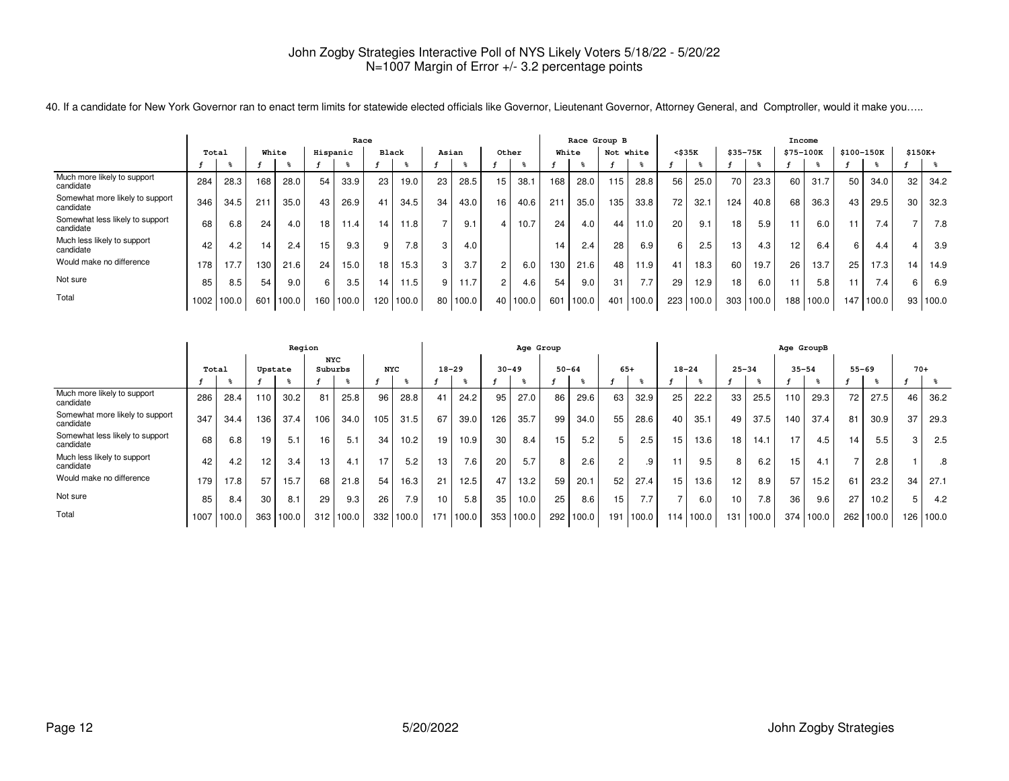|                                              | Race  |       |     |       |          |       |                 |       |        |       |    |       |     | Race Group B |                 |       |              |       |          |       | Income            |       |            |                  |          |       |
|----------------------------------------------|-------|-------|-----|-------|----------|-------|-----------------|-------|--------|-------|----|-------|-----|--------------|-----------------|-------|--------------|-------|----------|-------|-------------------|-------|------------|------------------|----------|-------|
|                                              | Total |       |     | White | Hispanic |       | <b>Black</b>    |       | Asian  |       |    | Other |     | White        | Not white       |       | $<$ \$35 $K$ |       | \$35-75K |       | \$75-100K         |       | \$100-150K |                  | $$150K+$ |       |
|                                              |       |       |     |       |          |       |                 |       |        |       |    |       |     |              |                 |       |              |       |          |       |                   |       |            |                  |          |       |
| Much more likely to support<br>candidate     | 284   | 28.3  | 168 | 28.0  | 54       | 33.9  | 23              | 19.0  | 23     | 28.5  | 15 | 38.   | 168 | 28.0         | 115             | 28.8  | 56           | 25.0  | 70       | 23.3  | 60                | 31.7  | 50         | 34.0             | 32       | 34.2  |
| Somewhat more likely to support<br>candidate | 346   | 34.5  | 21  | 35.0  | 43       | 26.9  | 41              | 34.5  | 34     | 43.0  | 16 | 40.6  | 211 | 35.0         | 135             | 33.8  | 72           | 32.1  | 124      | 40.8  | 68                | 36.3  | 43         | 29.5             | 30       | 32.3  |
| Somewhat less likely to support<br>candidate | 68    | 6.8   | 24  | 4.0   | 18       | 11.4  | 14.             | 11.8  |        | 9.1   |    | 10.7  | 24  | 4.0          | 44 <sub>1</sub> | 11.0  | 20           | 9.1   | 18       | 5.9   | 11                | 6.0   |            | 7.4 <sub>1</sub> |          | 7.8   |
| Much less likely to support<br>candidate     | 42    | 4.2   | 14  | 2.4   | 15       | 9.3   | 9               | 7.8   | $\sim$ | 4.0   |    |       | 14  | 2.4          | 28              | 6.9   | 6            | 2.5   | 13       | 4.3   | $12 \overline{ }$ | 6.4   | 6.         | 4.4              |          | 3.9   |
| Would make no difference                     | 178   | 17.7  | 130 | 21.6  | 24       | 15.0  | 18 <sub>1</sub> | 15.3  |        | 3.7   | 2  | 6.0   | 130 | 21.6         | 48              | 11.9  | 41           | 18.3  | 60       | 19.7  | 26                | 13.7  | 25         | 17.3             | 14       | 14.9  |
| Not sure                                     | 85    | 8.5   | 54  | 9.0   | 6        | 3.5   | 14.             | 11.5  |        | 11.7  | 2  | 4.6   | 54  | 9.0          | 31              | 7.7   | 29           | 12.9  | 18       | 6.0   | 11                | 5.8   |            | 7.4.             | 6        | 6.9   |
| Total                                        | 1002  | 100.0 | 601 | 100.0 | 160      | 100.0 | 120             | 100.0 | 80     | 100.0 | 40 | 100.0 | 601 | 100.0        | 401             | 100.0 | 223          | 100.0 | 303      | 100.0 | 188               | 100.0 | 147        | 100.0            | 93       | 100.0 |

40. If a candidate for New York Governor ran to enact term limits for statewide elected officials like Governor, Lieutenant Governor, Attorney General, and Comptroller, would it make you…..

|                                              |       |       |     | Region  |                       |       |            |       |                  |       |           | Age Group |     |           |                |           |           |           |                 |       | Age GroupB |       |           |       |       |       |
|----------------------------------------------|-------|-------|-----|---------|-----------------------|-------|------------|-------|------------------|-------|-----------|-----------|-----|-----------|----------------|-----------|-----------|-----------|-----------------|-------|------------|-------|-----------|-------|-------|-------|
|                                              | Total |       |     | Upstate | <b>NYC</b><br>Suburbs |       | <b>NYC</b> |       | $18 - 29$        |       | $30 - 49$ |           |     | $50 - 64$ | $65+$          |           | $18 - 24$ |           | $25 - 34$       |       | $35 - 54$  |       | $55 - 69$ |       | $70+$ |       |
|                                              |       |       |     |         |                       |       |            |       |                  |       |           |           |     |           |                |           |           |           |                 |       |            |       |           |       |       |       |
| Much more likely to support<br>candidate     | 286   | 28.4  | 110 | 30.2    | 81                    | 25.8  | 96         | 28.8  | 41               | 24.2  | 95        | 27.0      | 86  | 29.6      | 63             | 32.9      | 25        | 22.2      | 33              | 25.5  | 110        | 29.3  | 72        | 27.5  | 46    | 36.2  |
| Somewhat more likely to support<br>candidate | 347   | 34.4  | 136 | 37.4    | 106                   | 34.0  | 105        | 31.5  | 67               | 39.0  | 126       | 35.7      | 99  | 34.0      | 55             | 28.6      | 40        | 35.1      | 49              | 37.5  | 140        | 37.4  | 81        | 30.9  | 37    | 29.3  |
| Somewhat less likely to support<br>candidate | 68    | 6.8   | 19  | 5.1     | 16                    | 5.1   | 34         | 10.2  | 19               | 10.9  | 30        | 8.4       | 15  | 5.2       | 5              | 2.5       | 15        | 13.6      | 18.             | 14.1  | 17         | 4.5   | 14.       | 5.5   | 3     | 2.5   |
| Much less likely to support<br>candidate     | 42    | 4.2   | 12  | 3.4     | 13                    | 4.1   | 17         | 5.2   | 13               | 7.6   | 20        | 5.7       | 8   | 2.6       | $\overline{2}$ | .9        |           | 9.5       | 8               | 6.2   | 15         | 4.1   |           | 2.8   |       | .8    |
| Would make no difference                     | 179   | 17.8  | 57  | 15.7    | 68                    | 21.8  | 54         | 16.3  | 21               | 12.5  | 47        | 13.2      | 59  | 20.1      | 52             | 27.4      | 15        | 13.6      | 12 <sub>1</sub> | 8.9   | 57         | 15.2  | 61        | 23.2  | 34    | 27.1  |
| Not sure                                     | 85    | 8.4   | 30  | 8.1     | 29                    | 9.3   | 26         | 7.9   | 10               | 5.8   | 35        | 10.0      | 25  | 8.6       | 15             | 7.7       |           | 6.0       | 10              | 7.8   | 36         | 9.6   | 27        | 10.2  | 5     | 4.2   |
| Total                                        | 1007  | 100.0 | 363 | 100.0   | 312                   | 100.0 | 332        | 100.0 | 171 <sub>1</sub> | 100.0 | 353       | 100.0     | 292 | 100.0     |                | 191 100.0 |           | 114 100.0 | 131             | 100.0 | 374        | 100.0 | 262       | 100.0 | 126   | 100.0 |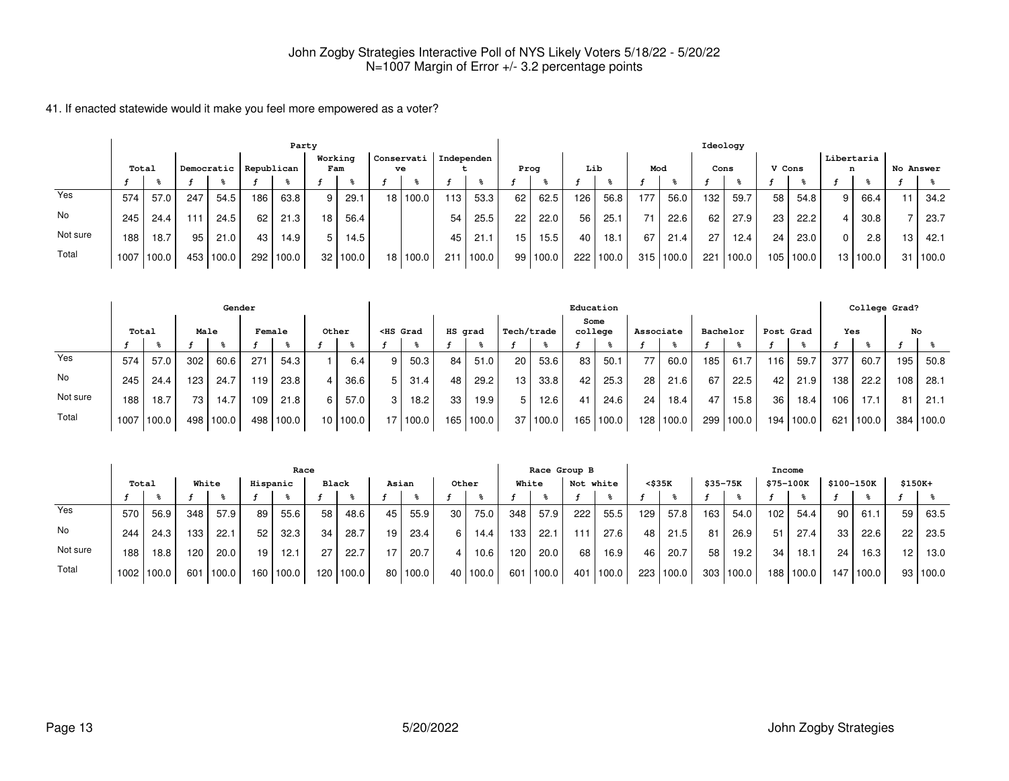|          |      |                     |     |           |     | Party      |                |            |                 |       |            |       |      |       |     |       |     |       | Ideology |        |        |       |                 |            |           |       |
|----------|------|---------------------|-----|-----------|-----|------------|----------------|------------|-----------------|-------|------------|-------|------|-------|-----|-------|-----|-------|----------|--------|--------|-------|-----------------|------------|-----------|-------|
|          |      | Democratic<br>Total |     |           |     | Republican | Working<br>Fam |            | Conservati      | ve    | Independen |       | Prog |       | Lib |       | Mod |       | Cons     |        | V Cons |       | Libertaria<br>n |            | No Answer |       |
|          |      |                     |     |           |     |            |                |            |                 |       |            |       |      |       |     |       |     |       |          |        |        |       |                 |            |           |       |
| Yes      | 574  | 57.0                | 247 | 54.5      | 186 | 63.8       | 9 <sub>1</sub> | 29.1       | 18 <sup>1</sup> | 100.0 | 113        | 53.3  | 62   | 62.5  | 126 | 56.8  | 177 | 56.0  | 132      | 59.7   | 58     | 54.8  | 9 I             | 66.4       | 11        | 34.2  |
| No       | 245  | 24.4                | 111 | 24.5      | 62  | 21.3       | 18 I           | 56.4       |                 |       | 54         | 25.5  | 22   | 22.0  | 56  | 25.1  | 71  | 22.6  | 62       | 27.9   | 23     | 22.2  |                 | 30.8       |           | 23.7  |
| Not sure | 188  | 18.7                | 95  | 21.0      | 43  | 14.9       | 5 I            | 14.5       |                 |       | 45         | 21.1  | 15   | 15.5  | 40  | 18.1  | 67  | 21.4  | 27       | 12.4   | 24     | 23.0  | $\Omega$        | 2.8        | 13        | 42.1  |
| Total    | 1007 | 100.0               |     | 453 100.0 | 292 | 100.0      |                | 32   100.0 | 18 <sup>1</sup> | 100.0 | 211        | 100.0 | 99 I | 100.0 | 222 | 100.0 | 315 | 100.0 | 221      | 1100.0 | 105    | 100.0 |                 | 13   100.0 | 31        | 100.0 |

|          |       |       |                  | Gender    |        |       |                 |       |                                                                                                                                                                                                                                              |          |         |       |                 |          |      | Education |           |           |          |       |       |           |     | College Grad? |     |           |
|----------|-------|-------|------------------|-----------|--------|-------|-----------------|-------|----------------------------------------------------------------------------------------------------------------------------------------------------------------------------------------------------------------------------------------------|----------|---------|-------|-----------------|----------|------|-----------|-----------|-----------|----------|-------|-------|-----------|-----|---------------|-----|-----------|
|          | Total |       | Male             |           | Female |       |                 | Other | <hs grad<="" th=""><th></th><th>HS grad</th><th></th><th>Tech/trade</th><th></th><th>Some</th><th>college</th><th>Associate</th><th></th><th>Bachelor</th><th></th><th></th><th>Post Grad</th><th>Yes</th><th></th><th>No</th><th></th></hs> |          | HS grad |       | Tech/trade      |          | Some | college   | Associate |           | Bachelor |       |       | Post Grad | Yes |               | No  |           |
|          |       |       |                  |           |        |       |                 |       |                                                                                                                                                                                                                                              |          |         |       |                 |          |      |           |           |           |          |       |       |           |     |               |     |           |
| Yes      | 574   | 57.0  | 302 <sub>1</sub> | 60.6      | 271    | 54.3  |                 | 6.4   | 9                                                                                                                                                                                                                                            | 50.3     | 84      | 51.0  | 20 <sub>1</sub> | 53.6     | 83   | 50.1      | 77        | 60.0      | 185      | 61.7  | 116   | 59.7      | 377 | 60.7          | 195 | 50.8      |
| No       | 245   | 24.4  | 123 <sub>1</sub> | 24.7      | 119    | 23.8  |                 | 36.6  | 5                                                                                                                                                                                                                                            | 31.4     | 48      | 29.2  | 13 <sub>1</sub> | 33.8     | 42   | 25.3      | 28        | 21.6      | 67       | 22.5  | 42    | 21.9      | 138 | 22.2          | 108 | 28.1      |
| Not sure | 188   | 18.7  | 73               | 14.7      | 109    | 21.8  | 6.              | 57.0  | 3                                                                                                                                                                                                                                            | 18.2     | 33      | 19.9  | 5 I             | 12.6     | 41   | 24.6      | 24        | 18.4      | 47       | 15.8  | 36    | 18.4      | 106 | 17.1          | 81  | 21.1      |
| Total    | 1007  | 100.0 |                  | 498 100.0 | 498    | 100.0 | 10 <sup>1</sup> | 100.0 |                                                                                                                                                                                                                                              | 17 100.0 | 165     | 100.0 |                 | 37 100.0 |      | 165 100.0 |           | 128 100.0 | 299      | 100.0 | 194 l | 100.0     | 621 | 100.0         |     | 384 100.0 |

|          |                   |                   |       |       |          | Race  |       |           |       |            |       |        | Race Group B |       |           |        |        |           |          | Income    |           |       |                 |            |          |          |
|----------|-------------------|-------------------|-------|-------|----------|-------|-------|-----------|-------|------------|-------|--------|--------------|-------|-----------|--------|--------|-----------|----------|-----------|-----------|-------|-----------------|------------|----------|----------|
|          | Total             |                   | White |       | Hispanic |       | Black |           | Asian |            | Other |        | White        |       | Not white |        | <\$35K |           | \$35-75K |           | \$75-100K |       |                 | \$100-150K | $$150K+$ |          |
|          |                   |                   |       |       |          |       |       |           |       |            |       |        |              |       |           |        |        |           |          |           |           |       |                 |            |          |          |
| Yes      | 570               | 56.9              | 348   | 57.9  | 89       | 55.6  | 58    | 48.6      | 45    | 55.9       | 30    | 75.0   | 348          | 57.9  | 222       | 55.5   | 129    | 57.8      | 163      | 54.0      | 102       | 54.4  | 90 l            | 61.1       | 59       | 63.5     |
| No       | 244               | 24.3              | 133   | 22.1  | 52       | 32.3  | 34    | 28.7      | 19    | 23.4       |       | 14.4   | 133          | 22.1  | l 11      | 27.6   | 48     | 21.5      | 81       | 26.9      | 51        | 27.4  | 33 <sub>1</sub> | 22.6       | 22       | 23.5     |
| Not sure | 188               | 18.8 <sub>1</sub> | 120   | 20.0  | 19       | 12.1  | 27    | 22.7      | 17.   | 20.7       |       | 10.6   | 120          | 20.0  | 68        | 16.9   | 46     | 20.7      | 58       | 19.2      | 34        | 18.1  | 24              | 16.3       | 12       | 13.0     |
| Total    | 1002 <sub>1</sub> | 100.0             | 601   | 100.0 | 160      | 100.0 |       | 120 100.0 |       | 80   100.0 | 40    | '100.0 | 601          | 100.0 | 401       | '100.0 |        | 223 100.0 |          | 303 100.0 | 188       | 100.0 | 147             | 100.0      |          | 93 100.0 |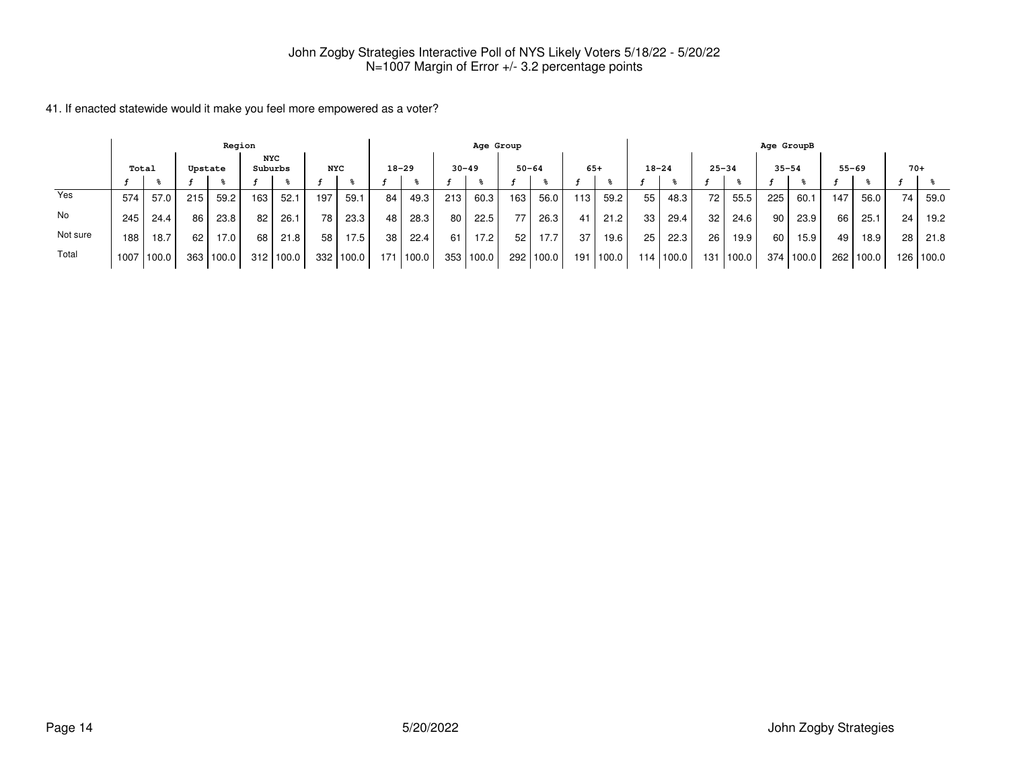|          |                  |                  |     | Region |     |                       |                 |       |           |       |           | Age Group |           |        |     |       |           |       |           |             | Age GroupB |       |      |           |       |             |
|----------|------------------|------------------|-----|--------|-----|-----------------------|-----------------|-------|-----------|-------|-----------|-----------|-----------|--------|-----|-------|-----------|-------|-----------|-------------|------------|-------|------|-----------|-------|-------------|
|          |                  | Total<br>Upstate |     |        |     | <b>NYC</b><br>Suburbs | <b>NYC</b>      |       | $18 - 29$ |       | $30 - 49$ |           | $50 - 64$ |        |     | $65+$ | $18 - 24$ |       | $25 - 34$ |             | $35 - 54$  |       |      | $55 - 69$ | $70+$ |             |
|          |                  |                  |     |        |     |                       |                 |       |           |       |           |           |           |        |     |       |           |       |           |             |            |       |      |           |       |             |
| Yes      | 574              | 57.0             | 215 | 59.2   | 163 | 52.1                  | 197             | 59.1  | 84        | 49.3  | 213       | 60.3      | 163       | 56.0   | 113 | 59.2  | 55        | 48.3  | 72        | 55.5        | 225        | 60.1  | 147  | 56.0      | 74    | 59.0        |
| No       | 245 <sub>1</sub> | 24.4             | 86  | 23.8   | 82  | 26.1                  | 78              | 23.3  | 48        | 28.3  | 80        | 22.5      | 77        | 26.3   | 41  | 21.2  | 33        | 29.4  | 32        | 24.6        | 90         | 23.9  | 66   | 25.1      | 24    | 19.2        |
| Not sure | 188              | 18.7             | 62  | 17.0   | 68  | 21.8                  | 58 <sup>1</sup> | 17.5  | 38        | 22.4  | 61        | 17.2      | 52        | 17.7   | 37  | 19.6  | 25        | 22.3  | 26        | 19.9        | 60         | 15.9  | 49 I | 18.9      | 28    | 21.8        |
| Total    | 1007             | 100.0            | 363 | 100.0  |     | $312$   100.0         | 332             | 100.0 | 171       | 100.0 |           | 353 100.0 | 292 l     | 1100.0 | 191 | 100.0 | 114       | 100.0 |           | 131   100.0 | 374        | 100.0 | 262  | 100.0     |       | 126   100.0 |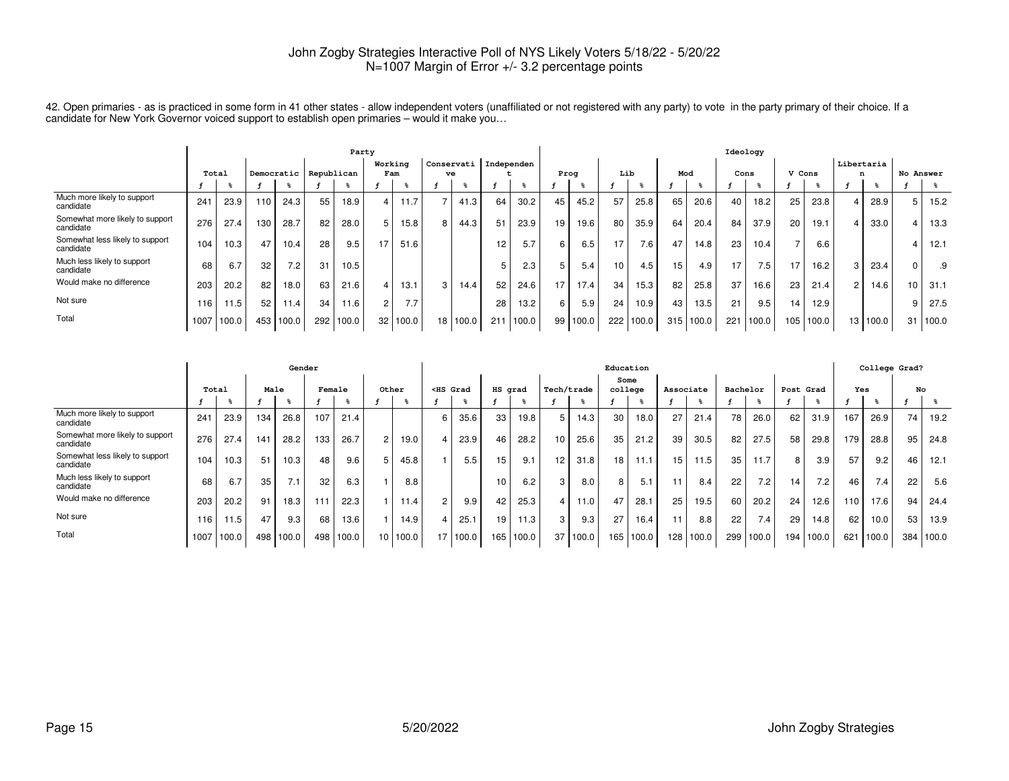|                                              |       |       |     |       |                       | Party |         |       |    |            |            |       |      |       |     |       |     |       | Ideology        |       |        |       |                |          |           |       |
|----------------------------------------------|-------|-------|-----|-------|-----------------------|-------|---------|-------|----|------------|------------|-------|------|-------|-----|-------|-----|-------|-----------------|-------|--------|-------|----------------|----------|-----------|-------|
|                                              |       |       |     |       |                       |       | Working |       |    | Conservati | Independen |       |      |       |     |       |     |       |                 |       |        |       | Libertaria     |          |           |       |
|                                              | Total |       |     |       | Democratic Republican |       |         | Fam   | ve |            |            |       | Proa |       | Lib |       | Mod |       | Cons            |       | V Cons |       | n              |          | No Answer |       |
|                                              |       |       |     |       |                       |       |         |       |    |            |            | န္    |      |       |     |       |     |       |                 |       |        |       |                |          |           |       |
| Much more likely to support<br>candidate     | 241   | 23.9  | 110 | 24.3  | 55                    | 18.9  | 4       | 11.7  |    | 41.3       | 64         | 30.2  | 45   | 45.2  | 57  | 25.8  | 65  | 20.6  | 40              | 18.2  | 25     | 23.8  | 4              | 28.9     |           | 15.2  |
| Somewhat more likely to support<br>candidate | 276   | 27.4  | 130 | 28.7  | 82                    | 28.0  | 5       | 15.8  |    | 44.3       | 51         | 23.9  | 19   | 19.6  | 80  | 35.9  | 64  | 20.4  | 84              | 37.9  | 20     | 19.1  | 4              | 33.0     |           | 13.3  |
| Somewhat less likely to support<br>candidate | 104   | 10.3  | 47  | 10.4  | 28                    | 9.5   | 17      | 51.6  |    |            | 12         | 5.7   | 6    | 6.5   | 17  | 7.6   | 47  | 14.8  | 23 <sub>1</sub> | 10.4  |        | 6.6   |                |          |           | 12.1  |
| Much less likely to support<br>candidate     | 68    | 6.7   | 32  | 7.2   | 31                    | 10.5  |         |       |    |            |            | 2.3   | 5    | 5.4   | 10  | 4.5   | 15  | 4.9   | 17              | 7.5   |        | 16.2  | 3              | 23.4     |           | .9    |
| Would make no difference                     | 203   | 20.2  | 82  | 18.0  | 63                    | 21.6  | 4       | 13.1  |    | 14.4       | 52         | 24.6  | 17   | 17.4  | 34  | 15.3  | 82  | 25.8  | 37              | 16.6  | 23     | 21.4  | $\overline{2}$ | 14.6     | 10        | 31.1  |
| Not sure                                     | 116   | 11.5  | 52  | 11.4  | 34                    | 11.6  | 2       | 7.7   |    |            | 28         | 13.2  | 6    | 5.9   | 24  | 10.9  | 43  | 13.5  | 21              | 9.5   | 14     | 12.9  |                |          |           | 27.5  |
| Total                                        | 1007  | 100.0 | 453 | 100.0 | 292                   | 100.0 | 32      | 100.0 | 18 | 100.0      | 211        | 100.0 | 99   | 100.0 | 222 | 100.0 | 315 | 100.0 | 221             | 100.0 | 105    | 100.0 |                | 13 100.0 | 31        | 100.0 |

42. Open primaries - as is practiced in some form in 41 other states - allow independent voters (unaffiliated or not registered with any party) to vote in the party primary of their choice. If a<br>candidate for New York Gov

|                                              | Gender |                  |     |       |        |       |                 |       |                                                                                                                                                                                                                                                  |          |         |       |                 |       |                 | Education       |           |           |          |           |      |       |     | College Grad? |     |       |
|----------------------------------------------|--------|------------------|-----|-------|--------|-------|-----------------|-------|--------------------------------------------------------------------------------------------------------------------------------------------------------------------------------------------------------------------------------------------------|----------|---------|-------|-----------------|-------|-----------------|-----------------|-----------|-----------|----------|-----------|------|-------|-----|---------------|-----|-------|
|                                              | Total  |                  |     | Male  | Female |       |                 | Other | <hs grad<="" th=""><th></th><th>HS grad</th><th></th><th>Tech/trade</th><th></th><th></th><th>Some<br/>college</th><th>Associate</th><th></th><th>Bachelor</th><th></th><th>Post</th><th>Grad</th><th>Yes</th><th></th><th>No</th><th></th></hs> |          | HS grad |       | Tech/trade      |       |                 | Some<br>college | Associate |           | Bachelor |           | Post | Grad  | Yes |               | No  |       |
|                                              |        |                  |     |       |        |       |                 |       |                                                                                                                                                                                                                                                  |          |         |       |                 |       |                 |                 |           |           |          |           |      |       |     |               |     |       |
| Much more likely to support<br>candidate     | 241    | 23.9             | 134 | 26.8  | 107    | 21.4  |                 |       | 6                                                                                                                                                                                                                                                | 35.6     | 33      | 19.8  | 5               | 14.3  | 30              | 18.0            | 27        | 21.4      | 78       | 26.0      | 62   | 31.9  | 167 | 26.9          | 74  | 19.2  |
| Somewhat more likely to support<br>candidate | 276    | 27.4             | 141 | 28.2  | 133    | 26.7  | $\overline{2}$  | 19.0  |                                                                                                                                                                                                                                                  | 23.9     | 46      | 28.2  | 10 <sup>1</sup> | 25.6  | 35              | 21.2            | 39        | 30.5      | 82       | 27.5      | 58   | 29.8  | 179 | 28.8          | 95  | 24.8  |
| Somewhat less likely to support<br>candidate | 104    | 10.3             | 51  | 10.3  | 48     | 9.6   | 5               | 45.8  |                                                                                                                                                                                                                                                  | 5.5      | 15      | 9.1   | 12 <sub>1</sub> | 31.8  | 18 <sub>1</sub> | 11.1            | 15        | 11.5      | 35       | 11.7      | 8    | 3.9   | 57  | 9.2           | 46  | 12.1  |
| Much less likely to support<br>candidate     | 68     | 6.7              | 35  | 7.1   | 32     | 6.3   |                 | 8.8   |                                                                                                                                                                                                                                                  |          | 10      | 6.2   | 3               | 8.0   | 8 <sup>1</sup>  | 5.1             |           | 8.4       | 22       | 7.2       | 14   | 7.2   | 46  | 7.4           | 22  | 5.6   |
| Would make no difference                     | 203    | 20.2             | 91  | 18.3  | 111    | 22.3  |                 | 11.4  | $\overline{2}$                                                                                                                                                                                                                                   | 9.9      | 42      | 25.3  | $\overline{4}$  | 11.0  | 47              | 28.1            | 25        | 19.5      | 60       | 20.2      | 24   | 12.6  | 110 | 17.6          | 94  | 24.4  |
| Not sure                                     | 116    | 1.5 <sub>1</sub> | 47  | 9.3   | 68     | 13.6  |                 | 14.9  |                                                                                                                                                                                                                                                  | 25.1     | 19      | 11.3  | 3               | 9.3   | 27              | 16.4            | 11        | 8.8       | 22       | 7.4       | 29   | 14.8  | 62  | 10.0          | 53  | 13.9  |
| Total                                        | 1007   | 100.0            | 498 | 100.0 | 498    | 100.0 | 10 <sup>1</sup> | 100.0 |                                                                                                                                                                                                                                                  | 17 100.0 | 165     | 100.0 | 37              | 100.0 |                 | 165 100.0       |           | 128 100.0 |          | 299 100.0 | 194  | 100.0 | 621 | 100.0         | 384 | 100.0 |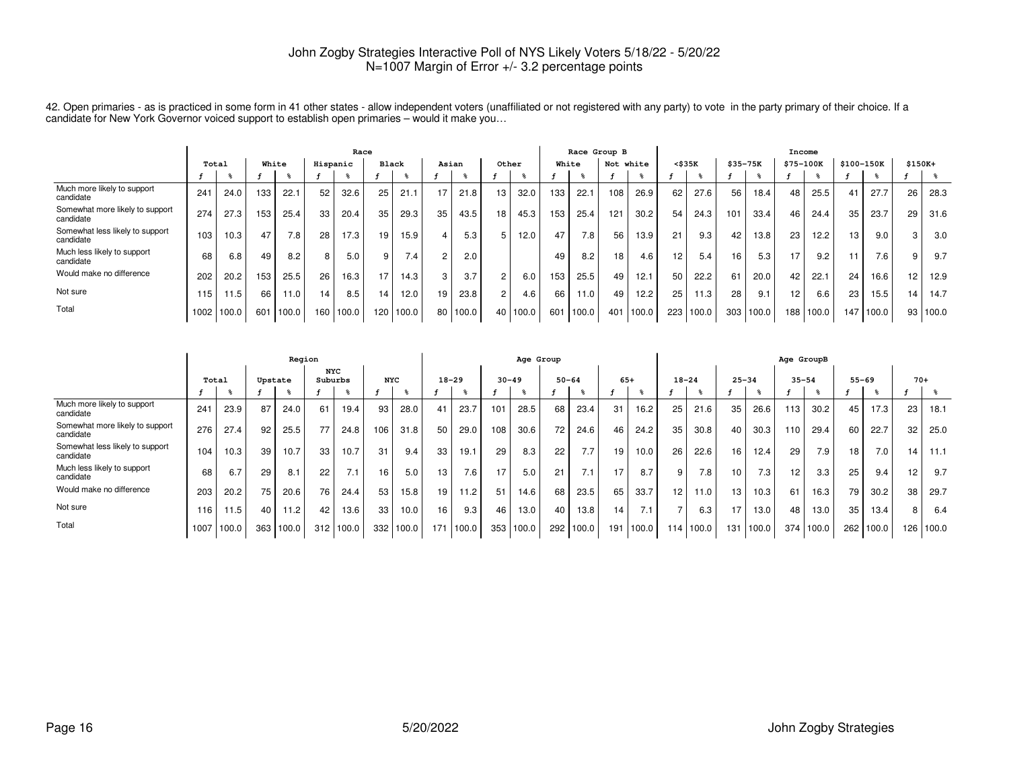|                                              |                   |       |     |       |                 | Race      |              |       |                |          |                |       |       | Race Group B |           |           |                 |       |     |             | Income    |       |                 |            |          |       |
|----------------------------------------------|-------------------|-------|-----|-------|-----------------|-----------|--------------|-------|----------------|----------|----------------|-------|-------|--------------|-----------|-----------|-----------------|-------|-----|-------------|-----------|-------|-----------------|------------|----------|-------|
|                                              | Total             |       |     | White | Hispanic        |           | <b>Black</b> |       | Asian          |          | Other          |       | White |              | Not white |           | $<$ \$35 $K$    |       |     | $$35 - 75K$ | \$75-100K |       |                 | \$100-150K | $$150K+$ |       |
|                                              |                   |       |     |       |                 |           |              |       |                |          |                | ች     |       |              |           |           |                 |       |     |             |           |       |                 |            |          |       |
| Much more likely to support<br>candidate     | 241               | 24.0  | 133 | 22.1  | 52              | 32.6      | 25           | 21.1  | 17             | 21.8     | 13             | 32.0  | 133   | 22.1         | 108       | 26.9      | 62              | 27.6  | 56  | 18.4        | 48        | 25.5  | 41              | 27.7       | 26       | 28.3  |
| Somewhat more likely to support<br>candidate | 274               | 27.3  | 153 | 25.4  | 33              | 20.4      | 35           | 29.3  | 35             | 43.5     | 18             | 45.3  | 153   | 25.4         | 121       | 30.2      | 54              | 24.3  | 101 | 33.4        | 46        | 24.4  | 35              | 23.7       | 29       | 31.6  |
| Somewhat less likely to support<br>candidate | 103               | 10.3  | 47  | 7.8   | 28 <sub>1</sub> | 17.3      | 19           | 15.9  |                | 5.3      |                | 12.0  | 47    | 7.8          | 56        | 13.9      | 21              | 9.3   | 42  | 13.8        | 23        | 12.2  | 13 <sub>1</sub> | 9.0        |          | 3.0   |
| Much less likely to support<br>candidate     | 68                | 6.8   | 49  | 8.2   | 8 <sub>1</sub>  | 5.0       | 9            | 7.4   | 2 <sub>1</sub> | 2.0      |                |       | 49    | 8.2          | 18        | 4.6       | 12 <sup>°</sup> | 5.4   | 16  | 5.3         | 17        | 9.2   | 11              | $7.6$ .    |          | 9.7   |
| Would make no difference                     | 202               | 20.2  | 153 | 25.5  | 26 <sub>1</sub> | 16.3      | 17           | 14.3  | 3              | 3.7      | 2 <sub>1</sub> | 6.0   | 153   | 25.5         | 49        | 12.1      | 50              | 22.2  | 61  | 20.0        | 42        | 22.1  | 24              | 16.6       | 12.      | 12.9  |
| Not sure                                     | 115               | 11.5  | 66  | 11.0  | 14              | 8.5       | 14           | 12.0  | 19             | 23.8     | 21             | 4.6   | 66    | 11.0         | 49        | 12.2      | 25              | 11.3  | 28  | 9.1         | 12        | 6.6   | 23              | 15.5       | 14       | 14.7  |
| Total                                        | 1002 <sub>1</sub> | 100.0 | 601 | 100.0 |                 | 160 100.0 | 120          | 100.0 |                | 80 100.0 | 40             | 100.0 | 601   | 100.0        |           | 401 100.0 | 223             | 100.0 |     | 303 100.0   | 188       | 100.0 | 147             | 100.0      | 93       | 100.0 |

42. Open primaries - as is practiced in some form in 41 other states - allow independent voters (unaffiliated or not registered with any party) to vote in the party primary of their choice. If a<br>candidate for New York Gov

|                                              |       |       |         | Region |                       |               |            |       |           |       |           | Age Group |           |           |       |        |                 |           |           |                  | Age GroupB |       |           |       |       |       |
|----------------------------------------------|-------|-------|---------|--------|-----------------------|---------------|------------|-------|-----------|-------|-----------|-----------|-----------|-----------|-------|--------|-----------------|-----------|-----------|------------------|------------|-------|-----------|-------|-------|-------|
|                                              | Total |       | Upstate |        | <b>NYC</b><br>Suburbs |               | <b>NYC</b> |       | $18 - 29$ |       | $30 - 49$ |           | $50 - 64$ |           | $65+$ |        | $18 - 24$       |           | $25 - 34$ |                  | $35 - 54$  |       | $55 - 69$ |       | $70+$ |       |
|                                              |       |       |         |        |                       |               |            |       |           |       |           |           |           |           |       |        |                 |           |           |                  |            |       |           |       |       |       |
| Much more likely to support<br>candidate     | 241   | 23.9  | 87      | 24.0   | 61                    | 19.4          | 93         | 28.0  | 41        | 23.7  | 101       | 28.5      | 68        | 23.4      | 31    | 16.2   | 25              | 21.6      | 35        | 26.6             | 113        | 30.2  | 45        | 17.3  | 23    | 18.1  |
| Somewhat more likely to support<br>candidate | 276   | 27.4  | 92      | 25.5   | 77                    | 24.8          | 106        | 31.8  | 50        | 29.0  | 108       | 30.6      | 72        | 24.6      | 46    | 24.2   | 35              | 30.8      | 40        | 30.3             | 110        | 29.4  | 60        | 22.7  | 32    | 25.0  |
| Somewhat less likely to support<br>candidate | 104   | 10.3  | 39      | 10.7   | 33                    | 10.7          | 31         | 9.4   | 33        | 19.1  | 29        | 8.3       | 22        | 7.7       | 19    | 10.0   | 26              | 22.6      | 16        | 12.4             | 29         | 7.9   | 18        | 7.0   | 14    | 11.1  |
| Much less likely to support<br>candidate     | 68    | 6.7   | 29      | 8.1    | 22                    | 7.1           | 16         | 5.0   | 13        | 7.6   | 17        | 5.0       | 21        | 7.1       | 17    | 8.7    | 9               | 7.8       | 10        | 7.3 <sub>1</sub> | 12         | 3.3   | 25        | 9.4   | 12    | 9.7   |
| Would make no difference                     | 203   | 20.2  | 75      | 20.6   | 76                    | 24.4          | 53         | 15.8  | 19        | 11.2  | 51        | 14.6      | 68        | 23.5      | 65    | 33.7   | 12 <sub>1</sub> | 11.0      | 13        | 10.3             | 61         | 16.3  | 79        | 30.2  | 38    | 29.7  |
| Not sure                                     | 116   | 11.5  | 40      | 11.2   | 42                    | 13.6          | 33         | 10.0  | 16        | 9.3   | 46        | 13.0      | 40        | 13.8      | 14    | 7.1    |                 | 6.3       |           | 13.0             | 48         | 13.0  | 35        | 13.4  | 8     | 6.4   |
| Total                                        | 1007  | 100.0 | 363     | 100.0  |                       | $312$   100.0 | 332        | 100.0 | $171 -$   | 100.0 | 353       | 100.0     |           | 292 100.0 | 191   | 1100.0 |                 | 114 100.0 | 131       | 100.0            | 374        | 100.0 | 262       | 100.0 | 126 l | 100.0 |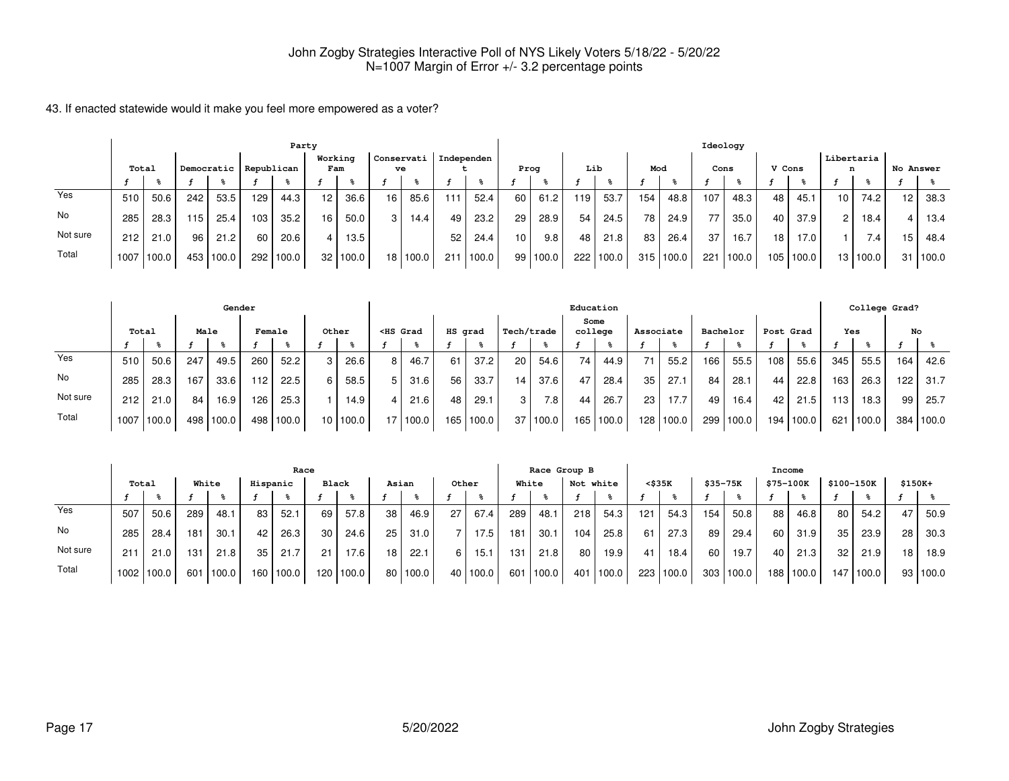|          |       |       |     |                         |     | Party |                |          |                  |            |            |       |                 | Ideology |     |        |     |       |      |        |        |       |                |                   |           |          |
|----------|-------|-------|-----|-------------------------|-----|-------|----------------|----------|------------------|------------|------------|-------|-----------------|----------|-----|--------|-----|-------|------|--------|--------|-------|----------------|-------------------|-----------|----------|
|          | Total |       |     | Democratic   Republican |     |       | Working<br>Fam |          | Conservati<br>ve |            | Independen |       | Prog            |          | Lib |        | Mod |       | Cons |        | V Cons |       | n              | Libertaria        | No Answer |          |
|          |       |       |     |                         |     |       |                |          |                  |            |            |       |                 |          |     |        |     |       |      |        |        |       |                |                   |           |          |
| Yes      | 510   | 50.6  | 242 | 53.5                    | 129 | 44.3  | 12             | 36.6     | 16               | 85.6       | 111        | 52.4  | 60              | 61.2     | 119 | 53.7   | 154 | 48.8  | 107  | 48.3   | 48     | 45.1  | 10 I           | 74.2 <sub>1</sub> | 12        | 38.3     |
| No       | 285   | 28.3  | 115 | 25.4                    | 103 | 35.2  | 16             | 50.0     | 3                | 14.4       | 49         | 23.2  | 29 <sub>1</sub> | 28.9     | 54  | 24.5   | 78  | 24.9  | 77   | 35.0   | 40     | 37.9  | 2 <sup>1</sup> | 18.4              |           | 13.4     |
| Not sure | 212   | 21.0  | 96  | 21.2                    | 60  | 20.6  |                | 13.5     |                  |            | 52         | 24.4  | 10 <sup>1</sup> | 9.8      | 48  | 21.8   | 83  | 26.4  | 37   | 16.7   | 18     | 17.0  |                | 7.4.              | 15        | 48.4     |
| Total    | 1007  | 100.0 |     | 453 100.0               | 292 | 100.0 |                | 32 100.0 |                  | 18   100.0 | 211        | 100.0 | 99              | 100.0    | 222 | '100.0 | 315 | 100.0 | 221  | 1100.0 | 105    | 100.0 |                | 13 100.0          |           | 31 100.0 |

|          |       |       |      | Gender    |        |       |          |                                                                                                                                                                                                                                              |            |         |       |                 |                  |      | Education |           |             |          |       |       |           |     | College Grad? |     |           |
|----------|-------|-------|------|-----------|--------|-------|----------|----------------------------------------------------------------------------------------------------------------------------------------------------------------------------------------------------------------------------------------------|------------|---------|-------|-----------------|------------------|------|-----------|-----------|-------------|----------|-------|-------|-----------|-----|---------------|-----|-----------|
|          | Total |       | Male |           | Female |       | Other    | <hs grad<="" th=""><th></th><th>HS grad</th><th></th><th>Tech/trade</th><th></th><th>Some</th><th>college</th><th>Associate</th><th></th><th>Bachelor</th><th></th><th></th><th>Post Grad</th><th>Yes</th><th></th><th>No</th><th></th></hs> |            | HS grad |       | Tech/trade      |                  | Some | college   | Associate |             | Bachelor |       |       | Post Grad | Yes |               | No  |           |
|          |       |       |      |           |        |       |          |                                                                                                                                                                                                                                              |            |         |       |                 |                  |      |           |           |             |          |       |       |           |     |               |     |           |
| Yes      | 510   | 50.6  | 247  | 49.5      | 260    | 52.2  | 26.6     | 8                                                                                                                                                                                                                                            | 46.7       | 61      | 37.2  | 20 <sub>1</sub> | 54.6             | 74   | 44.9      | 71        | 55.2        | 166      | 55.5  | 108   | 55.6      | 345 | 55.5          | 164 | 42.6      |
| No       | 285   | 28.3  | 167  | 33.6      | 112    | 22.5  | 58.5     | 5                                                                                                                                                                                                                                            | 31.6       | 56      | 33.7  | 14              | 37.6             | 47   | 28.4      | 35        | 27.1        | 84       | 28.1  | 44    | 22.8      | 163 | 26.3          | 122 | 31.7      |
| Not sure | 212   | 21.0  | 84 I | 16.9      | 126    | 25.3  | 14.9     | 4                                                                                                                                                                                                                                            | 21.6       | 48      | 29.1  | 3               | 7.8 <sub>1</sub> | 44   | 26.7      | 23        | 17.7        | 49       | 16.4  | 42    | 21.5      | 113 | 18.3          | 99  | 25.7      |
| Total    | 1007  | 100.0 |      | 498 100.0 | 498    | 100.0 | 10 100.0 |                                                                                                                                                                                                                                              | 17   100.0 | 165     | 100.0 |                 | 37 100.0         | 165  | ່ 100.0   |           | 128   100.0 | 299      | 100.0 | 194 l | 100.0     | 621 | 100.0         |     | 384 100.0 |

|          |       |       |       |           |          | Race  |       |                   |                 |              |       |       | Race Group B |        |     |                   |        |       |          | Income    |           |       |                 |                       |          |          |
|----------|-------|-------|-------|-----------|----------|-------|-------|-------------------|-----------------|--------------|-------|-------|--------------|--------|-----|-------------------|--------|-------|----------|-----------|-----------|-------|-----------------|-----------------------|----------|----------|
|          | Total |       | White |           | Hispanic |       | Black |                   | Asian           |              | Other |       | White        |        | Not | white             | <\$35K |       | \$35-75K |           | \$75-100K |       |                 | \$100-150K            | $$150K+$ |          |
|          |       |       |       |           |          |       |       |                   |                 |              |       |       |              |        |     |                   |        |       |          |           |           |       |                 |                       |          |          |
| Yes      | 507   | 50.6  | 289   | 48.1      | 83       | 52.1  | 69    | 57.8              | 38 <sub>1</sub> | 46.9         | 27    | 67.4  | 289          | 48.1   | 218 | 54.3              | 121    | 54.3  | 154      | 50.8      | 88        | 46.8  | 80              | 54.2                  | 47       | 50.9     |
| No       | 285   | 28.4  | 181   | 30.1      | 42       | 26.3  | 30    | 24.6              | 25              | 31.0         |       | 17.5  | 181          | 30.1   | 104 | 25.8              | 61     | 27.3  | 89       | 29.4      | 60        | 31.9  | 35 <sub>1</sub> | 23.9                  | 28       | 30.3     |
| Not sure | 211   | 21.0  | 131   | 21.8      | 35       | 21.7  | 21    | 17.6 <sub>1</sub> | 18              | 22.1         |       | 15.1  | 131          | 21.8   | 80  | 19.9              | 41     | 18.4  | 60       | 19.7      | 40        | 21.3  | 32              | 21.9                  | 18       | 18.9     |
| Total    | 1002  | 100.0 |       | 601 100.0 | 160      | 100.0 | 120   | 100.0             |                 | $80$   100.0 | 40    | 100.0 | 601          | 1100.0 | 401 | $^{\prime}$ 100.0 | 223    | 100.0 |          | 303 100.0 | 188       | 100.0 | 147             | $\vert$ 100.0 $\vert$ |          | 93 100.0 |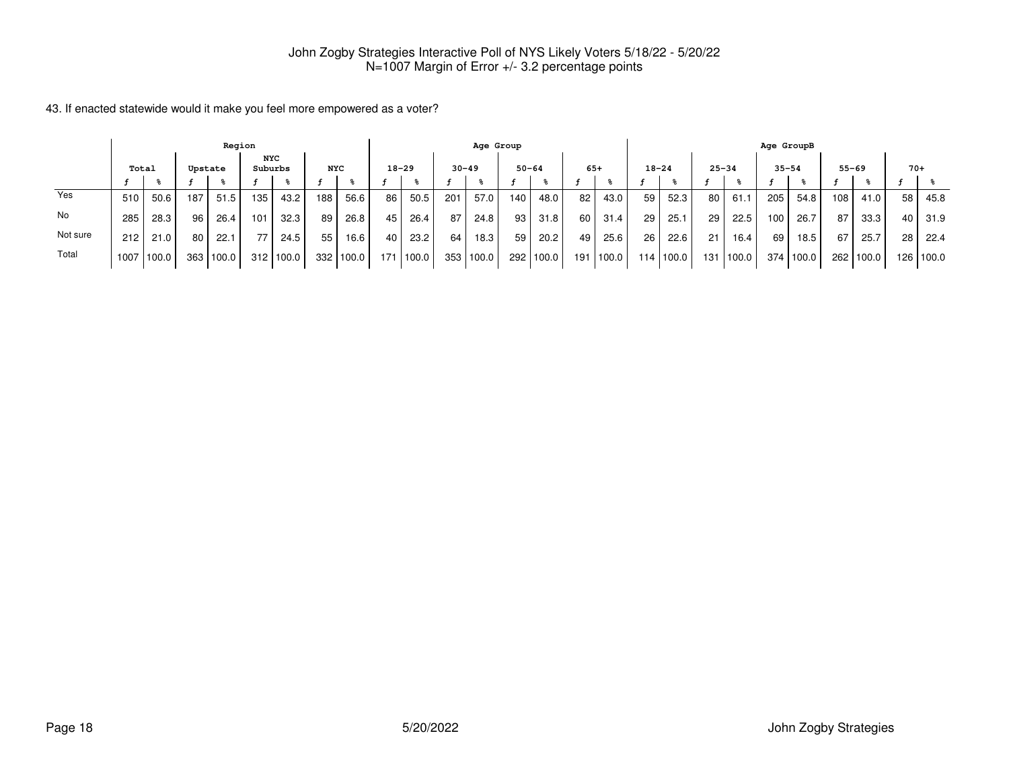|          |       |       |     | Region  |         |            |                  |          |           |       |           | Age Group |                  |       |       |       |           |       |     |           |     | Age GroupB |     |           |       |           |
|----------|-------|-------|-----|---------|---------|------------|------------------|----------|-----------|-------|-----------|-----------|------------------|-------|-------|-------|-----------|-------|-----|-----------|-----|------------|-----|-----------|-------|-----------|
|          | Total |       |     | Upstate | Suburbs | <b>NYC</b> | <b>NYC</b>       |          | $18 - 29$ |       | $30 - 49$ |           | $50 - 64$        |       | $65+$ |       | $18 - 24$ |       |     | $25 - 34$ |     | $35 - 54$  |     | $55 - 69$ | $70+$ |           |
|          |       |       |     |         |         |            |                  |          |           |       |           |           |                  |       |       |       |           |       |     |           |     |            |     |           |       |           |
| Yes      | 510   | 50.6  | 187 | 51.5    | 135     | 43.2       | 188 <sub>1</sub> | 56.6     | 86        | 50.5  | 201       | 57.0      | 140              | 48.0  | 82    | 43.0  | 59        | 52.3  | 80  | 61.       | 205 | 54.8       | 108 | 41.0      | 58 l  | 45.8      |
| No       | 285   | 28.3  | 96  | 26.4    | 101     | 32.3       | 89               | 26.8     | 45        | 26.4  | 87        | 24.8      | 93               | 31.8  | 60    | 31.4  | 29        | 25.1  | 29  | 22.5      | 100 | 26.7       | 87  | 33.3      | 40 l  | 31.9      |
| Not sure | 212   | 21.0  | 80  | 22.1    | 77      | 24.5       | 55               | 16.6     | 40        | 23.2  | 64        | 18.3      | 59               | 20.2  | 49    | 25.6  | 26        | 22.6  | 21  | 16.4      | 69  | 18.5       | 67  | 25.7      | 28 l  | 22.4      |
| Total    | 1007  | 100.0 | 363 | 100.0   | 312     | 100.0      | 332              | : 1100.0 | 171       | 100.0 |           | 353 100.0 | 292 <sub>1</sub> | 100.0 | 191   | 100.0 | 114.      | 100.0 | 131 | 100.0     | 374 | 100.0      | 262 | 100.0     |       | 126 100.0 |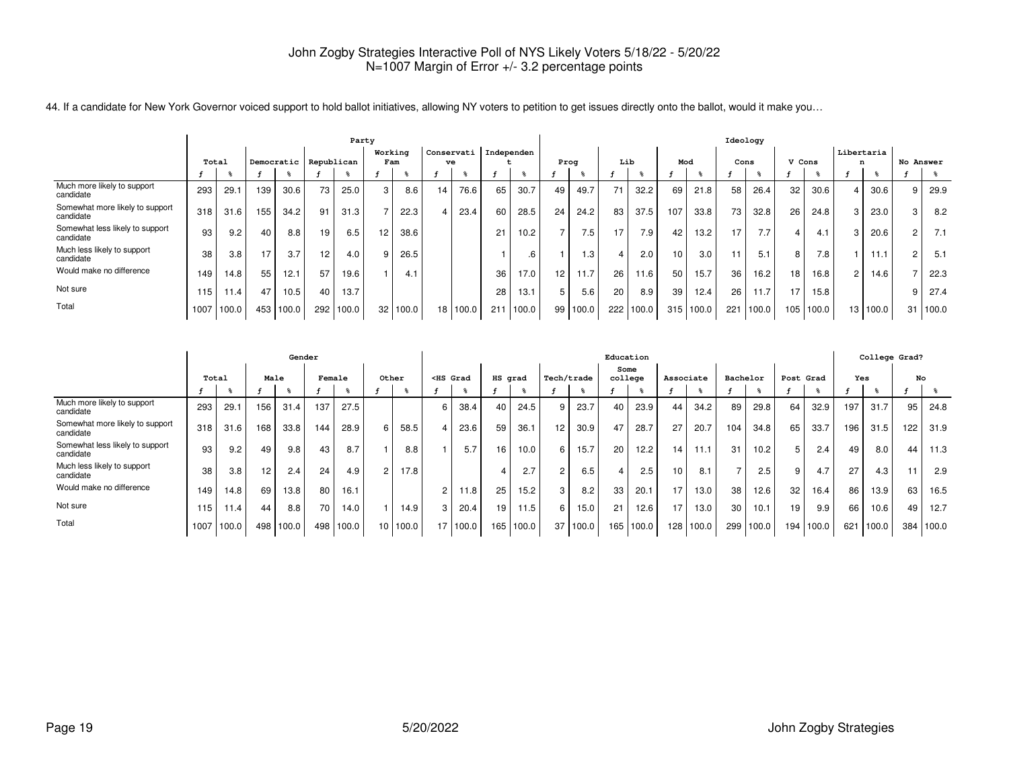|                                              |       |       |     |            |                 | Party |                 |       |            |       |     |            |    |       |                  |       |     |       | Ideology        |       |        |       |            |          |           |       |
|----------------------------------------------|-------|-------|-----|------------|-----------------|-------|-----------------|-------|------------|-------|-----|------------|----|-------|------------------|-------|-----|-------|-----------------|-------|--------|-------|------------|----------|-----------|-------|
|                                              |       |       |     |            |                 |       | Working         |       | Conservati |       |     | Independen |    |       |                  |       |     |       |                 |       |        |       | Libertaria |          |           |       |
|                                              | Total |       |     | Democratic | Republican      |       | Fam             |       | ve         |       |     |            |    | Prog  | Lib              |       | Mod |       | Cons            |       | V Cons |       | n          |          | No Answer |       |
|                                              |       |       |     |            |                 |       |                 |       |            |       |     |            |    |       |                  |       |     |       |                 |       |        |       |            |          |           |       |
| Much more likely to support<br>candidate     | 293   | 29.7  | 139 | 30.6       | 73              | 25.0  | 3               | 8.6   | 14.        | 76.6  | 65  | 30.7       | 49 | 49.7  | 71               | 32.2  | 69  | 21.8  | 58              | 26.4  | 32     | 30.6  | 4          | 30.6     |           | 29.9  |
| Somewhat more likely to support<br>candidate | 318   | 31.6  | 155 | 34.2       | 91              | 31.3  | $\overline{ }$  | 22.3  |            | 23.4  | 60  | 28.5       | 24 | 24.2  | 83               | 37.5  | 107 | 33.8  | 73 <sub>1</sub> | 32.8  | 26     | 24.8  | 3          | 23.0     |           | 8.2   |
| Somewhat less likely to support<br>candidate | 93    | 9.2   | 40  | 8.8        | 19              | 6.5   | 12 <sup>2</sup> | 38.6  |            |       | 21  | 10.2       |    | 7.5   | 17.              | 7.9   | 42  | 13.2  | 17              | 7.7   | Δ      | 4.1   | 3          | 20.6     |           | 7.1   |
| Much less likely to support<br>candidate     | 38    | 3.8   | 17  | 3.7        | 12 <sup>2</sup> | 4.0   | 9               | 26.5  |            |       |     | .6         |    | 1.3   | 4                | 2.0   | 10  | 3.0   |                 | 5.1   | 8      | 7.8   |            | 11.1     |           | 5.1   |
| Would make no difference                     | 149   | 14.8  | 55  | 12.1       | 57              | 19.6  |                 | 4.1   |            |       | 36  | 17.0       | 12 | 11.7  | 26               | 11.6  | 50  | 15.7  | 36              | 16.2  | 18     | 16.8  | 2          | 14.6     |           | 22.3  |
| Not sure                                     | 115   | 11.4  | 47  | 10.5       | 40              | 13.7  |                 |       |            |       | 28  | 13.1       | 5  | 5.6   | 20               | 8.9   | 39  | 12.4  | 26              | 11.7  |        | 15.8  |            |          |           | 27.4  |
| Total                                        | 1007  | 100.0 | 453 | 100.0      | 292             | 100.0 | 32 <sub>1</sub> | 100.0 | 18         | 100.0 | 211 | 100.0      | 99 | 100.0 | 222 <sub>1</sub> | 100.0 | 315 | 100.0 | 221             | 100.0 | 105    | 100.0 |            | 13 100.0 | 31        | 100.0 |

44. If a candidate for New York Governor voiced support to hold ballot initiatives, allowing NY voters to petition to get issues directly onto the ballot, would it make you...

|                                              | Gender |       |     |                  |        |       |                 |       |                                                                                                                                                                                                                                                   |       |         |           |                 |            | Education       |           |                  |       |                 |           |                 |       |     | College Grad? |     |       |
|----------------------------------------------|--------|-------|-----|------------------|--------|-------|-----------------|-------|---------------------------------------------------------------------------------------------------------------------------------------------------------------------------------------------------------------------------------------------------|-------|---------|-----------|-----------------|------------|-----------------|-----------|------------------|-------|-----------------|-----------|-----------------|-------|-----|---------------|-----|-------|
|                                              | Total  |       |     | Male             | Female |       | Other           |       | <hs grad<="" th=""><th></th><th>HS grad</th><th></th><th></th><th>Tech/trade</th><th>Some<br/>college</th><th></th><th>Associate</th><th></th><th>Bachelor</th><th></th><th>Post Grad</th><th></th><th>Yes</th><th></th><th>No</th><th></th></hs> |       | HS grad |           |                 | Tech/trade | Some<br>college |           | Associate        |       | Bachelor        |           | Post Grad       |       | Yes |               | No  |       |
|                                              |        |       |     |                  |        |       |                 |       |                                                                                                                                                                                                                                                   |       |         |           |                 |            |                 |           |                  |       |                 |           |                 |       |     |               |     |       |
| Much more likely to support<br>candidate     | 293    | 29.1  | 156 | 31.4             | 137    | 27.5  |                 |       | 6                                                                                                                                                                                                                                                 | 38.4  | 40      | 24.5      | 9               | 23.7       | 40              | 23.9      | 44               | 34.2  | 89              | 29.8      | 64              | 32.9  | 197 | 31.7          | 95  | 24.8  |
| Somewhat more likely to support<br>candidate | 318    | 31.6  | 168 | 33.8             | 144    | 28.9  | 6               | 58.5  |                                                                                                                                                                                                                                                   | 23.6  | 59      | 36.1      | 12 <sub>1</sub> | 30.9       | 47              | 28.7      | 27               | 20.7  | 104             | 34.8      | 65              | 33.7  | 196 | 31.5          | 122 | 31.9  |
| Somewhat less likely to support<br>candidate | 93     | 9.2   | 49  | 9.8 <sub>1</sub> | 43     | 8.7   |                 | 8.8   |                                                                                                                                                                                                                                                   | 5.7   | 16      | 10.0      | 6 <sup>1</sup>  | 15.7       | 20              | 12.2      | 14               | 11.1  | 31              | 10.2      | 5 I             | 2.4   | 49  | 8.0           | 44  | 11.3  |
| Much less likely to support<br>candidate     | 38     | 3.8   | 12  | 2.4              | 24     | 4.9   | $\overline{2}$  | 17.8  |                                                                                                                                                                                                                                                   |       | 4       | 2.7       |                 | 6.5        |                 | 2.5       | 10 <sup>1</sup>  | 8.1   |                 | 2.5       | Q               | 4.7   | 27  | 4.3           | 11  | 2.9   |
| Would make no difference                     | 149    | 14.8  | 69  | 13.8             | 80     | 16.1  |                 |       | 2                                                                                                                                                                                                                                                 | 11.8  | 25      | 15.2      |                 | 8.2        | 33              | 20.1      | 17               | 13.0  | 38              | 12.6      | 32              | 16.4  | 86  | 13.9          | 63  | 16.5  |
| Not sure                                     | 115    | 11.4  | 44  | 8.8              | 70     | 14.0  |                 | 14.9  | 3                                                                                                                                                                                                                                                 | 20.4  | 19      | 11.5      | 6               | 15.0       | 21              | 12.6      | 17               | 13.0  | 30 <sub>1</sub> | 10.1      | 19 <sub>1</sub> | 9.9   | 66  | 10.6          | 49  | 12.7  |
| Total                                        | 1007   | 100.0 | 498 | 100.0            | 498    | 100.0 | 10 <sup>1</sup> | 100.0 | 17 <sup>1</sup>                                                                                                                                                                                                                                   | 100.0 |         | 165 100.0 |                 | 37 100.0   |                 | 165 100.0 | 128 <sub>1</sub> | 100.0 |                 | 299 100.0 | 194             | 100.0 | 621 | 100.0         | 384 | 100.0 |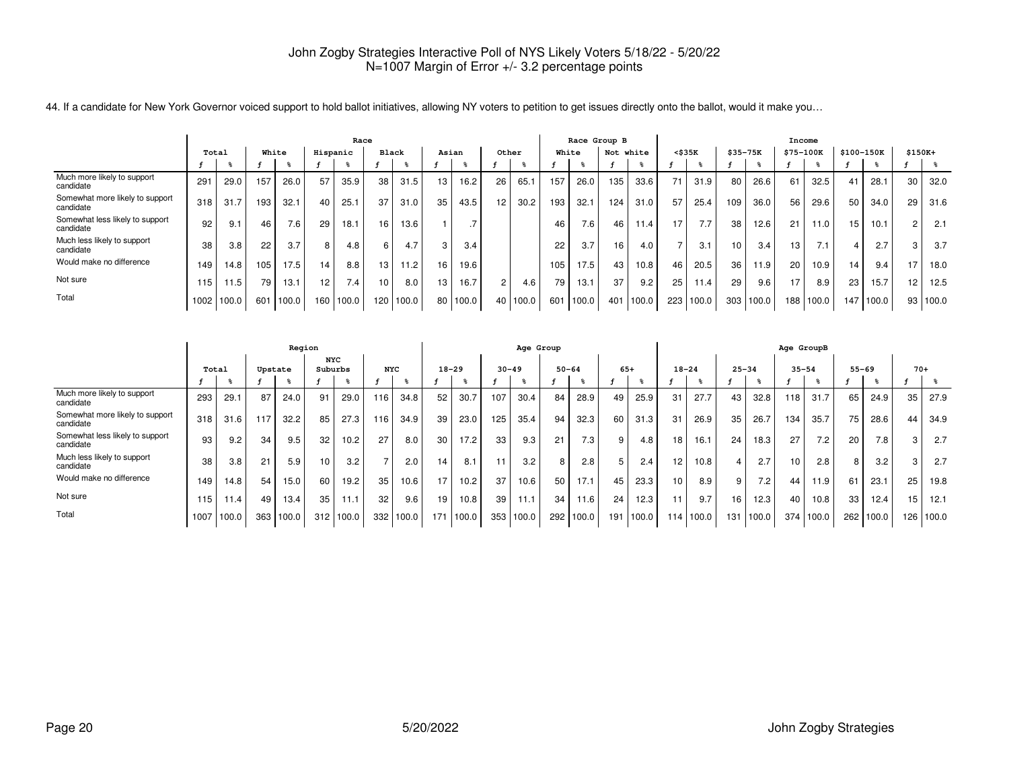|                                              | Race |       |     |       |                 |           |                 |       |    |       |                |       |       | Race Group B |           |       |              |       |                 |                  |           | Income |                 |       |                   |       |
|----------------------------------------------|------|-------|-----|-------|-----------------|-----------|-----------------|-------|----|-------|----------------|-------|-------|--------------|-----------|-------|--------------|-------|-----------------|------------------|-----------|--------|-----------------|-------|-------------------|-------|
|                                              |      | Total |     | White | Hispanic        |           | Black           |       |    | Asian | Other          |       | White |              | Not white |       | $<$ \$35 $K$ |       | \$35-75K        |                  | \$75-100K |        | \$100-150K      |       | \$150K+           |       |
|                                              |      |       |     |       |                 |           |                 |       |    |       |                |       |       |              |           |       |              |       |                 |                  |           |        |                 |       |                   |       |
| Much more likely to support<br>candidate     | 291  | 29.0  | 157 | 26.0  | 57              | 35.9      | 38              | 31.5  | 13 | 16.2  | 26             | 65.1  | 157   | 26.0         | 135       | 33.6  | 71           | 31.9  | 80              | 26.6             | 61        | 32.5   | 41              | 28.1  | 30                | 32.0  |
| Somewhat more likely to support<br>candidate | 318  | 31.7  | 193 | 32.1  | 40              | 25.1      | 37              | 31.0  | 35 | 43.5  | 12             | 30.2  | 193   | 32.1         | 124       | 31.0  | 57           | 25.4  | 109             | 36.0             | 56        | 29.6   | 50              | 34.0  | 29                | 31.6  |
| Somewhat less likely to support<br>candidate | 92   | 9.1   | 46  | 7.6   | 29              | 18.1      | 16 <sub>1</sub> | 13.6  |    | -     |                |       | 46    | 7.6          | 46        | 11.4  | 17           | 7.7   | 38              | 12.6             | 21        | 11.0   | 15 <sub>1</sub> | 10.1  |                   | 2.1   |
| Much less likely to support<br>candidate     | 38   | 3.8   | 22  | 3.7   | 8               | 4.8       | 6               | 4.7   |    | 3.4   |                |       | 22    | 3.7          | 16.       | 4.0   |              | 3.1   | 10              | 3.4              | 13        | 7.1    | 4               | 2.7   |                   | 3.7   |
| Would make no difference                     | 149  | 14.8  | 105 | 17.5  | 14              | 8.8       | 13              | 11.2  | 16 | 19.6  |                |       | 105   | 17.5         | 43        | 10.8  | 46           | 20.5  | 36 <sub>1</sub> | 11.9             | 20        | 10.9   | 14 <sub>1</sub> | 9.4   | 17                | 18.0  |
| Not sure                                     | 115. | 11.5  | 79  | 13.1  | 12 <sup>2</sup> | 7.4       | 10              | 8.0   | 13 | 16.7  | $\overline{2}$ | 4.6   | 79    | 13.1         | 37        | 9.2   | 25           | 11.4  | 29              | 9.6              | 17        | 8.9    | 23              | 15.7  | $12 \overline{ }$ | 12.5  |
| Total                                        | 1002 | 100.0 | 601 | 100.0 |                 | 160 100.0 | 120             | 100.0 | 80 | 100.0 | 40             | 100.0 | 601   | 100.0        | 401       | 100.0 | 223          | 100.0 |                 | $303 \mid 100.0$ | 188       | 100.0  | 147             | 100.0 | 93                | 100.0 |

44. If a candidate for New York Governor voiced support to hold ballot initiatives, allowing NY voters to petition to get issues directly onto the ballot, would it make you…

|                                              |       |       |     | Region  |                       |       |               |       |           |       |           | Age Group |                 |                  |       |           |                 |           |           |        | Age GroupB      |       |           |       |       |       |
|----------------------------------------------|-------|-------|-----|---------|-----------------------|-------|---------------|-------|-----------|-------|-----------|-----------|-----------------|------------------|-------|-----------|-----------------|-----------|-----------|--------|-----------------|-------|-----------|-------|-------|-------|
|                                              | Total |       |     | Upstate | <b>NYC</b><br>Suburbs |       | <b>NYC</b>    |       | $18 - 29$ |       | $30 - 49$ |           | $50 - 64$       |                  | $65+$ |           | $18 - 24$       |           | $25 - 34$ |        | $35 - 54$       |       | $55 - 69$ |       | $70+$ |       |
|                                              |       |       |     |         |                       |       |               |       |           |       |           |           |                 |                  |       |           |                 |           |           |        |                 |       |           |       |       |       |
| Much more likely to support<br>candidate     | 293   | 29.1  | 87  | 24.0    | 91                    | 29.0  | 116           | 34.8  | 52        | 30.7  | 107       | 30.4      | 84              | 28.9             | 49    | 25.9      | 31              | 27.7      | 43        | 32.8   | 118             | 31.7  | 65        | 24.9  | 35    | 27.9  |
| Somewhat more likely to support<br>candidate | 318   | 31.6  | 117 | 32.2    | 85                    | 27.3  | 116           | 34.9  | 39        | 23.0  | 125       | 35.4      | 94              | 32.3             | 60    | 31.3      | 31              | 26.9      | 35        | 26.7   | 134             | 35.7  | 75        | 28.6  | 44    | 34.9  |
| Somewhat less likely to support<br>candidate | 93    | 9.2   | 34  | 9.5     | 32                    | 10.2  | 27            | 8.0   | 30        | 17.2  | 33        | 9.3       | 21              | 7.3 <sub>1</sub> | g     | 4.8       | 18              | 16.1      | 24        | 18.3   | 27              | 7.2   | 20        | 7.8   | 3     | 2.7   |
| Much less likely to support<br>candidate     | 38    | 3.8   | 21  | 5.9     | 10                    | 3.2   | $\rightarrow$ | 2.0   | 14        | 8.1   | 11        | 3.2       | 8               | 2.8              |       | 2.4       | 12              | 10.8      | 4         | 2.7    | 10 <sub>1</sub> | 2.8   |           | 3.2   | 3     | 2.7   |
| Would make no difference                     | 149   | 14.8  | 54  | 15.0    | 60                    | 19.2  | 35            | 10.6  | 17        | 10.2  | 37        | 10.6      | 50              | 17.1             | 45    | 23.3      | 10 <sup>1</sup> | 8.9       | 9         | 7.2    | 44              | 11.9  | 61        | 23.1  | 25    | 19.8  |
| Not sure                                     | 115   | 11.4  | 49  | 13.4    | 35                    | 11.1  | 32            | 9.6   | 19        | 10.8  | 39        | 11.1      | 34 <sub>1</sub> | 11.6             | 24    | 12.3      |                 | 9.7       | 16        | 12.3   | 40              | 10.8  | 33        | 12.4  | 15    | 12.1  |
| Total                                        | 1007  | 100.0 | 363 | 100.0   | 312                   | 100.0 | 332           | 100.0 | 171       | 100.0 |           | 353 100.0 | 292             | 100.0            |       | 191 100.0 |                 | 114 100.0 | 131       | 1100.0 | 374             | 100.0 | 262       | 100.0 | 126   | 100.0 |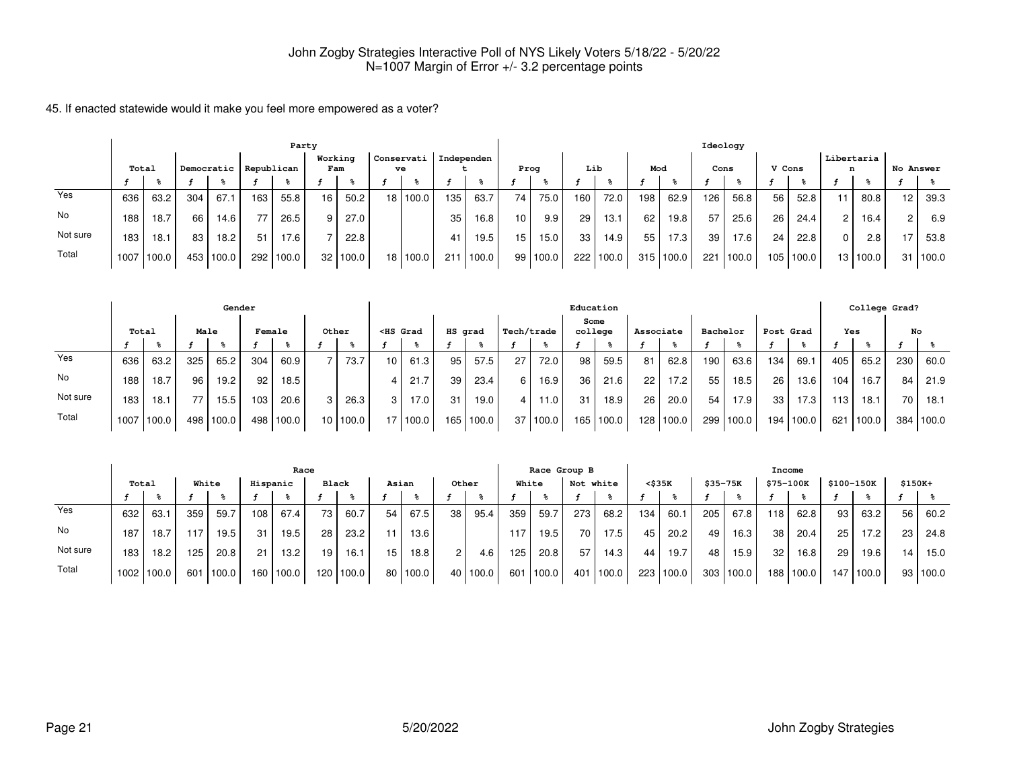|          |       |       |     |            |     | Party             |                |          |                  |       |            |       |                 |       |     |       |     |       | Ideology |       |        |       |               |            |           |       |
|----------|-------|-------|-----|------------|-----|-------------------|----------------|----------|------------------|-------|------------|-------|-----------------|-------|-----|-------|-----|-------|----------|-------|--------|-------|---------------|------------|-----------|-------|
|          | Total |       |     | Democratic |     | Republican        | Working<br>Fam |          | Conservati<br>ve |       | Independen |       | Prog            |       | Lib |       | Mod |       | Cons     |       | V Cons |       | n             | Libertaria | No Answer |       |
|          |       |       |     |            |     |                   |                |          |                  |       |            |       |                 |       |     |       |     |       |          |       |        |       |               |            |           |       |
| Yes      | 636   | 63.2  | 304 | 67.1       | 163 | 55.8              | 16             | 50.2     | 18 I             | 100.0 | 135        | 63.7  | 74 <sub>1</sub> | 75.0  | 160 | 72.0  | 198 | 62.9  | 126      | 56.8  | 56     | 52.8  |               | 80.8       | 12        | 39.3  |
| No       | 188   | 18.7  | 66  | 14.6       | 77  | 26.5 <sub>1</sub> | 9 I            | 27.0     |                  |       | 35         | 16.8  | 10 <sup>1</sup> | 9.9   | 29  | 13.1  | 62  | 19.8  | 57       | 25.6  | 26     | 24.4  | $\mathcal{P}$ | 16.4       | 2         | 6.9   |
| Not sure | 183   | 18.1  | 83  | 18.2       | 51  | 17.6 <sub>1</sub> |                | 22.8     |                  |       | 41         | 19.5  | 15              | 15.0  | 33  | 14.9  | 55  | 17.3  | 39       | 17.6  | 24     | 22.8  | $\Omega$      | 2.8        | 17        | 53.8  |
| Total    | 1007  | 100.0 |     | 453 100.0  | 292 | 100.0             |                | 32 100.0 | 18 I             | 100.0 | 211        | 100.0 | 99 <sub>1</sub> | 100.0 | 222 | 100.0 | 315 | 100.0 | 221      | 100.0 | 105    | 100.0 |               | 13   100.0 | 31 I      | 100.0 |

|          |       |       |      | Gender    |        |       |                 |       |                                                                                                                                                                                                                                              |            |         |       |            |          |      | Education   |           |             |          |       |     |                   |     | College Grad? |     |           |
|----------|-------|-------|------|-----------|--------|-------|-----------------|-------|----------------------------------------------------------------------------------------------------------------------------------------------------------------------------------------------------------------------------------------------|------------|---------|-------|------------|----------|------|-------------|-----------|-------------|----------|-------|-----|-------------------|-----|---------------|-----|-----------|
|          | Total |       | Male |           | Female |       | Other           |       | <hs grad<="" th=""><th></th><th>HS grad</th><th></th><th>Tech/trade</th><th></th><th>Some</th><th>college</th><th>Associate</th><th></th><th>Bachelor</th><th></th><th></th><th>Post Grad</th><th>Yes</th><th></th><th>No</th><th></th></hs> |            | HS grad |       | Tech/trade |          | Some | college     | Associate |             | Bachelor |       |     | Post Grad         | Yes |               | No  |           |
|          |       |       |      |           |        |       |                 |       |                                                                                                                                                                                                                                              |            |         |       |            |          |      |             |           |             |          |       |     |                   |     |               |     |           |
| Yes      | 636   | 63.2  | 325  | 65.2      | 304    | 60.9  |                 | 73.7  | 10 <sup>1</sup>                                                                                                                                                                                                                              | 61.3       | 95      | 57.5  | 27         | 72.0     | 98   | 59.5        | 81        | 62.8        | 190      | 63.6  | 134 | 69.1              | 405 | 65.2          | 230 | 60.0      |
| No       | 188   | 18.7  | 96   | 19.2      | 92     | 18.5  |                 |       |                                                                                                                                                                                                                                              | 21.7       | 39      | 23.4  | 6 I        | 16.9     | 36   | 21.6        | 22        | 17.2        | 55       | 18.5  | 26  | 13.6              | 104 | 16.7          | 84  | 21.9      |
| Not sure | 183   | 18.1  | 771  | 15.5      | 103    | 20.6  | C.              | 26.3  | 3                                                                                                                                                                                                                                            | 17.0       | 31      | 19.0  |            | 11.0     | 31   | 18.9        | 26        | 20.0        | 54       | 17.9  | 33  | 17.3 <sub>1</sub> | 113 | 18.1          | 70  | 18.1      |
| Total    | 1007  | 100.0 |      | 498 100.0 | 498    | 100.0 | 10 <sup>1</sup> | 100.0 |                                                                                                                                                                                                                                              | 17   100.0 | 165     | 100.0 |            | 37 100.0 |      | 165   100.0 |           | 128   100.0 | 299      | 100.0 |     | 194   100.0       | 621 | 100.0         |     | 384 100.0 |

|          |                   | Race  |       |       |          |       |                 |           |                 |            |                |       |       |                   | Race Group B |        |     |        |          |       | Income           |       |                 |            |          |          |
|----------|-------------------|-------|-------|-------|----------|-------|-----------------|-----------|-----------------|------------|----------------|-------|-------|-------------------|--------------|--------|-----|--------|----------|-------|------------------|-------|-----------------|------------|----------|----------|
|          | Total             |       | White |       | Hispanic |       | Black           |           | Asian           |            | Other          |       | White |                   | Not white    |        |     | <\$35K | \$35-75K |       | \$75-100K        |       |                 | \$100-150K | $$150K+$ |          |
|          |                   |       |       |       |          |       |                 |           |                 |            |                |       |       |                   |              |        |     |        |          |       |                  |       |                 |            |          |          |
| Yes      | 632               | 63.1  | 359   | 59.7  | 108      | 67.4  | 73 <sub>1</sub> | 60.7      | 54              | 67.5       | 38             | 95.4  | 359   | 59.7              | 273          | 68.2   | 134 | 60.    | 205      | 67.8  | 118              | 62.8  | 93 l            | 63.2       | 56       | 60.2     |
| No       | 187               | 18.7  |       | 19.5  | 31       | 19.5  | 28              | 23.2      | 11              | 13.6       |                |       | 117   | 19.5 <sub>1</sub> | 70           | 17.5   | 45  | 20.2   | 49       | 16.3  | 38               | 20.4  | 25 <sub>1</sub> | 17.2       | 23       | 24.8     |
| Not sure | 183               | 18.2  | 125   | 20.8  | 21       | 13.2  | 19              | 16.1      | 15 <sub>1</sub> | 18.8       | 2 <sub>1</sub> | 4.6   | 125   | 20.8              | 57           | 14.3   | 44  | 19.7   | 48       | 15.9  | 32               | 16.8  | 29 l            | 19.6       | 14       | 15.0     |
| Total    | 1002 <sub>1</sub> | 100.0 | 601   | 100.0 | 160 l    | 100.0 |                 | 120 100.0 |                 | 80   100.0 | 40             | 100.0 | 601   | 100.0             | 401          | '100.0 | 223 | 100.0  | 303      | 100.0 | 188 <sub>1</sub> | 100.0 | 147             | 100.0      |          | 93 100.0 |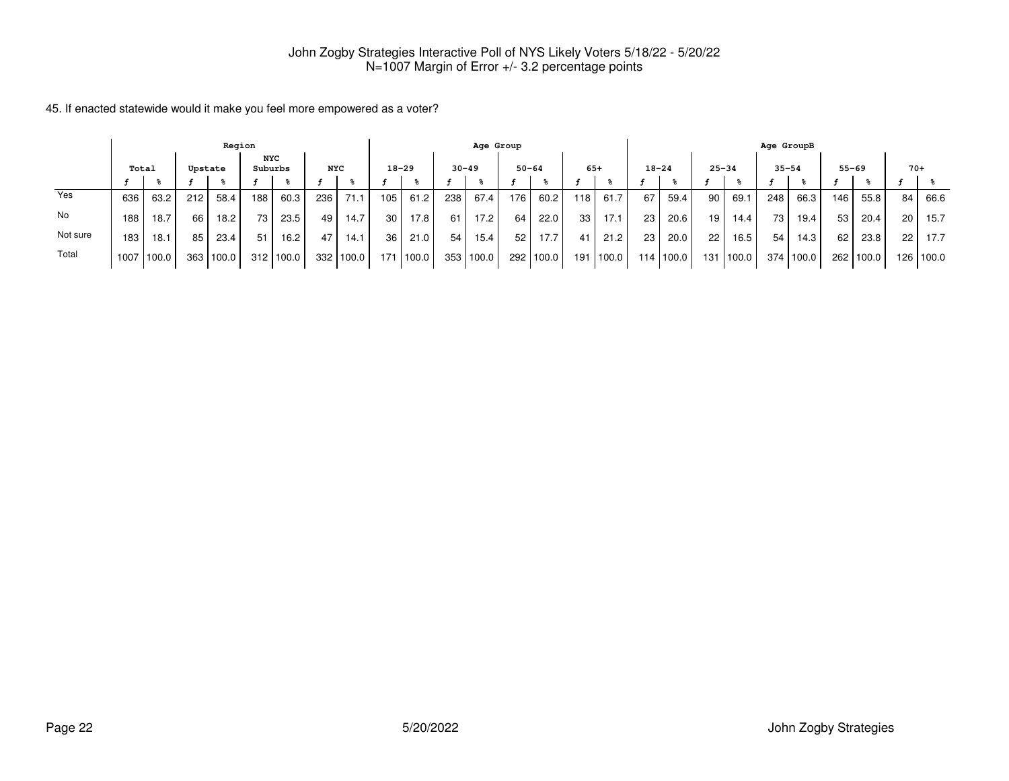|          |                                                  |       |     | Region |     |       |     |       |     |           |           | Age Group |                  |       |       |        |           |       |           |            | Age GroupB |       |     |           |       |             |
|----------|--------------------------------------------------|-------|-----|--------|-----|-------|-----|-------|-----|-----------|-----------|-----------|------------------|-------|-------|--------|-----------|-------|-----------|------------|------------|-------|-----|-----------|-------|-------------|
|          | NYC<br>Suburbs<br><b>NYC</b><br>Total<br>Upstate |       |     |        |     |       |     |       |     | $18 - 29$ | $30 - 49$ |           | $50 - 64$        |       | $65+$ |        | $18 - 24$ |       | $25 - 34$ |            | $35 - 54$  |       |     | $55 - 69$ | $70+$ |             |
|          |                                                  |       |     |        |     |       |     |       |     |           |           |           |                  |       |       |        |           |       |           |            |            |       |     |           |       |             |
| Yes      | 636                                              | 63.2  | 212 | 58.4   | 188 | 60.3  | 236 | 71.1  | 105 | 61.2      | 238       | 67.4      | 176 <sub>1</sub> | 60.2  | 118   | 61.7   | 67        | 59.4  | 90        | 69.        | 248        | 66.3  | 146 | 55.8      | 84    | 66.6        |
| No       | 188.                                             | 18.7  | 66  | 18.2   | 73  | 23.5  | 49  | 14.7  | 30  | 17.8      | 61        | 17.2      | 64               | 22.0  | 33    | 17.7   | 23        | 20.6  | 19        | 14.4       | 73         | 19.4  | 53  | 20.4      | 20    | 15.7        |
| Not sure | 183                                              | 18.1  | 85  | 23.4   | 51  | 16.2  | 47  | 14.1  | 36  | 21.0      | 54        | 15.4      | 52               | 17.7  | 41    | 21.2   | 23        | 20.0  | 22        | 16.5       | 54         | 14.3  | 62  | 23.8      | 22    | 17.7        |
| Total    | 1007                                             | 100.0 | 363 | 100.0  | 312 | 100.0 | 332 | 100.0 | 171 | 100.0     | 353       | 100.0     | 292              | 100.0 | 191   | 1100.0 | 114       | 100.0 | 131 l     | $'100.0$ . | 374        | 100.0 |     | 262 100.0 |       | 126   100.0 |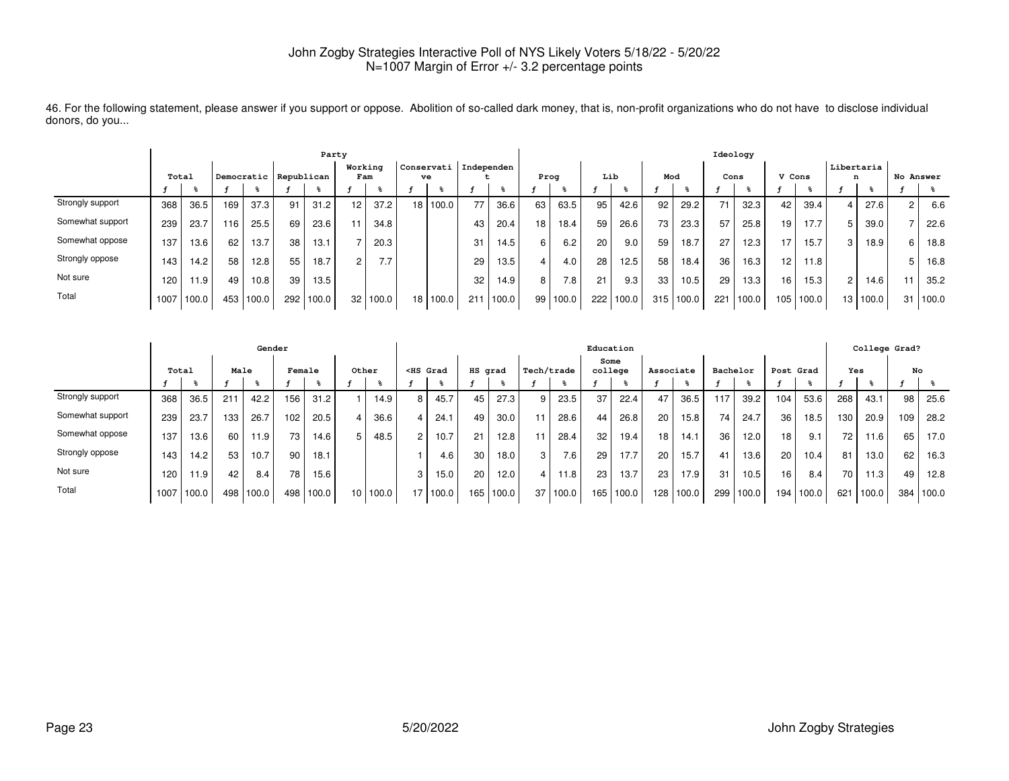|                  | Party |       |     |                       |     |       |                |       |  |                               |     |       |                 |       |      |       |     |       | Ideology |       |        |       |                        |       |                |       |
|------------------|-------|-------|-----|-----------------------|-----|-------|----------------|-------|--|-------------------------------|-----|-------|-----------------|-------|------|-------|-----|-------|----------|-------|--------|-------|------------------------|-------|----------------|-------|
|                  | Total |       |     | Democratic Republican |     |       | Working<br>Fam |       |  | Conservati   Independen<br>ve |     |       | Prog            |       | Lib  |       | Mod |       | Cons     |       | V Cons |       | <b>Libertaria</b><br>n |       | No Answer      |       |
|                  |       |       |     |                       |     |       |                |       |  |                               |     |       |                 |       |      |       |     |       |          |       |        |       |                        |       |                |       |
| Strongly support | 368   | 36.5  | 169 | 37.3                  | 91  | 31.2  | 12             | 37.2  |  | 18 100.0                      | 77  | 36.6  | 63              | 63.5  | 95   | 42.6  | 92  | 29.2  | 71       | 32.3  | 42     | 39.4  |                        | 27.6  | $\overline{c}$ | 6.6   |
| Somewhat support | 239   | 23.7  | 116 | 25.5                  | 69  | 23.6  |                | 34.8  |  |                               | 43  | 20.4  | 18 <sub>1</sub> | 18.4  | 59   | 26.6  | 73  | 23.3  | 57       | 25.8  | 19     | 17.7  |                        | 39.0  |                | 22.6  |
| Somewhat oppose  | 137   | 13.6  | 62  | 13.7                  | 38  | 13.1  |                | 20.3  |  |                               | 31  | 14.5  | 6 I             | 6.2   | 20   | 9.0   | 59  | 18.7  | 27       | 12.3  | 17     | 15.7  | 3                      | 18.9  | 6              | 18.8  |
| Strongly oppose  | 143   | 14.2  | 58  | 12.8                  | 55  | 18.7  |                | 7.7   |  |                               | 29  | 13.5  |                 | 4.0   | 28   | 12.5  | 58  | 18.4  | 36       | 16.3  | 12     | 11.8  |                        |       |                | 16.8  |
| Not sure         | 120   | 11.9  | 49  | 10.8                  | 39  | 13.5  |                |       |  |                               | 32  | 14.9  | 8               | 7.8   | 21   | 9.3   | 33  | 10.5  | 29       | 13.3  | 16     | 15.3  | $\overline{2}$         | 14.6  |                | 35.2  |
| Total            | 1007  | 100.0 | 453 | 100.0                 | 292 | 100.0 | 32             | 100.0 |  | 18 100.0                      | 211 | 100.0 | 99              | 100.0 | 2221 | 100.0 | 315 | 100.0 | 221      | 100.0 | 105    | 100.0 | 13 <sup>1</sup>        | 100.0 | 31             | 100.0 |

46. For the following statement, please answer if you support or oppose. Abolition of so-called dark money, that is, non-profit organizations who do not have to disclose individualdonors, do you...

|                  |       |       |      | Gender |                 |                   |                 |       |                                                                                                                                                                                                                                                   |       |         |                   |    |                  |                 | Education |           |       |          |       |                  |       |     | College Grad? |     |       |
|------------------|-------|-------|------|--------|-----------------|-------------------|-----------------|-------|---------------------------------------------------------------------------------------------------------------------------------------------------------------------------------------------------------------------------------------------------|-------|---------|-------------------|----|------------------|-----------------|-----------|-----------|-------|----------|-------|------------------|-------|-----|---------------|-----|-------|
|                  | Total |       | Male |        | Female          |                   | Other           |       | <hs grad<="" th=""><th></th><th>HS grad</th><th></th><th></th><th>Tech/trade</th><th>Some<br/>college</th><th></th><th>Associate</th><th></th><th>Bachelor</th><th></th><th>Post Grad</th><th></th><th>Yes</th><th></th><th>No</th><th></th></hs> |       | HS grad |                   |    | Tech/trade       | Some<br>college |           | Associate |       | Bachelor |       | Post Grad        |       | Yes |               | No  |       |
|                  |       |       |      |        |                 |                   |                 |       |                                                                                                                                                                                                                                                   |       |         |                   |    |                  |                 |           |           |       |          |       |                  |       |     |               |     |       |
| Strongly support | 368   | 36.5  | 211  | 42.2   | 156             | 31.2              |                 | 14.9  | 8                                                                                                                                                                                                                                                 | 45.7  | 45      | 27.3              |    | 23.5             | 37              | 22.4      |           | 36.5  | 117      | 39.2  | 104              | 53.6  | 268 | 43.1          | 98  | 25.6  |
| Somewhat support | 239   | 23.7  | 133. | 26.7   | 102             | 20.5              | 4               | 36.6  | 4                                                                                                                                                                                                                                                 | 24.   | 49      | 30.0              |    | 28.6             | 44              | 26.8      | 20        | 15.8  | 74       | 24.7  | 36               | 18.5  | 130 | 20.9          | 109 | 28.2  |
| Somewhat oppose  | 137   | 13.6  | 60   | 11.9   | 73 <sub>1</sub> | 14.6 <sub>1</sub> | 5               | 48.5  | $\overline{2}$                                                                                                                                                                                                                                    | 10.7  | 21      | 12.8 <sub>1</sub> |    | 28.4             | 32              | 19.4      | 18        | 14.1  | 36       | 12.0  | 18               | 9.1   | 72  | 11.6          | 65  | 17.0  |
| Strongly oppose  | 143   | 14.2  | 53   | 10.7   | 90              | 18.1              |                 |       |                                                                                                                                                                                                                                                   | 4.6   | 30      | 18.0              | 31 | 7.6 <sub>1</sub> | 29              | 17.7      | 20        | 15.7  | 41       | 13.6  | 20               | 10.4. | 81  | 13.0          | 62  | 16.3  |
| Not sure         | 120   | 11.9  | 42   | 8.4    | 78              | 15.6              |                 |       | 3                                                                                                                                                                                                                                                 | 15.0  | 20      | 12.0              |    | 11.8             | 23              | 13.7      | 23        | 17.9  | 31       | 10.5  | 16               | 8.4   | 70  | 11.3          | 49  | 12.8  |
| Total            | 1007  | 100.0 | 498  | 100.0  | 498             | 100.0             | 10 <sup>1</sup> | 100.0 | 17                                                                                                                                                                                                                                                | 100.0 | 165     | 100.0             | 37 | 100.0            | 165             | 100.0     | 128       | 100.0 | 299      | 100.0 | 194 <sub>1</sub> | 100.0 | 621 | 100.0         | 384 | 100.0 |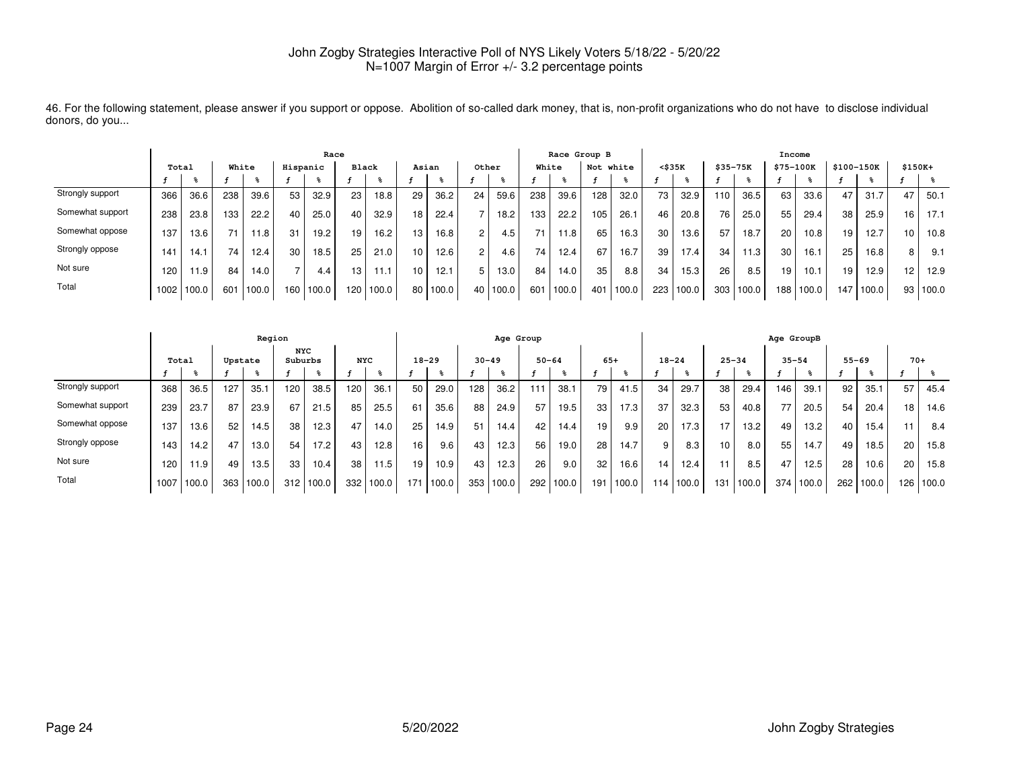|                  | Race  |       |       |       |          |       |       |       |       |       |        |       |       |       | Race Group B    |       |                 |                   |             |       | Income    |       |            |       |          |          |
|------------------|-------|-------|-------|-------|----------|-------|-------|-------|-------|-------|--------|-------|-------|-------|-----------------|-------|-----------------|-------------------|-------------|-------|-----------|-------|------------|-------|----------|----------|
|                  | Total |       | White |       | Hispanic |       | Black |       | Asian |       | Other  |       | White |       | Not white       |       | $<$ \$35 $K$    |                   | $$35 - 75K$ |       | \$75-100K |       | \$100-150K |       | $$150K+$ |          |
|                  |       |       |       |       |          |       |       |       |       |       |        |       |       |       |                 |       |                 |                   |             |       |           |       |            |       |          |          |
| Strongly support | 366   | 36.6  | 238   | 39.6  | 53       | 32.9  | 23    | 18.8  | 29    | 36.2  | 24     | 59.6  | 238   | 39.6  | 128             | 32.0  | 73 <sub>1</sub> | 32.9              | 110.        | 36.5  | 63        | 33.6  | 47         | 31.7  | 47       | 50.1     |
| Somewhat support | 238   | 23.8  | 133.  | 22.2  | 40       | 25.0  | 40    | 32.9  | 18    | 22.4  |        | 18.2  | 133   | 22.2  | 105             | 26.1  | 46              | 20.8              | 76          | 25.0  | 55        | 29.4  | 38         | 25.9  | 16       | 17.1     |
| Somewhat oppose  | 137   | 13.6  | 71    | 11.8  | 31       | 19.2  | 19    | 16.2  | 13    | 16.8  | $\sim$ | 4.5   | 71    | 11.8  | 65              | 16.3  | 30              | 13.6              | 57          | 18.7  | 20        | 10.8  | 19         | 12.7  | 10       | 10.8     |
| Strongly oppose  | 141   | 14.1  | 74    | 12.4  | 30       | 18.5  | 25    | 21.0  | 10    | 12.6  | $\sim$ | 4.6   | 74    | 12.4  | 67              | 16.7  | 39              | 17.4 <sub>1</sub> | 34          | 11.3  | 30        | 16.1  | 25         | 16.8  | 8        | 9.1      |
| Not sure         | 120.  | 11.9  | 84    | 14.0  | -        | 4.4   | 13    |       |       | 12.1  |        | 13.0  | 84    | 14.0  | 35              | 8.8   | 34              | 15.3              | 26          | 8.5   | 19        | 10.1  | 19         | 12.9  | 12       | 12.9     |
| Total            | 1002  | 100.0 | 601   | 100.0 | 160      | 100.0 | 120   | 100.0 | 80    | 100.0 | 40     | 100.0 | 601   | 100.0 | 40 <sup>1</sup> | 100.0 | 223             | 100.0             | 303         | 100.0 | 188       | 100.0 | 147        | 100.0 |          | 93 100.0 |

46. For the following statement, please answer if you support or oppose. Abolition of so-called dark money, that is, non-profit organizations who do not have to disclose individualdonors, do you...

|                  |      |       |         | Region |                       |       |            |                   |           |       |           | Age Group |           |       |       |       |           |       |           |       | Age GroupB |       |           |       |       |       |
|------------------|------|-------|---------|--------|-----------------------|-------|------------|-------------------|-----------|-------|-----------|-----------|-----------|-------|-------|-------|-----------|-------|-----------|-------|------------|-------|-----------|-------|-------|-------|
|                  |      | Total | Upstate |        | <b>NYC</b><br>Suburbs |       | <b>NYC</b> |                   | $18 - 29$ |       | $30 - 49$ |           | $50 - 64$ |       | $65+$ |       | $18 - 24$ |       | $25 - 34$ |       | $35 - 54$  |       | $55 - 69$ |       | $70+$ |       |
|                  |      |       |         |        |                       |       |            |                   |           |       |           |           |           |       |       |       |           |       |           |       |            |       |           |       |       |       |
| Strongly support | 368  | 36.5  | 127     | 35.1   | 120                   | 38.5  | 120        | 36.1              | 50        | 29.0  | 128       | 36.2      | 111       | 38.1  | 79    | 41.5  | 34        | 29.7  | 38        | 29.4  | 146        | 39.1  | 92        | 35.1  | 57    | 45.4  |
| Somewhat support | 239  | 23.7  | 87      | 23.9   | 67                    | 21.5  | 85         | 25.5              | 61        | 35.6  | 88        | 24.9      | 57        | 19.5  | 33    | 17.3  | 37        | 32.3  | 53        | 40.8  | 77         | 20.5  | 54        | 20.4  | 18    | 14.6  |
| Somewhat oppose  | 137  | 13.6  | 52      | 14.5   | 38                    | 12.3  | 47         | 14.0              | 25        | 14.9  | 51        | 14.4      | 42        | 14.4  | 19    | 9.9   | 20        | 17.3  | - 1       | 13.2  | 49         | 13.2  | 40        | 15.4  | 11    | 8.4   |
| Strongly oppose  | 143  | 14.2  | 47      | 13.0   | 54                    | 17.2  | 43         | 12.8              | 16        | 9.6   | 43        | 12.3      | 56        | 19.0  | 28    | 14.7  | 9         | 8.3   | 10        | 8.0   | 55         | 14.7  | 49        | 18.5  | 20    | 15.8  |
| Not sure         | 120  | 11.9  | 49      | 13.5   | 33                    | 10.4  | 38         | 11.5 <sub>1</sub> | 19        | 10.9  | 43        | 12.3      | 26        | 9.0   | 32    | 16.6  | 14        | 12.4  |           | 8.5   | 47         | 12.5  | 28        | 10.6  | 20    | 15.8  |
| Total            | 1007 | 100.0 | 363     | 100.0  | 312                   | 100.0 | 332        | 100.0             | 171       | 100.0 | 353       | 100.0     | 292       | 100.0 | 191   | 100.0 | 114.      | 100.0 | 131       | 100.0 | 374 l      | 100.0 | 262       | 100.0 | 126   | 100.0 |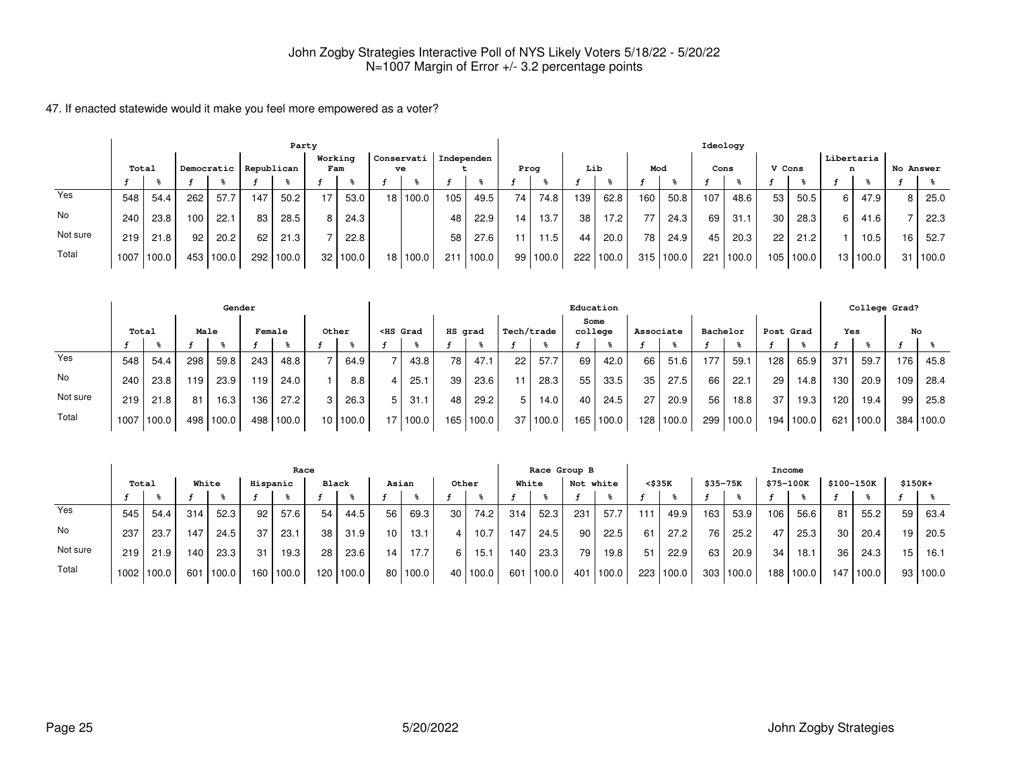|          | Party |       |     |            |     |            |                |          |                 |        |            |       |                 |       |     |       |     |           | Ideology |       |        |       |                 |                   |           |       |
|----------|-------|-------|-----|------------|-----|------------|----------------|----------|-----------------|--------|------------|-------|-----------------|-------|-----|-------|-----|-----------|----------|-------|--------|-------|-----------------|-------------------|-----------|-------|
|          | Total |       |     | Democratic |     | Republican | Working<br>Fam |          | Conservati      | ve     | Independen |       | Prog            |       | Lib |       | Mod |           | Cons     |       | V Cons |       | Libertaria<br>n |                   | No Answer |       |
|          |       |       |     |            |     |            |                |          |                 |        |            |       |                 |       |     |       |     |           |          |       |        |       |                 |                   |           |       |
| Yes      | 548   | 54.4  | 262 | 57.7       | 147 | 50.2       | 17.            | 53.0     | 18 <sup>1</sup> | 100.0  | 105        | 49.5  | 74              | 74.8  | 139 | 62.8  | 160 | 50.8      | 107      | 48.6  | 53     | 50.5  | 6 I             | 47.9              | 8         | 25.0  |
| No       | 240   | 23.8  | 100 | 22.1       | 83  | 28.5       | 8 I            | 24.3     |                 |        | 48         | 22.9  | 14 <sub>1</sub> | 13.7  | 38  | 17.2  | 77  | 24.3      | 69       | 31.7  | 30     | 28.3  | 6 I             | 41.6              |           | 22.3  |
| Not sure | 219   | 21.8  | 92  | 20.2       | 62  | 21.3       |                | 22.8     |                 |        | 58         | 27.6  | 11              | 11.5  | 44  | 20.0  | 78  | 24.9      | 45       | 20.3  | 22     | 21.2  |                 | 10.5 <sub>1</sub> | 16        | 52.7  |
| Total    | 1007  | 100.0 |     | 453 100.0  | 292 | 100.0      |                | 32 100.0 | 18 I            | '100.0 | 211        | 100.0 | 99 l            | 100.0 | 222 | 100.0 |     | 315 100.0 | 221      | 100.0 | 105    | 100.0 |                 | 13 100.0          | 31 I      | 100.0 |

|          |       |       |      | Gender    |        |       |          |                                                                                                                                                                                                                                              |            |         |       |            |          |      | Education |           |             |          |       |       |                   |     | College Grad? |                  |           |
|----------|-------|-------|------|-----------|--------|-------|----------|----------------------------------------------------------------------------------------------------------------------------------------------------------------------------------------------------------------------------------------------|------------|---------|-------|------------|----------|------|-----------|-----------|-------------|----------|-------|-------|-------------------|-----|---------------|------------------|-----------|
|          | Total |       | Male |           | Female |       | Other    | <hs grad<="" th=""><th></th><th>HS grad</th><th></th><th>Tech/trade</th><th></th><th>Some</th><th>college</th><th>Associate</th><th></th><th>Bachelor</th><th></th><th></th><th>Post Grad</th><th>Yes</th><th></th><th>No</th><th></th></hs> |            | HS grad |       | Tech/trade |          | Some | college   | Associate |             | Bachelor |       |       | Post Grad         | Yes |               | No               |           |
|          |       |       |      |           |        |       |          |                                                                                                                                                                                                                                              |            |         |       |            |          |      |           |           |             |          |       |       |                   |     |               |                  |           |
| Yes      | 548   | 54.4  | 298  | 59.8      | 243    | 48.8  | 64.9     |                                                                                                                                                                                                                                              | 43.8       | 78      | 47.1  | 22         | 57.7     | 69   | 42.0      | 66        | 51.6        |          | 59.1  | 128   | 65.9              | 371 | 59.7          | 176              | 45.8      |
| No       | 240   | 23.8  | 119  | 23.9      | 119    | 24.0  | 8.8      |                                                                                                                                                                                                                                              | 25.1       | 39      | 23.6  |            | 28.3     | 55   | 33.5      | 35        | 27.5        | 66       | 22.1  | 29    | 14.8 <sub>1</sub> | 130 | 20.9          | 109 <sup>1</sup> | 28.4      |
| Not sure | 219   | 21.8  | 81   | 16.3      | 136    | 27.2  | 26.3     | 5                                                                                                                                                                                                                                            | 31.7       | 48      | 29.2  | 5 I        | 14.0     | 40   | 24.5      | 27        | 20.9        | 56       | 18.8  | 37    | 19.3              | 120 | 19.4          | 99               | 25.8      |
| Total    | 1007  | 100.0 |      | 498 100.0 | 498    | 100.0 | 10 100.0 |                                                                                                                                                                                                                                              | 17   100.0 | 165     | 100.0 |            | 37 100.0 | 165  | 100.0     |           | 128   100.0 | 299      | 100.0 | 194 l | 100.0             | 621 | 100.0         |                  | 384 100.0 |

|          | Race              |       |       |       |          |       |       |           |                 |            |       |       |       | Race Group B |           |        |        |           |          |           | Income    |       |                 |                   |          |          |
|----------|-------------------|-------|-------|-------|----------|-------|-------|-----------|-----------------|------------|-------|-------|-------|--------------|-----------|--------|--------|-----------|----------|-----------|-----------|-------|-----------------|-------------------|----------|----------|
|          | Total             |       | White |       | Hispanic |       | Black |           | Asian           |            | Other |       | White |              | Not white |        | <\$35K |           | \$35-75K |           | \$75-100K |       |                 | \$100-150K        | $$150K+$ |          |
|          |                   |       |       |       |          |       |       |           |                 |            |       |       |       |              |           |        |        |           |          |           |           |       |                 |                   |          |          |
| Yes      | 545               | 54.4  | 314   | 52.3  | 92       | 57.6  | 54    | 44.5      | 56              | 69.3       | 30    | 74.2  | 314   | 52.3         | 231       | 57.7   | 111    | 49.9      | 163      | 53.9      | 106       | 56.6  | 81              | 55.2              | 59       | 63.4     |
| No       | 237               | 23.7  | 147   | 24.5  | 37       | 23.1  | 38    | 31.9      | 10 <sup>1</sup> | 13.1       |       | 10.7  | 147   | 24.5         | 90        | 22.5   | 61     | 27.2      | 76       | 25.2      | 47        | 25.3  | 30 I            | 20.4              | 19       | 20.5     |
| Not sure | 219               | 21.9  | 140   | 23.3  | 31       | 19.3  | 28    | 23.6      | 14              | 17.7       |       | 15.1  | 140   | 23.3         | 79        | 19.8   | 51     | 22.9      | 63       | 20.9      | 34        | 18.1  | 36 <sub>1</sub> | 24.3 <sub>1</sub> | 15       | 16.1     |
| Total    | 1002 <sub>1</sub> | 100.0 | 601   | 100.0 | 160      | 100.0 |       | 120 100.0 |                 | 80   100.0 | 40    | 100.0 | 601   | 100.0        | 401       | '100.0 |        | 223 100.0 |          | 303 100.0 | 188       | 100.0 | 147             | 100.0             |          | 93 100.0 |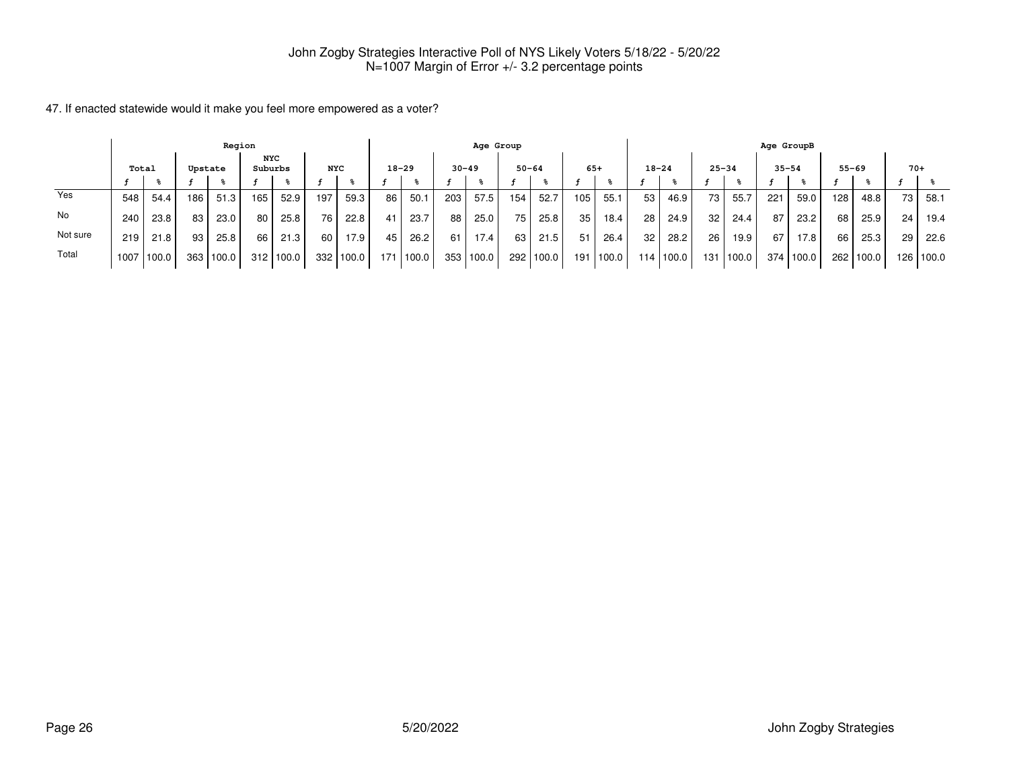|          |                                                         |       |                  | Region |     |       |     |       |     |           |           | Age Group |           |       |     |             |                 |        |                 |       | Age GroupB |        |     |           |       |           |
|----------|---------------------------------------------------------|-------|------------------|--------|-----|-------|-----|-------|-----|-----------|-----------|-----------|-----------|-------|-----|-------------|-----------------|--------|-----------------|-------|------------|--------|-----|-----------|-------|-----------|
|          | <b>NYC</b><br>Suburbs<br>Total<br><b>NYC</b><br>Upstate |       |                  |        |     |       |     |       |     | $18 - 29$ | $30 - 49$ |           | $50 - 64$ |       |     | $65+$       | $18 - 24$       |        | $25 - 34$       |       | $35 - 54$  |        |     | $55 - 69$ | $70+$ |           |
|          |                                                         |       |                  |        |     |       |     |       |     |           |           |           |           |       |     |             |                 |        |                 |       |            |        |     |           |       |           |
| Yes      | 548                                                     | 54.4  | 186              | 51.3   | 165 | 52.9  | 197 | 59.3  | 86  | 50.1      | 203       | 57.5      | 154       | 52.7  | 105 | 55.         | 53              | 46.9   | 73              | 55.7  | 221        | 59.0   | 128 | 48.8      | 73    | 58.1      |
| No       | 240                                                     | 23.8  | 83               | 23.0   | 80  | 25.8  | 76  | 22.8  | 41  | 23.7      | 88        | 25.0      | 75        | 25.8  | 35  | 18.4        | 28 <sub>1</sub> | 24.9   | 32 <sub>1</sub> | 24.4  | 87         | 23.2   | 68  | 25.9      | 24    | 19.4      |
| Not sure | 219                                                     | 21.8  | 93               | 25.8   | 66  | 21.3  | 60  | 17.9  | 45  | 26.2      | 61        | 17.4      | 63 I      | 21.5  | 51  | 26.4        | 32              | 28.2   | 26              | 19.9  | 67         | 17.8   | 66  | 25.3      | 29    | 22.6      |
| Total    | 1007                                                    | 100.0 | 363 <sub>1</sub> | 100.0  | 312 | 100.0 | 332 | 100.0 | 171 | 1100.0    | 353       | 100.0     | 292       | 100.0 |     | 191   100.0 | 114             | 1100.0 | 131 l           | 100.0 | 374        | 1100.0 |     | 262 100.0 |       | 126 100.0 |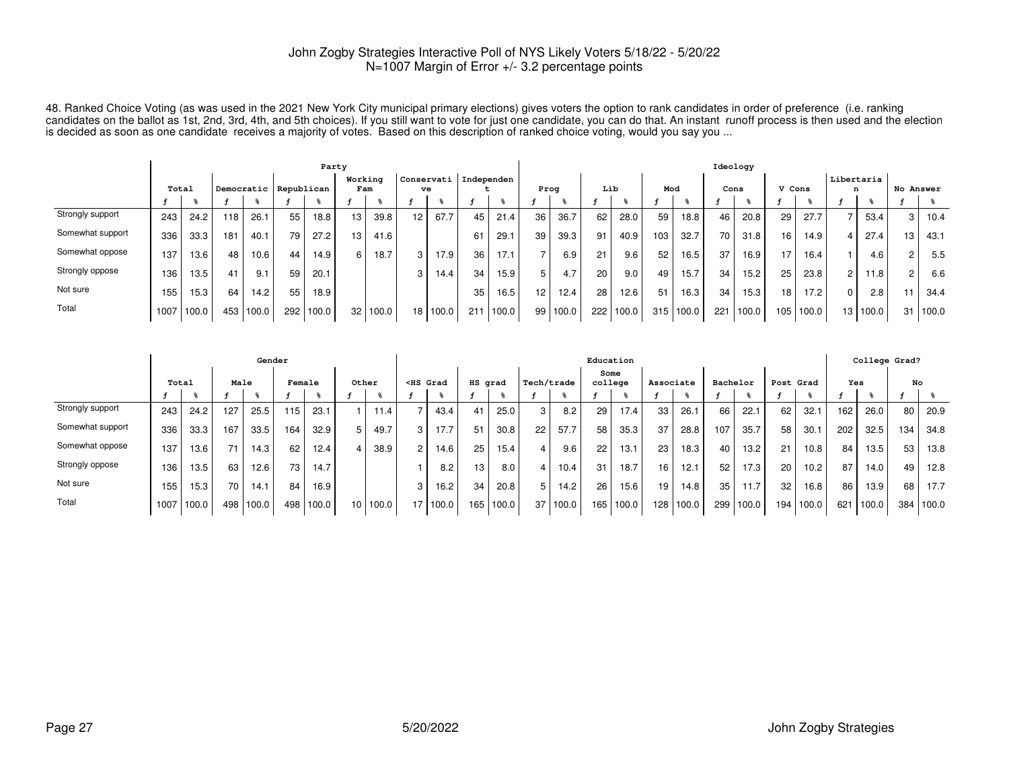48. Ranked Choice Voting (as was used in the 2021 New York City municipal primary elections) gives voters the option to rank candidates in order of preference (i.e. ranking<br>candidates on the ballot as 1st, 2nd, 3rd, 4th, a

|                  |       |            |     |                       |       | Party |         |       |                 |          |                         |       |      |          |     |       |     |           | Ideology        |       |        |                   |                 |       |                |       |
|------------------|-------|------------|-----|-----------------------|-------|-------|---------|-------|-----------------|----------|-------------------------|-------|------|----------|-----|-------|-----|-----------|-----------------|-------|--------|-------------------|-----------------|-------|----------------|-------|
|                  | Total |            |     | Democratic Republican |       |       | Working | Fam   |                 | ve       | Conservati   Independen |       | Prog |          | Lib |       | Mod |           | Cons            |       | V Cons |                   | Libertaria<br>n |       | No Answer      |       |
|                  |       |            |     |                       |       |       |         |       |                 |          |                         |       |      |          |     |       |     |           |                 |       |        |                   |                 |       |                |       |
| Strongly support | 243   | 24.2       | 118 | 26.1                  | 55    | 18.8  | 13      | 39.8  | 12 <sup>2</sup> | 67.7     | 45                      | 21.4  | 36   | 36.7     | 62  | 28.0  | 59  | 18.8      | 46              | 20.8  | 29     | 27.7              |                 | 53.4  | 3 <sup>1</sup> | 10.4  |
| Somewhat support | 336   | 33.3       | 181 | 40.1                  | 79    | 27.2  | 13      | 41.6  |                 |          | 61                      | 29.1  | 39   | 39.3     | 91  | 40.9  | 103 | 32.7      | 70              | 31.8  | 16     | 14.9              |                 | 27.4  | 13             | 43.1  |
| Somewhat oppose  | 137   | 13.6       | 48  | 10.6                  | 44    | 14.9  | 6       | 18.7  | 3               | 17.9     | 36                      | 17.1  |      | 6.9      | 21  | 9.6   | 52  | 16.5      | 37              | 16.9  | 17     | 16.4 <sub>1</sub> |                 | 4.6   | 2              | 5.5   |
| Strongly oppose  | 136   | 13.5       | 41  | 9.1                   | 59    | 20.1  |         |       | 3               | 14.4     | 34                      | 15.9  | 5    | 4.7      | 20  | 9.0   | 49  | 15.7      | 34 <sub>1</sub> | 15.2  | 25     | 23.8              | 2               | 11.8  | 2              | 6.6   |
| Not sure         | 155   | 15.3       | 64  | 14.2                  | 55    | 18.9  |         |       |                 |          | 35                      | 16.5  | 12   | 12.4     | 28  | 12.6  | 51  | 16.3      | 34              | 15.3  | 18     | 17.2              | $\Omega$        | 2.8   | 11             | 34.4  |
| Total            |       | 1007 100.0 | 453 | 100.0                 | 292 l | 100.0 | 32      | 100.0 |                 | 18 100.0 | 211                     | 100.0 |      | 99 100.0 | 222 | 100.0 |     | 315 100.0 | 221             | 100.0 | 105    | 100.0             | 13              | 100.0 | 31             | 100.0 |

|                  |       |       |      | Gender |        |       |                 |       |                                                                                                                                                                                                                                                   |       |         |       |            |       | Education       |       |                 |       |          |       |           |                   |     | College Grad? |     |       |
|------------------|-------|-------|------|--------|--------|-------|-----------------|-------|---------------------------------------------------------------------------------------------------------------------------------------------------------------------------------------------------------------------------------------------------|-------|---------|-------|------------|-------|-----------------|-------|-----------------|-------|----------|-------|-----------|-------------------|-----|---------------|-----|-------|
|                  | Total |       | Male |        | Female |       | Other           |       | <hs grad<="" th=""><th></th><th>HS grad</th><th></th><th>Tech/trade</th><th></th><th>Some<br/>college</th><th></th><th>Associate</th><th></th><th>Bachelor</th><th></th><th>Post Grad</th><th></th><th>Yes</th><th></th><th></th><th>No</th></hs> |       | HS grad |       | Tech/trade |       | Some<br>college |       | Associate       |       | Bachelor |       | Post Grad |                   | Yes |               |     | No    |
|                  |       |       |      |        |        |       |                 |       |                                                                                                                                                                                                                                                   |       |         |       |            |       |                 |       |                 |       |          |       |           |                   |     |               |     |       |
| Strongly support | 243   | 24.2  | 127  | 25.5   | 115    | 23.1  |                 | 11.4  |                                                                                                                                                                                                                                                   | 43.4  | 41      | 25.0  | 3          | 8.2   | 29              | 17.4  | 33              | 26.1  | 66       | 22.1  | 62        | 32.1              | 162 | 26.0          | 80  | 20.9  |
| Somewhat support | 336   | 33.3  | 167  | 33.5   | 164    | 32.9  | 5               | 49.7  | 3                                                                                                                                                                                                                                                 | 17.7  | 51      | 30.8  | 22         | 57.7  | 58              | 35.3  | 37              | 28.8  | 107      | 35.7  | 58        | 30.1              | 202 | 32.5          | 134 | 34.8  |
| Somewhat oppose  | 137   | 13.6  | 71   | 14.3   | 62     | 12.4  | 4               | 38.9  | $\overline{2}$                                                                                                                                                                                                                                    | 14.6  | 25      | 15.4  |            | 9.6   | 22              | 13.1  | 23 <sub>1</sub> | 18.3  | 40       | 13.2  | 21        | 10.8              | 84  | 13.5          | 53  | 13.8  |
| Strongly oppose  | 136   | 13.5  | 63   | 12.6   | 73     | 14.7  |                 |       |                                                                                                                                                                                                                                                   | 8.2   | 13      | 8.0   |            | 10.4  | 31              | 18.7  | 16              | 12.1  | 52       | 17.3  | 20        | 10.2 <sub>1</sub> | 87  | 14.0          | 49  | 12.8  |
| Not sure         | 155   | 15.3  | 70   | 14.1   | 84     | 16.9  |                 |       | 3                                                                                                                                                                                                                                                 | 16.2  | 34      | 20.8  | 5.         | 14.2  | 26              | 15.6  | 19 <sub>1</sub> | 14.8  | 35       | 11.7  | 32        | 16.8              | 86  | 13.9          | 68  | 17.7  |
| Total            | 1007  | 100.0 | 498  | 100.0  | 498    | 100.0 | 10 <sup>°</sup> | 100.0 | 17                                                                                                                                                                                                                                                | 100.0 | 165     | 100.0 | 37         | 100.0 | 165             | 100.0 | 128             | 100.0 | 299      | 100.0 | 194       | 100.0             | 621 | 100.0         | 384 | 100.0 |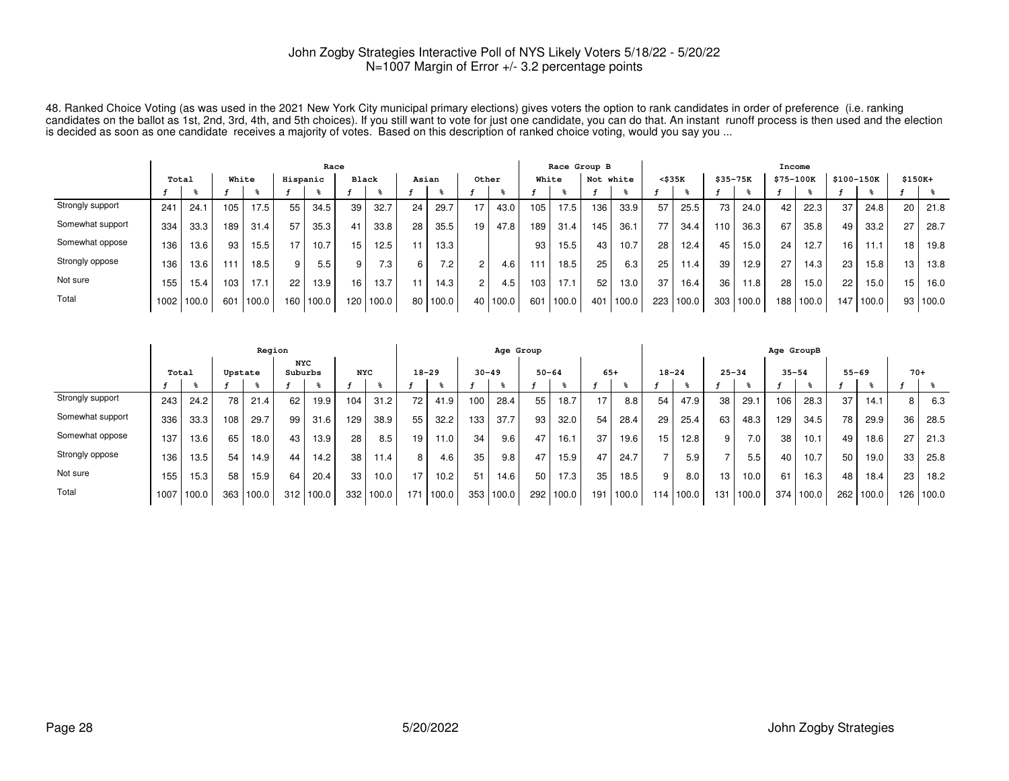48. Ranked Choice Voting (as was used in the 2021 New York City municipal primary elections) gives voters the option to rank candidates in order of preference (i.e. ranking<br>candidates on the ballot as 1st, 2nd, 3rd, 4th, a

|                  |       |       |       |       |          | Race  |              |                  |       |                  |                |          |     | Race Group B |     |       |                 |           |                  |       | Income    |       |     |            |          |       |
|------------------|-------|-------|-------|-------|----------|-------|--------------|------------------|-------|------------------|----------------|----------|-----|--------------|-----|-------|-----------------|-----------|------------------|-------|-----------|-------|-----|------------|----------|-------|
|                  | Total |       | White |       | Hispanic |       | <b>Black</b> |                  | Asian |                  | Other          |          |     | White        | Not | white | $<$ \$35 $K$    |           | \$35-75K         |       | \$75-100K |       |     | \$100-150K | $$150K+$ |       |
|                  |       |       |       |       |          |       |              |                  |       |                  |                |          |     |              |     |       |                 |           |                  |       |           |       |     |            |          |       |
| Strongly support | 241   | 24.1  | 105.  | 17.5  | 55       | 34.5  | 39           | 32.7             | 24    | 29.7             | 17             | 43.0     | 105 | 17.5         | 136 | 33.9  | 57              | 25.5      | 73 <sub>1</sub>  | 24.0  | 42        | 22.3  | 37  | 24.8       | 20       | 21.8  |
| Somewhat support | 334   | 33.3  | 189   | 31.4  | 57       | 35.3  | 41           | 33.8             | 28    | 35.5             | 19             | 47.8     | 189 | 31.4         | 145 | 36.1  | 77 <sub>1</sub> | 34.4      | 110 <sub>1</sub> | 36.3  | 67        | 35.8  | 49  | 33.2       | 27       | 28.7  |
| Somewhat oppose  | 136   | 13.6  | 93    | 15.5  | 17       | 10.7  | 15           | 12.5             |       | 13.3             |                |          | 93  | 15.5         | 43  | 10.7  | 28              | 12.4      | 45               | 15.0  | 24        | 12.7  | 16  | 11         | 18       | 19.8  |
| Strongly oppose  | 136   | 13.6  | 111   | 18.5  | 9        | 5.5   | 9            | 7.3 <sub>1</sub> |       | 7.2 <sub>1</sub> | ົ              | 4.6      | 111 | 18.5         | 25  | 6.3   | 25              | 11.4      | 39               | 12.9  | 27        | 14.3  | 23  | 15.8       | 13       | 13.8  |
| Not sure         | 155   | 15.4  | 103   | 17.1  | 22       | 13.9  | 16           | 13.7             | 11    | 14.3             | $\overline{2}$ | 4.5      | 103 | 17.1         | 52  | 13.0  | 37              | 16.4      | 36               | 11.8  | 28        | 15.0  | 22  | 15.0       | 15       | 16.0  |
| Total            | 1002  | 100.0 | 601   | 100.0 | 160      | 100.0 | 120          | 100.0            | 80    | 100.0            |                | 40 100.0 | 601 | 100.0        | 401 | 100.0 |                 | 223 100.0 | 303 <sub>1</sub> | 100.0 | 188 I     | 100.0 | 147 | 100.0      | 93       | 100.0 |

|                  |       |       |         | Region |                       |       |            |       |           |       |     | Age Group |           |       |       |       |           |       |                 |       | Age GroupB |       |           |       |       |           |
|------------------|-------|-------|---------|--------|-----------------------|-------|------------|-------|-----------|-------|-----|-----------|-----------|-------|-------|-------|-----------|-------|-----------------|-------|------------|-------|-----------|-------|-------|-----------|
|                  | Total |       | Upstate |        | <b>NYC</b><br>Suburbs |       | <b>NYC</b> |       | $18 - 29$ |       |     | $30 - 49$ | $50 - 64$ |       | $65+$ |       | $18 - 24$ |       | $25 - 34$       |       | $35 - 54$  |       | $55 - 69$ |       | $70+$ |           |
|                  |       |       |         |        |                       |       |            |       |           |       |     |           |           |       |       |       |           |       |                 |       |            |       |           |       |       |           |
| Strongly support | 243   | 24.2  | 78      | 21.4   | 62                    | 19.9  | 104        | 31.2  | 72        | 41.9  | 100 | 28.4      | 55        | 18.7  | 17    | 8.8   | 54        | 47.9  | 38              | 29.1  | 106        | 28.3  | 37        | 14.1  | 8     | 6.3       |
| Somewhat support | 336   | 33.3  | 108     | 29.7   | 99                    | 31.6  | 129        | 38.9  | 55        | 32.2  | 133 | 37.7      | 93        | 32.0  | 54    | 28.4  | 29        | 25.4  | 63              | 48.3  | 129        | 34.5  | 78        | 29.9  | 36    | 28.5      |
| Somewhat oppose  | 137   | 13.6  | 65      | 18.0   | 43                    | 13.9  | 28         | 8.5   | 19        | 11.0  | 34  | 9.6       | 47        | 16.1  | 37    | 19.6  | 15        | 12.8  | 9               | 7.0   | 38         | 10.1  | 49        | 18.6  | 27    | 21.3      |
| Strongly oppose  | 136   | 13.5  | 54      | 14.9   | 44                    | 14.2  | 38         | 11.4. | 8         | 4.6   | 35  | 9.8       | 47        | 15.9  | 47    | 24.7  |           | 5.9   |                 | 5.5   | 40         | 10.7  | 50        | 19.0  | 33    | 25.8      |
| Not sure         | 155   | 15.3  | 58      | 15.9   | 64                    | 20.4  | 33         | 10.0  | 17        | 10.2  | 51  | 14.6      | 50        | 17.3  | 35    | 18.5  | 9         | 8.0   | 13 <sub>1</sub> | 10.0  | 61         | 16.3  | 48        | 18.4  | 23    | 18.2      |
| Total            | 1007  | 100.0 | 363     | 100.0  | 312                   | 100.0 | 332        | 100.0 | 171       | 100.0 | 353 | 100.0     | 292       | 100.0 | 191   | 100.0 | 114       | 100.0 | 131             | 100.0 | 374        | 100.0 | 262       | 100.0 |       | 126 100.0 |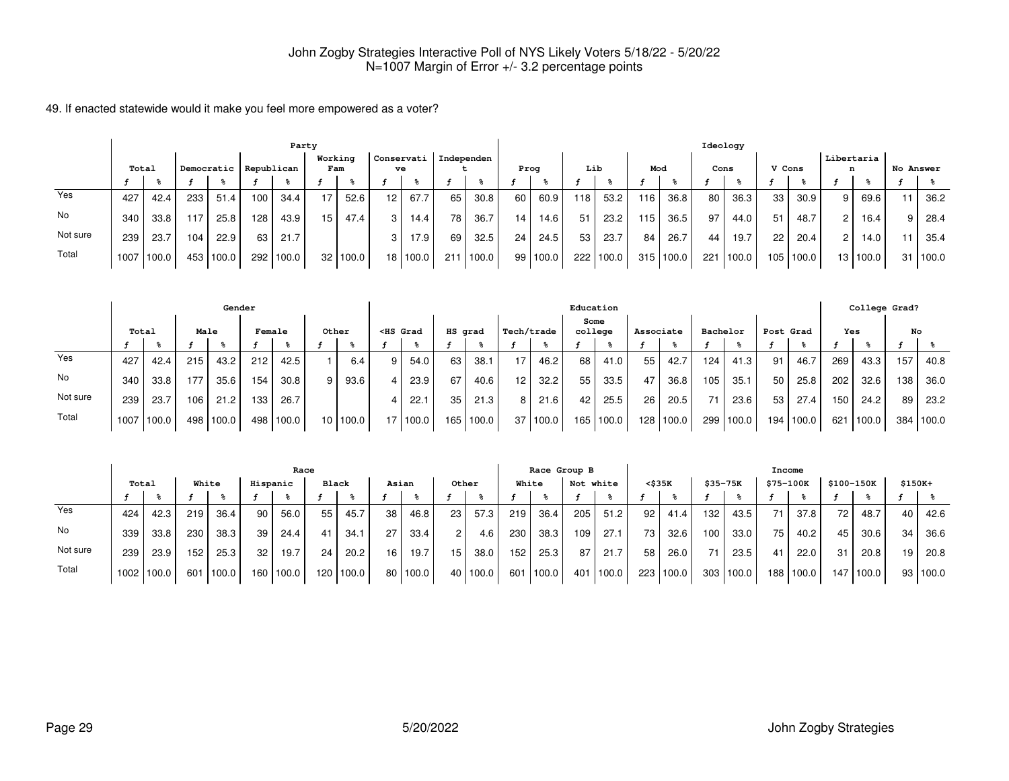|          | Party |       |     |            |     |            |                 |          |                  |       |            |       |                 |       |     |       |     |       | Ideology |       |        |       |                |            |           |       |
|----------|-------|-------|-----|------------|-----|------------|-----------------|----------|------------------|-------|------------|-------|-----------------|-------|-----|-------|-----|-------|----------|-------|--------|-------|----------------|------------|-----------|-------|
|          | Total |       |     | Democratic |     | Republican | Working<br>Fam  |          | Conservati<br>ve |       | Independen |       | Prog            |       | Lib |       | Mod |       | Cons     |       | V Cons |       | n              | Libertaria | No Answer |       |
|          |       |       |     |            |     |            |                 |          |                  |       |            |       |                 |       |     |       |     |       |          |       |        |       |                |            |           |       |
| Yes      | 427   | 42.4  | 233 | 51.4       | 100 | 34.4       |                 | 52.6     | 12               | 67.7  | 65         | 30.8  | 60              | 60.9  | 118 | 53.2  | 116 | 36.8  | 80       | 36.3  | 33     | 30.9  | 9 <sub>1</sub> | 69.6       | 11        | 36.2  |
| No       | 340   | 33.8  | 117 | 25.8       | 128 | 43.9       | 15 <sub>1</sub> | 47.4     | 3                | 14.4  | 78         | 36.7  | 14 <sub>1</sub> | 14.6  | 51  | 23.2  | 115 | 36.5  | 97       | 44.0  | 51     | 48.7  | 2 I            | 16.4       | 9         | 28.4  |
| Not sure | 239   | 23.7  | 104 | 22.9       | 63  | 21.7       |                 |          | 3                | 17.9  | 69         | 32.5  | 24 <sub>1</sub> | 24.5  | 53  | 23.7  | 84  | 26.7  | 44       | 19.7  | 22     | 20.4  | 2 <sup>1</sup> | 14.0       | 11        | 35.4  |
| Total    | 1007  | 100.0 |     | 453 100.0  | 292 | 100.0      |                 | 32 100.0 | 18 I             | 100.0 | 211        | 100.0 | 99 I            | 100.0 | 222 | 100.0 | 315 | 100.0 | 221      | 100.0 | 105    | 100.0 |                | 13   100.0 | 31 I      | 100.0 |

|          |       |       |      | Gender    |        |       |                 |       |                                                                                                                                                                                                                                              |            |         |       |            |          |      | Education |           |           |          |       |       |                   |     | College Grad? |     |           |
|----------|-------|-------|------|-----------|--------|-------|-----------------|-------|----------------------------------------------------------------------------------------------------------------------------------------------------------------------------------------------------------------------------------------------|------------|---------|-------|------------|----------|------|-----------|-----------|-----------|----------|-------|-------|-------------------|-----|---------------|-----|-----------|
|          | Total |       | Male |           | Female |       |                 | Other | <hs grad<="" th=""><th></th><th>HS grad</th><th></th><th>Tech/trade</th><th></th><th>Some</th><th>college</th><th>Associate</th><th></th><th>Bachelor</th><th></th><th></th><th>Post Grad</th><th>Yes</th><th></th><th>No</th><th></th></hs> |            | HS grad |       | Tech/trade |          | Some | college   | Associate |           | Bachelor |       |       | Post Grad         | Yes |               | No  |           |
|          |       |       |      |           |        |       |                 |       |                                                                                                                                                                                                                                              |            |         |       |            |          |      |           |           |           |          |       |       |                   |     |               |     |           |
| Yes      | 427   | 42.4  | 215  | 43.2      | 212    | 42.5  |                 | 6.4   | 9                                                                                                                                                                                                                                            | 54.0       | 63      | 38.1  |            | 46.2     | 68   | 41.0      | 55        | 42.7      | 124      | 41.3  | 91    | 46.7              | 269 | 43.3          | 157 | 40.8      |
| No       | 340   | 33.8  | 1771 | 35.6      | 154    | 30.8  | 9               | 93.6  | $\mathbf{\Delta}$                                                                                                                                                                                                                            | 23.9       | 67      | 40.6  | 12         | 32.2     | 55   | 33.5      | 47        | 36.8      | 105      | 35.1  | 50    | 25.8              | 202 | 32.6          | 138 | 36.0      |
| Not sure | 239   | 23.7  | 106  | 21.2      | 133    | 26.7  |                 |       |                                                                                                                                                                                                                                              | 22.7       | 35      | 21.3  | -8 I       | 21.6     | 42   | 25.5      | 26        | 20.5      | 71.      | 23.6  | -53   | 27.4 <sub>1</sub> | 150 | 24.2          | 89  | 23.2      |
| Total    | 1007  | 100.0 |      | 498 100.0 | 498    | 100.0 | 10 <sup>1</sup> | 100.0 |                                                                                                                                                                                                                                              | 17   100.0 | 165     | 100.0 |            | 37 100.0 |      | 165 100.0 |           | 128 100.0 | 299      | 100.0 | 194 l | 100.0             | 621 | 100.0         |     | 384 100.0 |

|          | Race              |       |       |       |          |       |       |           |       |            |       |       |       | Race Group B |           |        |        |       |          |        | Income           |       |            |       |          |          |
|----------|-------------------|-------|-------|-------|----------|-------|-------|-----------|-------|------------|-------|-------|-------|--------------|-----------|--------|--------|-------|----------|--------|------------------|-------|------------|-------|----------|----------|
|          | Total             |       | White |       | Hispanic |       | Black |           | Asian |            | Other |       | White |              | Not white |        | <\$35K |       | \$35-75K |        | \$75-100K        |       | \$100-150K |       | $$150K+$ |          |
|          |                   |       |       |       |          |       |       |           |       |            |       |       |       |              |           |        |        |       |          |        |                  |       |            |       |          |          |
| Yes      | 424               | 42.3  | 219   | 36.4  | 90       | 56.0  | 55    | 45.7      | 38    | 46.8       | 23    | 57.3  | 219   | 36.4         | 205       | 51.2   | 92     | 41.4  | 132      | 43.5   | 71               | 37.8  | 72         | 48.7  | 40       | 42.6     |
| No       | 339               | 33.8  | 230   | 38.3  | 39       | 24.4  | 41    | 34.1      | 27.   | 33.4       |       | 4.6   | 230   | 38.3         | 109       | 27.1   | 73     | 32.6  | 100      | 33.0   | 75               | 40.2  | 45 I       | 30.6  | 34       | 36.6     |
| Not sure | 239               | 23.9  | 152   | 25.3  | 32       | 19.7  | 24    | 20.2      | 16    | 19.7       | 15    | 38.0  | 152   | 25.3         | 87        | 21.7   | 58     | 26.0  | 71       | 23.5   | 41               | 22.0  | 31         | 20.8  | 19       | 20.8     |
| Total    | 1002 <sub>1</sub> | 100.0 | 601   | 100.0 | 160 l    | 100.0 |       | 120 100.0 |       | 80   100.0 | 40    | 100.0 | 601   | 100.0        | 401       | '100.0 | 223    | 100.0 | 303      | '100.0 | 188 <sub>1</sub> | 100.0 | 147        | 100.0 |          | 93 100.0 |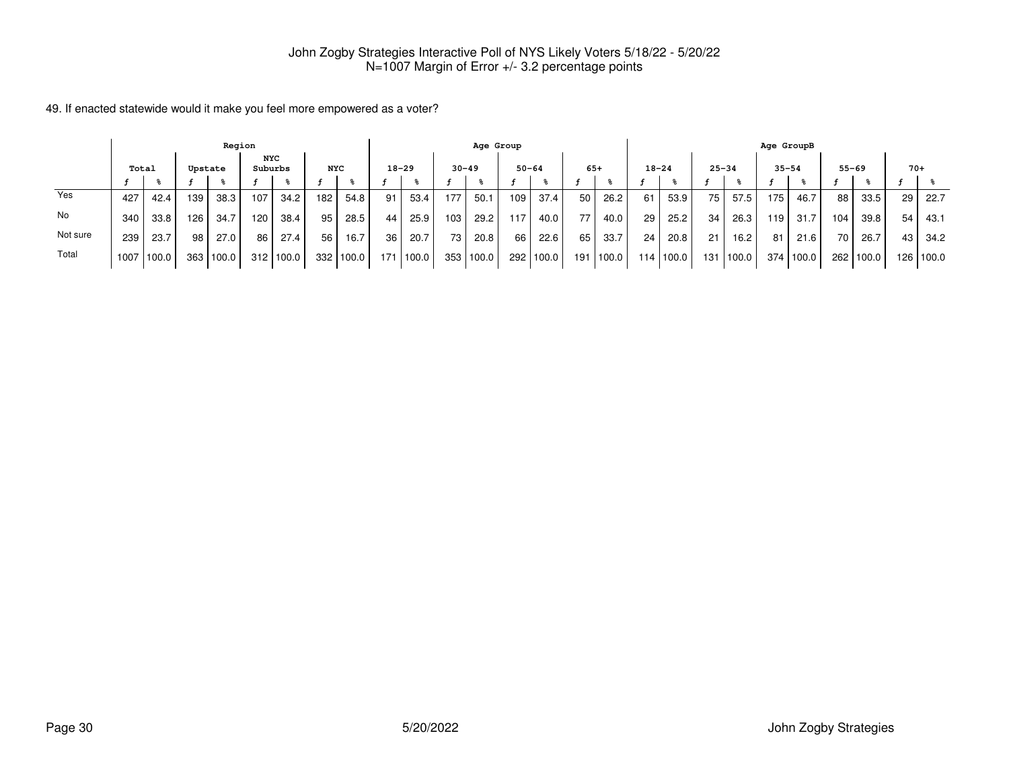|          |                                                  |       |     | Region |     |       |                  |       |     |           |           | Age Group |           |       |     |        |     |           |           |            | Age GroupB |        |      |           |       |           |
|----------|--------------------------------------------------|-------|-----|--------|-----|-------|------------------|-------|-----|-----------|-----------|-----------|-----------|-------|-----|--------|-----|-----------|-----------|------------|------------|--------|------|-----------|-------|-----------|
|          | NYC<br>Suburbs<br><b>NYC</b><br>Total<br>Upstate |       |     |        |     |       |                  |       |     | $18 - 29$ | $30 - 49$ |           | $50 - 64$ |       |     | $65+$  |     | $18 - 24$ | $25 - 34$ |            | $35 - 54$  |        |      | $55 - 69$ | $70+$ |           |
|          |                                                  |       |     |        |     |       |                  |       |     |           |           |           |           |       |     |        |     |           |           |            |            |        |      |           |       |           |
| Yes      | 427                                              | 42.4  | 139 | 38.3   | 107 | 34.2  | 182 <sub>1</sub> | 54.8  | 91  | 53.4      | 177       | 50.1      | 109 l     | 37.4  | 50  | 26.2   | 61  | 53.9      | 75        | 57.5       | 175        | 46.7   | 88   | 33.5      | 29    | 22.7      |
| No       | 340                                              | 33.8  | 126 | 34.7   | 120 | 38.4  | 95               | 28.5  | 44  | 25.9      | 103       | 29.2      | 117       | 40.0  | 77  | 40.0   | 29  | 25.2      | 34        | 26.3       | 119        | 31.7   | 104  | 39.8      | 54    | 43.1      |
| Not sure | 239                                              | 23.7  | 98  | 27.0   | 86  | 27.4  | 56               | 16.7  | 36  | 20.7      | 73        | 20.8      | 66        | 22.6  | 65  | 33.7   | 24  | 20.8      | 21        | 16.2       | 81         | 21.6   | 70 l | 26.7      | 43    | 34.2      |
| Total    | 1007                                             | 100.0 | 363 | 100.0  | 312 | 100.0 | 332 <sub>1</sub> | 100.0 | 171 | 100.0     | 353       | 100.0     | 292       | 100.0 | 191 | 1100.0 | 114 | 100.0     | 131 l     | $'100.0$ . | 374        | 1100.0 |      | 262 100.0 |       | 126 100.0 |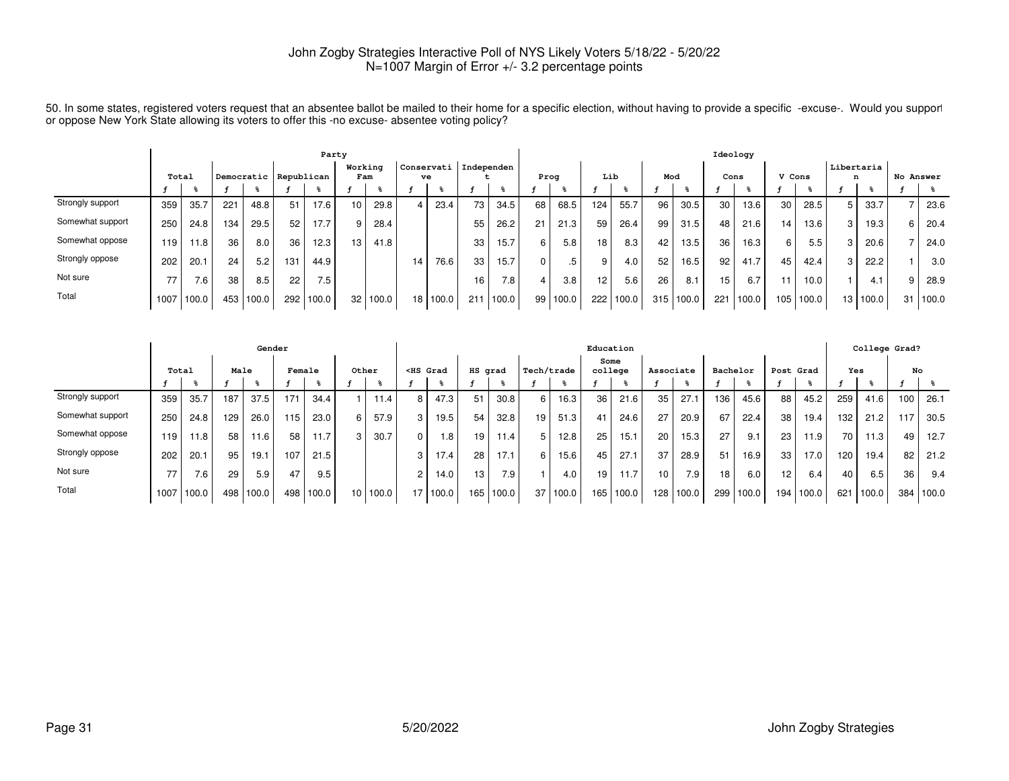|                  | Party |       |     |            |     |            |         |       |    |            |            |       |      |       |                 |       |                  |       | Ideology        |                   |        |       |                 |          |           |       |
|------------------|-------|-------|-----|------------|-----|------------|---------|-------|----|------------|------------|-------|------|-------|-----------------|-------|------------------|-------|-----------------|-------------------|--------|-------|-----------------|----------|-----------|-------|
|                  | Total |       |     | Democratic |     | Republican | Working | Fam   | ve | Conservati | Independen |       | Prog |       | Lib             |       | Mod              |       |                 | Cons              | V Cons |       | Libertaria<br>n |          | No Answer |       |
|                  |       |       |     |            |     |            |         |       |    |            |            |       |      |       |                 |       |                  |       |                 |                   |        |       |                 |          |           |       |
| Strongly support | 359   | 35.7  | 221 | 48.8       | 51  | 17.6       |         | 29.8  |    | 23.4       | 73         | 34.5  | 68   | 68.5  | 124             | 55.7  | 96               | 30.5  | 30 <sub>1</sub> | 13.6              | 30     | 28.5  | 5               | 33.7     |           | 23.6  |
| Somewhat support | 250   | 24.8  | 134 | 29.5       | 52  | 17.7       |         | 28.4  |    |            | 55         | 26.2  | 21   | 21.3  | 59              | 26.4  | 99               | 31.5  | 48              | 21.6              | 14     | 13.6  | 3               | 19.3     | 6         | 20.4  |
| Somewhat oppose  | 119   | 11.8  | 36  | 8.0        | 36  | 12.3       | 13      | 41.8  |    |            | 33         | 15.7  | 6    | 5.8   | 18 <sub>1</sub> | 8.3   | 42               | 13.5  | 36              | 16.3 <sub>1</sub> | 6      | 5.5   | 3               | 20.6     |           | 24.0  |
| Strongly oppose  | 202   | 20.7  | 24  | 5.2        | 131 | 44.9       |         |       | 14 | 76.6       | 33         | 15.7  |      | .5    | 9               | 4.0   | 52               | 16.5  | 92              | 41.7              | 45     | 42.4  | 3               | 22.2     |           | 3.0   |
| Not sure         | 77    | 7.6   | 38  | 8.5        | 22  | 7.5        |         |       |    |            | 16.        | 7.8   |      | 3.8   | 12 <sup>°</sup> | 5.6   | 26               | 8.1   | 15              | 6.7               | 11     | 10.0  |                 | 4.1      | 9         | 28.9  |
| Total            | 1007  | 100.0 | 453 | 100.0      | 292 | 100.0      | 32      | 100.0 |    | 18 100.0   | 211        | 100.0 | 99   | 100.0 | 222             | 100.0 | 315 <sup>1</sup> | 100.0 | 221             | 100.0             | 105    | 100.0 |                 | 13 100.0 | 31        | 100.0 |

50. In some states, registered voters request that an absentee ballot be mailed to their home for a specific election, without having to provide a specific -excuse-. Would you supporl<br>or oppose New York State allowing its

|                  |       |       |      | Gender |        |       |                 |       |                                                                                                                                                                                                                                                   |       |                 |       |            |       | Education       |       |                 |           |          |       |                 |       |     | College Grad? |     |       |
|------------------|-------|-------|------|--------|--------|-------|-----------------|-------|---------------------------------------------------------------------------------------------------------------------------------------------------------------------------------------------------------------------------------------------------|-------|-----------------|-------|------------|-------|-----------------|-------|-----------------|-----------|----------|-------|-----------------|-------|-----|---------------|-----|-------|
|                  | Total |       | Male |        | Female |       | Other           |       | <hs grad<="" th=""><th></th><th>HS grad</th><th></th><th>Tech/trade</th><th></th><th>Some<br/>college</th><th></th><th>Associate</th><th></th><th>Bachelor</th><th></th><th>Post Grad</th><th></th><th>Yes</th><th></th><th>No</th><th></th></hs> |       | HS grad         |       | Tech/trade |       | Some<br>college |       | Associate       |           | Bachelor |       | Post Grad       |       | Yes |               | No  |       |
|                  |       |       |      |        |        |       |                 |       |                                                                                                                                                                                                                                                   |       |                 |       |            |       |                 |       |                 |           |          |       |                 |       |     |               |     |       |
| Strongly support | 359   | 35.7  | 187  | 37.5   | 171    | 34.4  |                 | 11.4  | 8                                                                                                                                                                                                                                                 | 47.3  | 51              | 30.8  |            | 16.3  | 36              | 21.6  | 35              | 27.1      | 136      | 45.6  | 88              | 45.2  | 259 | 41.6          | 100 | 26.1  |
| Somewhat support | 250   | 24.8  | 129  | 26.0   | 115    | 23.0  | 6               | 57.9  | 3                                                                                                                                                                                                                                                 | 19.5  | 54              | 32.8  | 19         | 51.3  | 41              | 24.6  | 27              | 20.9      | 67       | 22.4  | 38              | 19.4  | 132 | 21.2          | 117 | 30.5  |
| Somewhat oppose  | 119   | 11.8  | 58   | 11.6   | 58     | 11.7  | 3               | 30.7  | $\Omega$                                                                                                                                                                                                                                          | l 8 l | 19              | 11.4  |            | 12.8  | 25              | 15.1  | 20              | 15.3      | 27       | 9.1   | 23              | 11.9  | 70  | 11.31         | 49  | 12.7  |
| Strongly oppose  | 202   | 20.7  | 95   | 19.1   | 107    | 21.5  |                 |       | 3                                                                                                                                                                                                                                                 | 17.4  | 28              | 17.1  | 6 I        | 15.6  | 45              | 27.1  | 37              | 28.9      | 51       | 16.9  | 33              | 17.0  | 120 | 19.4          | 82  | 21.2  |
| Not sure         | 77    | 7.6   | 29   | 5.9    | 47     | 9.5   |                 |       | 2                                                                                                                                                                                                                                                 | 14.0  | 13 <sub>1</sub> | 7.9   |            | 4.0   | 19              | 11.7  | 10 <sup>1</sup> | 7.9       | 18       | 6.0   | 12 <sub>1</sub> | 6.4   | 40  | 6.5           | 36  | 9.4   |
| Total            | 1007  | 100.0 | 498  | 100.0  | 498    | 100.0 | 10 <sup>1</sup> | 100.0 | 17                                                                                                                                                                                                                                                | 100.0 | 165             | 100.0 | 37         | 100.0 | 165             | 100.0 |                 | 128 100.0 | 299      | 100.0 | 194             | 100.0 | 621 | 100.0         | 384 | 100.0 |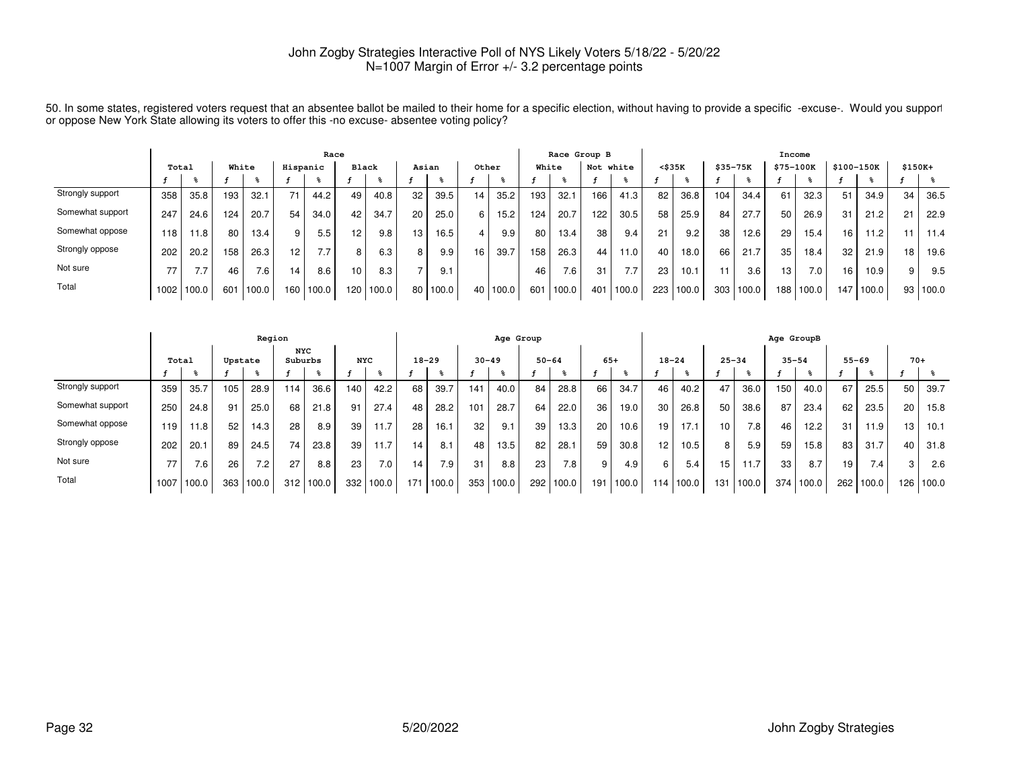|                  | Race  |       |       |       |          |       |       |       |    |       |       |       |       | Race Group B |                 |       |                 |       |             |       |           | Income |            |       |          |       |
|------------------|-------|-------|-------|-------|----------|-------|-------|-------|----|-------|-------|-------|-------|--------------|-----------------|-------|-----------------|-------|-------------|-------|-----------|--------|------------|-------|----------|-------|
|                  | Total |       | White |       | Hispanic |       | Black |       |    | Asian | Other |       | White |              | Not white       |       | $<$ \$35 $K$    |       | $$35 - 75K$ |       | \$75-100K |        | \$100-150K |       | $$150K+$ |       |
|                  |       |       |       |       |          |       |       |       |    |       |       |       |       |              |                 |       |                 |       |             |       |           |        |            |       |          |       |
| Strongly support | 358   | 35.8  | 193   | 32.1  | 71       | 44.2  | 49    | 40.8  | 32 | 39.5  | 14    | 35.2  | 193   | 32.1         | 166             | 41.3  | 82              | 36.8  | 104         | 34.4  | 61        | 32.3   | 51         | 34.9  | 34       | 36.5  |
| Somewhat support | 247   | 24.6  | 124   | 20.7  | 54       | 34.0  | 42    | 34.7  | 20 | 25.0  | 6.    | 15.2  | 124   | 20.7         | 122             | 30.5  | 58              | 25.9  | 84          | 27.7  | 50        | 26.9   | 31         | 21.2  | 21       | 22.9  |
| Somewhat oppose  | 118   | 11.8  | 80    | 13.4  | 9        | 5.5   | 12    | 9.8   | 13 | 16.5  |       | 9.9   | 80    | 13.4         | 38              | 9.4   |                 | 9.2   | 38          | 12.6  | 29        | 15.4   | 16         | 11.2  | 11       | 11.4  |
| Strongly oppose  | 202   | 20.2  | 158   | 26.3  | 12       | 77    | 8     | 6.3   | 8  | 9.9   | 16    | 39.7  | 158   | 26.3         | 44              | 11.0  | 40              | 18.0  | 66          | 21.7  | 35        | 18.4   | 32         | 21.9  | 18       | 19.6  |
| Not sure         | 77    | 7.7   | 46    | 7.6   | 14       | 8.6   | 10    | 8.3   |    | 9.1   |       |       | 46    | 7.6          | 31              | 7.7   | 23 <sub>1</sub> | 10.1  |             | 3.6   | 13        | 7.0    | 16         | 10.9  | 9        | 9.5   |
| Total            | 1002  | 100.0 | 601   | 100.0 | 160      | 100.0 | 120   | 100.0 | 80 | 100.0 | 40    | 100.0 | 601   | 100.0        | 40 <sup>1</sup> | 100.0 | 223             | 100.0 | 303         | 100.0 | 188       | 100.0  | 47 I       | 100.0 | 93       | 100.0 |

50. In some states, registered voters request that an absentee ballot be mailed to their home for a specific election, without having to provide a specific -excuse-. Would you supporl<br>or oppose New York State allowing its

|                  |       |       |         | Region |                       |       |            |       |           |       |           | Age Group |           |                  |       |       |           |           |           |       | Age GroupB |       |           |                  |       |           |
|------------------|-------|-------|---------|--------|-----------------------|-------|------------|-------|-----------|-------|-----------|-----------|-----------|------------------|-------|-------|-----------|-----------|-----------|-------|------------|-------|-----------|------------------|-------|-----------|
|                  | Total |       | Upstate |        | <b>NYC</b><br>Suburbs |       | <b>NYC</b> |       | $18 - 29$ |       | $30 - 49$ |           | $50 - 64$ |                  | $65+$ |       | $18 - 24$ |           | $25 - 34$ |       | $35 - 54$  |       | $55 - 69$ |                  | $70+$ |           |
|                  |       |       |         |        |                       |       |            |       |           |       |           |           |           |                  |       |       |           |           |           |       |            |       |           |                  |       |           |
| Strongly support | 359   | 35.7  | 105     | 28.9   | 114.                  | 36.6  | 140        | 42.2  | 68        | 39.7  | 141       | 40.0      | 84        | 28.8             | 66    | 34.7  | 46        | 40.2      | 47        | 36.0  | 150        | 40.0  | 67        | 25.5             | 50    | 39.7      |
| Somewhat support | 250   | 24.8  | 91      | 25.0   | 68                    | 21.8  | 91         | 27.4  | 48        | 28.2  | 101       | 28.7      | 64        | 22.0             | 36    | 19.0  | 30        | 26.8      | 50        | 38.6  | 87         | 23.4  | 62        | 23.5             | 20    | 15.8      |
| Somewhat oppose  | 119   | 11.8  | 52      | 14.3   | 28                    | 8.9   | 39         | 11.7  | 28        | 16.1  | 32        | 9.1       | 39        | 13.3             | 20    | 10.6  | 19        | 17.1      | 10        | 7.8   | 46         | 12.2  | 31        | 11.9             | 13    | 10.1      |
| Strongly oppose  | 202   | 20.1  | 89      | 24.5   | 74                    | 23.8  | 39         | 11.7  | 14        | 8.1   | 48        | 13.5      | 82        | 28.1             | 59    | 30.8  | 12        | 10.5      | 8         | 5.9   | 59         | 15.8  | 83        | 31.7             | 40    | 31.8      |
| Not sure         | 77    | 7.6   | 26      | 7.2    | 27                    | 8.8   | 23         | 7.0.  | 14        | 7.9   | 31        | 8.8       | 23        | 7.8 <sub>1</sub> | 9     | 4.9   | 6         | 5.4       | 15        | 11.7  | 33         | 8.7   | 19        | 7.4 <sub>1</sub> | 3     | 2.6       |
| Total            | 1007  | 100.0 | 363     | 100.0  | 312                   | 100.0 | 332        | 100.0 | 171       | 100.0 | 353       | 100.0     | 292       | 100.0            | 191   | 100.0 |           | 114 100.0 | 131       | 100.0 | 374        | 100.0 | 262       | 100.0            |       | 126 100.0 |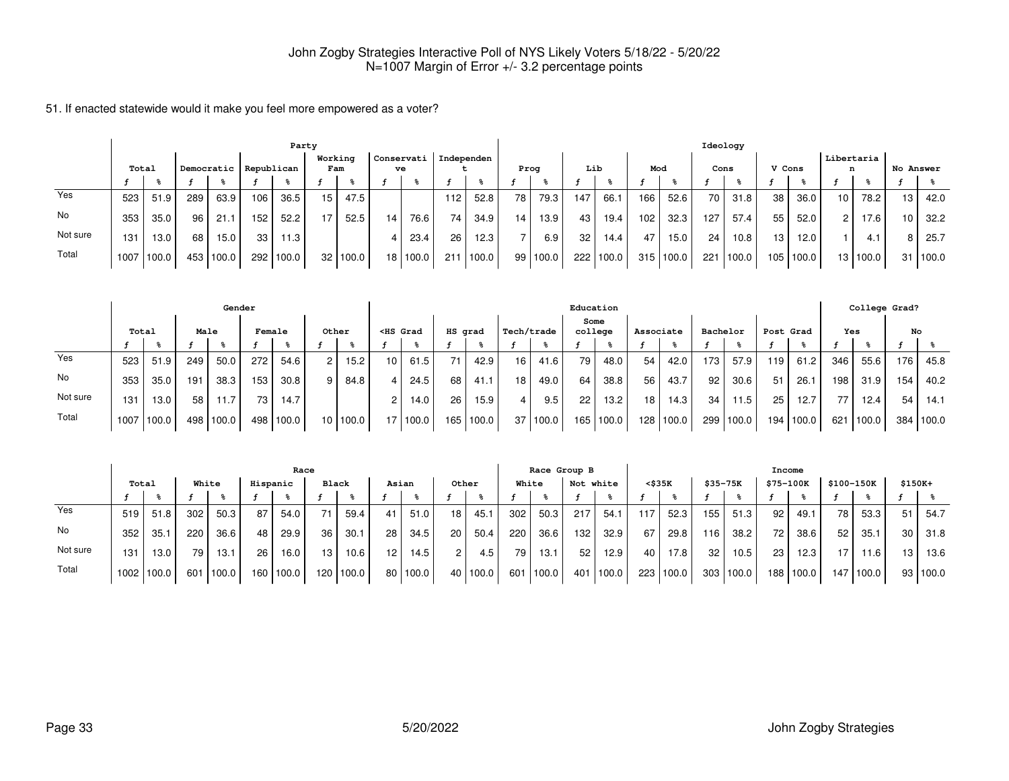|          | Party |       |     |            |            |       |                 |          |    |            |                         |       |                 |          |     |             |     |           |      | Ideology  |                 |       |                 |          |           |       |
|----------|-------|-------|-----|------------|------------|-------|-----------------|----------|----|------------|-------------------------|-------|-----------------|----------|-----|-------------|-----|-----------|------|-----------|-----------------|-------|-----------------|----------|-----------|-------|
|          | Total |       |     | Democratic | Republican |       | Working<br>Fam  |          |    | ve         | Conservati   Independen |       | Prog            |          | Lib |             | Mod |           | Cons |           | V Cons          |       | Libertaria      | n        | No Answer |       |
|          |       |       |     |            |            |       |                 |          |    |            |                         |       |                 |          |     |             |     |           |      |           |                 |       |                 |          |           |       |
| Yes      | 523   | 51.9  | 289 | 63.9       | 106        | 36.5  | 15 <sup>1</sup> | 47.5     |    |            | 112                     | 52.8  | 78              | 79.3     | 147 | 66.1        | 166 | 52.6      | 70   | 31.8      | 38              | 36.0  | 10 <sup>1</sup> | 78.2     | 13        | 42.0  |
| No       | 353   | 35.0  | 96  | 21.7       | 152        | 52.2  |                 | 52.5     | 14 | 76.6       | 74                      | 34.9  | 14 <sub>1</sub> | 13.9     | 43  | 19.4        | 102 | 32.3      | 127  | 57.4      | 55              | 52.0  | 21              | 17.6     | 10        | 32.2  |
| Not sure | 131   | 13.0  | 68  | 15.0       | 33         | 11.3  |                 |          |    | 23.4       | 26                      | 12.3  |                 | 6.9      | 32  | 14.4        | 47  | 15.0      | 24   | 10.8      | 13 <sub>1</sub> | 12.0  |                 | 4.1      | 8         | 25.7  |
| Total    | 1007  | 100.0 |     | 453 100.0  | 292        | 100.0 |                 | 32 100.0 |    | 18   100.0 | 211                     | 100.0 |                 | 99 100.0 |     | 222   100.0 |     | 315 100.0 |      | 221 100.0 | 105             | 100.0 |                 | 13 100.0 | 31        | 100.0 |

|          |       |       |      | Gender    |        |       |       |          |                                                                                                                                                                                                                                                   |       |         |       |                 |            | Education       |       |                 |           |                 |       |     |           |     | College Grad? |                  |           |
|----------|-------|-------|------|-----------|--------|-------|-------|----------|---------------------------------------------------------------------------------------------------------------------------------------------------------------------------------------------------------------------------------------------------|-------|---------|-------|-----------------|------------|-----------------|-------|-----------------|-----------|-----------------|-------|-----|-----------|-----|---------------|------------------|-----------|
|          | Total |       | Male |           | Female |       | Other |          | <hs grad<="" th=""><th></th><th>HS grad</th><th></th><th>Tech/trade</th><th></th><th>Some<br/>college</th><th></th><th>Associate</th><th></th><th>Bachelor</th><th></th><th></th><th>Post Grad</th><th>Yes</th><th></th><th>No</th><th></th></hs> |       | HS grad |       | Tech/trade      |            | Some<br>college |       | Associate       |           | Bachelor        |       |     | Post Grad | Yes |               | No               |           |
|          |       |       |      |           |        |       |       |          |                                                                                                                                                                                                                                                   |       |         |       |                 |            |                 |       |                 |           |                 |       |     |           |     |               |                  |           |
| Yes      | 523   | 51.9  | 249  | 50.0      | 272    | 54.6  | 21    | 15.2     | 10 l                                                                                                                                                                                                                                              | 61.5  | 71      | 42.9  | 16 <sup>1</sup> | 41.6       | 79              | 48.0  | 54              | 42.0      | 173             | 57.9  | 119 | 61.2      | 346 | 55.6          | 176              | 45.8      |
| No       | 353   | 35.0  | 191  | 38.3      | 153    | 30.8  | 9 I   | 84.8     |                                                                                                                                                                                                                                                   | 24.5  | 68      | 41.1  | 18 <sub>1</sub> | 49.0       | 64              | 38.8  | 56 <sub>1</sub> | 43.7      | 92 <sub>1</sub> | 30.6  | 51  | 26.1      | 198 | 31.9          | 154 <sub>1</sub> | 40.2      |
| Not sure | 131   | 13.0  | 58   | 11.7      | 73     | 14.7  |       |          |                                                                                                                                                                                                                                                   | 14.0  | 26      | 15.9  |                 | 9.5        | 22              | 13.2  | 18 <sub>1</sub> | 14.3      | 34              | 11.5  | 25  | 12.7      | 77  | 12.4          | 54               | 14.1      |
| Total    | 1007  | 100.0 |      | 498 100.0 | 498    | 100.0 |       | 10 100.0 | 171                                                                                                                                                                                                                                               | 100.0 | 165     | 100.0 |                 | 37   100.0 | 165             | 100.0 |                 | 128 100.0 | 299 l           | 100.0 | 194 | '100.0    | 621 | 100.0         |                  | 384 100.0 |

|          |                   | Race  |                 |       |          |                   |                 |           |       |            |       |       |       |       | Race Group B |        |     |        |          |        | Income           |       |            |       |          |          |
|----------|-------------------|-------|-----------------|-------|----------|-------------------|-----------------|-----------|-------|------------|-------|-------|-------|-------|--------------|--------|-----|--------|----------|--------|------------------|-------|------------|-------|----------|----------|
|          | Total             |       | White           |       | Hispanic |                   | Black           |           | Asian |            | Other |       | White |       | Not white    |        |     | <\$35K | \$35-75K |        | \$75-100K        |       | \$100-150K |       | $$150K+$ |          |
|          |                   |       |                 |       |          |                   |                 |           |       |            |       |       |       |       |              |        |     |        |          |        |                  |       |            |       |          |          |
| Yes      | 519               | 51.8  | 302             | 50.3  | 87       | 54.0              | 71              | 59.4      | 41 l  | 51.0       | 18    | 45.1  | 302   | 50.3  | 217          | 54.    | 117 | 52.3   | 155 l    | 51.3   | 92               | 49.1  | 78 I       | 53.3  | 51       | 54.7     |
| No       | 352               | 35.1  | 220             | 36.6  | 48       | 29.9              | 36              | 30.1      | 28    | 34.5       | 20    | 50.4  | 220   | 36.6  | 132          | 32.9   | 67  | 29.8   | 16       | 38.2   | 72               | 38.6  | 52 I       | 35.1  | 30       | 31.8     |
| Not sure | 131               | 13.0  | 79 <sub>1</sub> | 13.1  | 26       | 16.0 <sub>1</sub> | 13 <sub>1</sub> | 10.6      | 12    | 14.5       |       | 4.5   | 79    | 13.1  | 52           | 12.9   | 40  | 17.8   | 32       | 10.5   | 23               | 12.3  | 17.        | 11.6  | 13       | 13.6     |
| Total    | 1002 <sub>1</sub> | 100.0 | 601             | 100.0 | 160 l    | 100.0             |                 | 120 100.0 |       | 80   100.0 | 40    | 100.0 | 601   | 100.0 | 401          | '100.0 | 223 | 100.0  | 303      | 1100.0 | 188 <sub>1</sub> | 100.0 | 147        | 100.0 |          | 93 100.0 |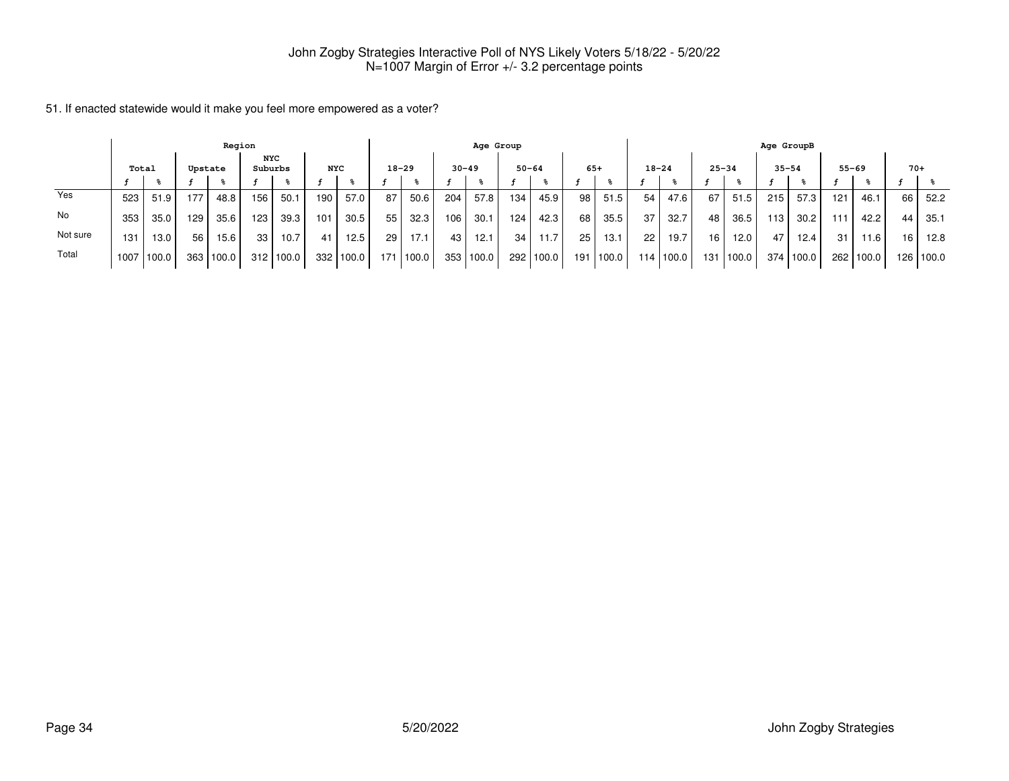|          |                                                         |                   |     | Region |                 |        |     |       |     |           |           | Age Group |                 |           |    |             |     |           |           |       | Age GroupB |          |     |           |       |             |
|----------|---------------------------------------------------------|-------------------|-----|--------|-----------------|--------|-----|-------|-----|-----------|-----------|-----------|-----------------|-----------|----|-------------|-----|-----------|-----------|-------|------------|----------|-----|-----------|-------|-------------|
|          | <b>NYC</b><br>Suburbs<br><b>NYC</b><br>Total<br>Upstate |                   |     |        |                 |        |     |       |     | $18 - 29$ | $30 - 49$ |           | $50 - 64$       |           |    | $65+$       |     | $18 - 24$ | $25 - 34$ |       | $35 - 54$  |          |     | $55 - 69$ | $70+$ |             |
|          |                                                         |                   |     |        |                 |        |     |       |     |           |           |           |                 |           |    |             |     |           |           |       |            |          |     |           |       |             |
| Yes      | 523                                                     | 51.9              | 177 | 48.8   | 156             | 50.1   | 190 | 57.0  | 87  | 50.6      | 204       | 57.8      | 134             | 45.9      | 98 | 51.5        | 54  | 47.6      | 67        | 51.5  | 215        | 57.3     | 121 | 46.1      | 66    | 52.2        |
| No       | 353                                                     | 35.0              | 129 | 35.6   | 123             | 39.3   | 101 | 30.5  | 55  | 32.3      | 106       | 30.1      | 124             | 42.3      | 68 | 35.5        | 37  | 32.7      | 48        | 36.5  | 113        | 30.2     | 111 | 42.2      | 44    | 35.1        |
| Not sure | 131                                                     | 13.0 <sub>1</sub> | 56  | 15.6   | 33 <sub>1</sub> | 10.7   | 41  | 12.5  | 29  | 17.1      | 43        | 12.1      | 34 <sub>1</sub> | 11.7      | 25 | 13.1        | 22  | 19.7      | 16        | 12.0  | 47         | $12.4$ . | -31 | 11.6      | 16    | 12.8        |
| Total    | 1007                                                    | 100.0             | 363 | 100.0  | 312             | 1100.0 | 332 | 100.0 | 171 | 100.0     | 353       | 100.0     |                 | 292 100.0 |    | 191   100.0 | 114 | 100.0     | 131 l     | 100.0 | 374        | 100.0    |     | 262 100.0 |       | 126   100.0 |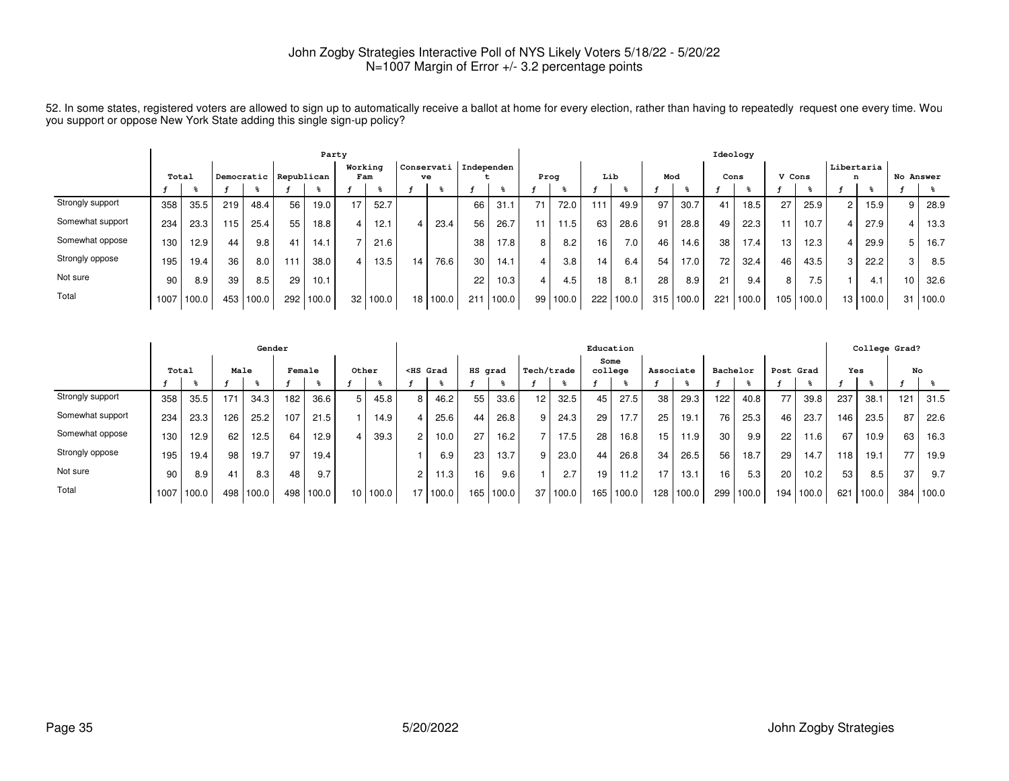|                  | Party |        |     |            |            |       |                |       |                 |       |                         |                   |      |       |                 |       |     | Ideology |                 |       |                  |                  |                 |       |           |       |
|------------------|-------|--------|-----|------------|------------|-------|----------------|-------|-----------------|-------|-------------------------|-------------------|------|-------|-----------------|-------|-----|----------|-----------------|-------|------------------|------------------|-----------------|-------|-----------|-------|
|                  | Total |        |     | Democratic | Republican |       | Working<br>Fam |       | ve              |       | Conservati   Independen |                   | Prog |       | Lib             |       | Mod |          | Cons            |       | V Cons           |                  | Libertaria<br>n |       | No Answer |       |
|                  |       |        |     |            |            |       |                |       |                 |       |                         |                   |      |       |                 |       |     |          |                 |       |                  |                  |                 |       |           |       |
| Strongly support | 358   | 35.5   | 219 | 48.4       | 56         | 19.0  | 17             | 52.7  |                 |       | 66                      | 31.1              | 71   | 72.0  | 11              | 49.9  | 97  | 30.7     |                 | 18.5  | 27               | 25.9             | $\overline{2}$  | 15.9  | 9         | 28.9  |
| Somewhat support | 234   | 23.3   | 115 | 25.4       | 55         | 18.8  |                | 12.1  |                 | 23.4  | 56                      | 26.7              | 11   | 11.5  | 63              | 28.6  | 91  | 28.8     | 49              | 22.3  | 11               | 10.7             |                 | 27.9  |           | 13.3  |
| Somewhat oppose  | 130   | 12.9   | 44  | 9.8        | 41         | 14.1  |                | 21.6  |                 |       | 38                      | 17.8 <sub>1</sub> | 8    | 8.2   | 16 <sub>1</sub> | 7.0   | 46  | 14.6     | 38              | 17.4  | 13               | 12.3             | 4               | 29.9  |           | 16.7  |
| Strongly oppose  | 195   | 19.4   | 36  | 8.0        | 111        | 38.0  |                | 13.5  | 14 <sub>1</sub> | 76.6  | 30                      | 14.1              |      | 3.8   | 14              | 6.4   | 54  | 17.0     | 72 <sub>1</sub> | 32.4  | 46               | 43.5             | 3               | 22.2  | 3         | 8.5   |
| Not sure         | 90    | 8.9    | 39  | 8.5        | 29         | 10.1  |                |       |                 |       | 22                      | 10.3              | 4    | 4.5   | 18 <sub>1</sub> | 8.1   | 28  | 8.9      | 21              | 9.4   | 8                | 7.5 <sub>1</sub> |                 | 4.1   | 10        | 32.6  |
| Total            | 1007  | 1100.0 | 453 | 100.0      | 292        | 100.0 | 32             | 100.0 | 18 <sup>1</sup> | 100.0 | 211                     | 100.0             | 99   | 100.0 | 222             | 100.0 | 315 | 100.0    | 221             | 100.0 | 105 <sub>1</sub> | 100.0            | 13 <sup>1</sup> | 100.0 | 31        | 100.0 |

52. In some states, registered voters are allowed to sign up to automatically receive a ballot at home for every election, rather than having to repeatedly request one every time. Wou<br>you support or oppose New York State

|                  | Gender |       |      |       |        |       |                 |       |                                                                                                                                                                                                                                                   |                   |                 |       |            |       | Education       |       |           |           |          |       |           |                   |     | College Grad? |     |       |
|------------------|--------|-------|------|-------|--------|-------|-----------------|-------|---------------------------------------------------------------------------------------------------------------------------------------------------------------------------------------------------------------------------------------------------|-------------------|-----------------|-------|------------|-------|-----------------|-------|-----------|-----------|----------|-------|-----------|-------------------|-----|---------------|-----|-------|
|                  | Total  |       | Male |       | Female |       | Other           |       | <hs grad<="" th=""><th></th><th>HS grad</th><th></th><th>Tech/trade</th><th></th><th>Some<br/>college</th><th></th><th>Associate</th><th></th><th>Bachelor</th><th></th><th>Post Grad</th><th></th><th>Yes</th><th></th><th>No</th><th></th></hs> |                   | HS grad         |       | Tech/trade |       | Some<br>college |       | Associate |           | Bachelor |       | Post Grad |                   | Yes |               | No  |       |
|                  |        |       |      |       |        |       |                 |       |                                                                                                                                                                                                                                                   |                   |                 |       |            |       |                 |       |           |           |          |       |           |                   |     |               |     |       |
| Strongly support | 358    | 35.5  | 171  | 34.3  | 182    | 36.6  | 5               | 45.8  | 8                                                                                                                                                                                                                                                 | 46.2              | 55              | 33.6  | 12         | 32.5  | 45              | 27.5  | 38        | 29.3      | 122      | 40.8  | 77        | 39.8              | 237 | 38.1          | 121 | 31.5  |
| Somewhat support | 234    | 23.3  | 126  | 25.2  | 107    | 21.5  |                 | 14.9  | 4                                                                                                                                                                                                                                                 | 25.6              | 44              | 26.8  |            | 24.3  | 29              | 17.7  | 25        | 19.1      | 76       | 25.3  | 46        | 23.7              | 146 | 23.5          | 87  | 22.6  |
| Somewhat oppose  | 130    | 12.9  | 62   | 12.5  | 64     | 12.9  | $\overline{4}$  | 39.3  | $\overline{2}$                                                                                                                                                                                                                                    | 10.0              | 27              | 16.2  |            | 17.5  | 28              | 16.8  | 15        | 11.9      | 30       | 9.9   | 22        | 11.6              | 67  | 10.9          | 63  | 16.3  |
| Strongly oppose  | 195    | 19.4  | 98   | 19.7  | 97     | 19.4  |                 |       |                                                                                                                                                                                                                                                   | 6.9               | 23              | 13.7  |            | 23.0  | 44              | 26.8  | 34        | 26.5      | 56       | 18.7  | 29        | 14.7              | 118 | 19.1          | 77  | 19.9  |
| Not sure         | 90     | 8.9   | 41   | 8.3   | 48     | 9.7   |                 |       | 2                                                                                                                                                                                                                                                 | 11.3 <sub>1</sub> | 16 <sub>1</sub> | 9.6   |            | 2.7   | 19              | 11.2  | 17        | 13.1      | 16       | 5.3   | 20        | 10.2 <sub>1</sub> | 53  | 8.5           | 37  | 9.7   |
| Total            | 1007   | 100.0 | 498  | 100.0 | 498    | 100.0 | 10 <sup>1</sup> | 100.0 | 17                                                                                                                                                                                                                                                | 100.0             | 165             | 100.0 | 37         | 100.0 | 165             | 100.0 |           | 128 100.0 | 299      | 100.0 | 194       | 100.0             | 621 | 100.0         | 384 | 100.0 |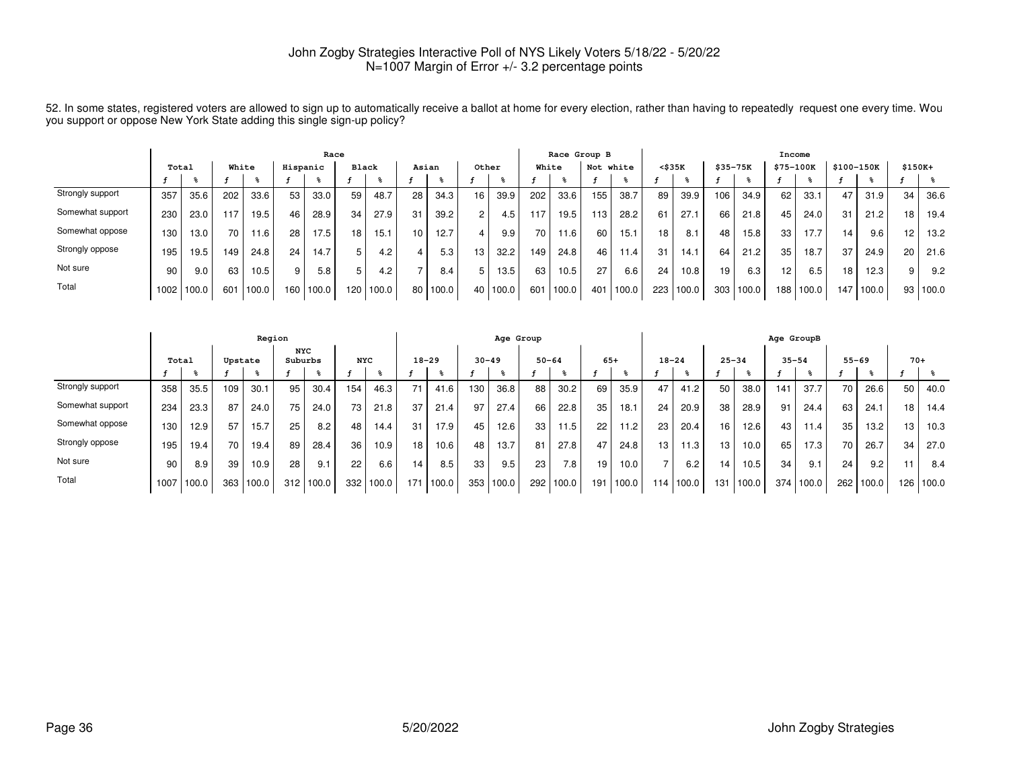|                  | Race  |       |       |       |          |       |              |       |       |       |       |       |       |       | Race Group B |       |        |       |          |       | Income    |       |                 |       |          |          |
|------------------|-------|-------|-------|-------|----------|-------|--------------|-------|-------|-------|-------|-------|-------|-------|--------------|-------|--------|-------|----------|-------|-----------|-------|-----------------|-------|----------|----------|
|                  | Total |       | White |       | Hispanic |       | <b>Black</b> |       | Asian |       | Other |       | White |       | Not white    |       | <\$35K |       | \$35-75K |       | \$75-100K |       | \$100-150K      |       | $$150K+$ |          |
|                  |       |       |       |       |          |       |              |       |       |       |       |       |       |       |              |       |        |       |          |       |           |       |                 |       |          |          |
| Strongly support | 357   | 35.6  | 202   | 33.6  | 53       | 33.0  | 59           | 48.7  | 28    | 34.3  | 16    | 39.9  | 202   | 33.6  | 155          | 38.7  | 89     | 39.9  | 106      | 34.9  | 62        | 33.1  | 47              | 31.9  | 34       | 36.6     |
| Somewhat support | 230   | 23.0  | 117   | 19.5  | 46       | 28.9  | 34           | 27.9  | 31    | 39.2  |       | 4.5   | 117   | 19.5  | 113          | 28.2  | 61     | 27.   | 66       | 21.8  | 45        | 24.0  | 31              | 21.2  | 18       | 19.4     |
| Somewhat oppose  | 130   | 13.0  | 70    | 11.6  | 28       | 17.5  | 18           | 15.1  | 10    | 12.7  |       | 9.9   | 70.   | 11.6  | 60           | 15.1  | 18     | 8.1   | 48       | 15.8  | 33        | 17.7  | 14              | 9.6   | 12       | 13.2     |
| Strongly oppose  | 195   | 19.5  | 149   | 24.8  | 24       | 14.7  |              | 4.2   |       | 5.3   | 13    | 32.2  | 149   | 24.8  | 46           | 11.4  | 31     | 14.7  | 64       | 21.2  | 35        | 18.7  | 37              | 24.9  | 20       | 21.6     |
| Not sure         | 90    | 9.0   | 63    | 10.5  | 9        | 5.8   |              | 4.2   |       | 8.4   |       | 13.5  | 63    | 10.5  | 27           | 6.6   | 24     | 10.8  | 19       | 6.3   | 12        | 6.5   | 18 <sub>1</sub> | 12.3  | 9        | 9.2      |
| Total            | 1002  | 100.0 | 601   | 100.0 | 160      | 100.0 | 120          | 100.0 | 80    | 100.0 | 40    | 100.0 | 601   | 100.0 | 401          | 100.0 | 223    | 100.0 | 303      | 100.0 | 188       | 100.0 | 147             | 100.0 |          | 93 100.0 |

52. In some states, registered voters are allowed to sign up to automatically receive a ballot at home for every election, rather than having to repeatedly request one every time. Wou<br>you support or oppose New York State

|                  |      |       |         | Region    |                       |       |            |       |           |       |           | Age Group |           |                  |       |       |                  |       |                 |       | Age GroupB |           |           |       |                 |           |
|------------------|------|-------|---------|-----------|-----------------------|-------|------------|-------|-----------|-------|-----------|-----------|-----------|------------------|-------|-------|------------------|-------|-----------------|-------|------------|-----------|-----------|-------|-----------------|-----------|
|                  |      | Total | Upstate |           | <b>NYC</b><br>Suburbs |       | <b>NYC</b> |       | $18 - 29$ |       | $30 - 49$ |           | $50 - 64$ |                  | $65+$ |       | $18 - 24$        |       | $25 - 34$       |       | $35 - 54$  |           | $55 - 69$ |       | $70+$           |           |
|                  |      |       |         |           |                       |       |            |       |           |       |           |           |           |                  |       |       |                  |       |                 |       |            |           |           |       |                 |           |
| Strongly support | 358  | 35.5  | 109     | 30.1      | 95                    | 30.4  | 154        | 46.3  | 71        | 41.6  | 130       | 36.8      | 88        | 30.2             | 69    | 35.9  | 47               | 41.2  | 50              | 38.0  | 141        | 37.7      | 70        | 26.6  | 50              | 40.0      |
| Somewhat support | 234  | 23.3  | 87      | 24.0      | 75                    | 24.0  | 73         | 21.8  | 37        | 21.4  | 97        | 27.4      | 66        | 22.8             | 35    | 18.1  | 24               | 20.9  | 38              | 28.9  | 91         | 24.4      | 63        | 24.1  | 18 <sub>1</sub> | 14.4      |
| Somewhat oppose  | 130  | 12.9  | 57      | 15.7      | 25                    | 8.2   | 48         | 14.4  | 31        | 17.9  | 45        | 12.6      | 33        | 11.5             | 22    | 11.2  | 23               | 20.4  | 16              | 12.6  | 43         | 11.4      | 35        | 13.2  | 13              | 10.3      |
| Strongly oppose  | 195  | 19.4  | 70      | 19.4      | 89                    | 28.4  | 36         | 10.9  | 18        | 10.6  | 48        | 13.7      | 81        | 27.8             | 47    | 24.8  | 13               | 11.3  | 13 <sub>1</sub> | 10.0  | 65         | 17.3      | 70        | 26.7  | 34              | 27.0      |
| Not sure         | 90   | 8.9   | 39      | 10.9      | 28                    | 9.1   | 22         | 6.6   | 14        | 8.5   | 33        | 9.5       | 23        | 7.8 <sub>1</sub> | 19    | 10.0  |                  | 6.2   | 14              | 10.5  | 34         | 9.1       | 24        | 9.2   | 11              | 8.4       |
| Total            | 1007 | 100.0 |         | 363 100.0 | 312                   | 100.0 | 332        | 100.0 | 171       | 100.0 | 353       | 100.0     | 292       | 100.0            | 191   | 100.0 | 114 <sub>1</sub> | 100.0 | 131             | 100.0 |            | 374 100.0 | 262       | 100.0 |                 | 126 100.0 |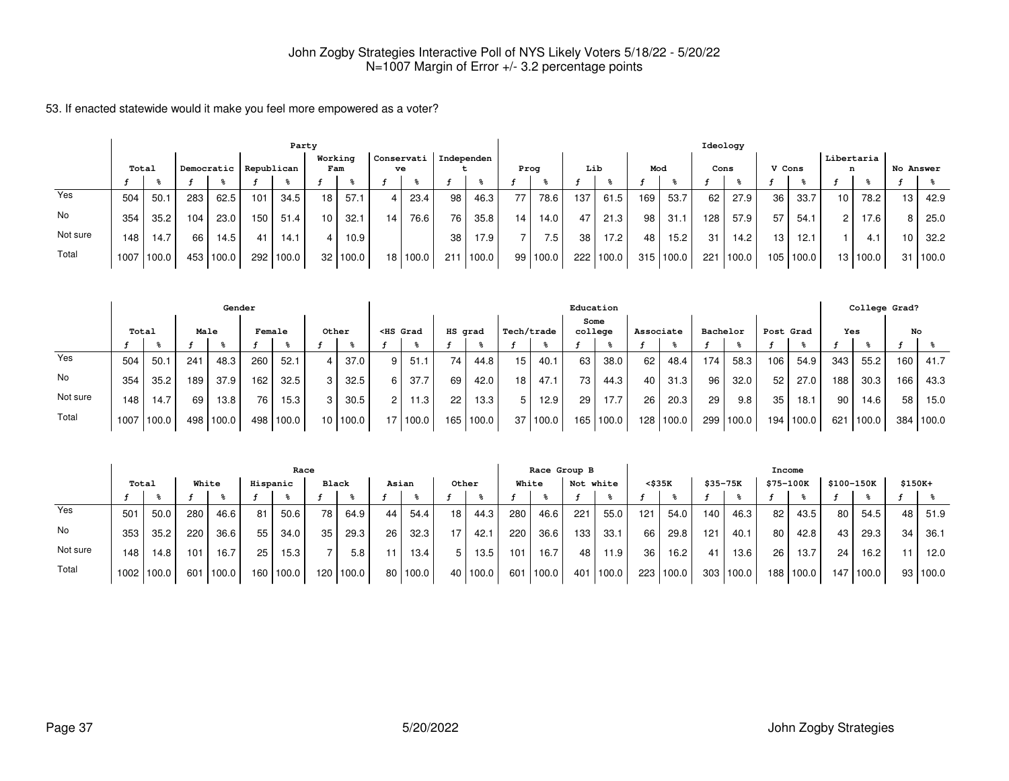|          |      | Party |     |            |     |            |                 |          |                  |          |            |       |                 |          |     |                  |     |           |      | Ideology  |        |       |                 |          |           |       |
|----------|------|-------|-----|------------|-----|------------|-----------------|----------|------------------|----------|------------|-------|-----------------|----------|-----|------------------|-----|-----------|------|-----------|--------|-------|-----------------|----------|-----------|-------|
|          |      | Total |     | Democratic |     | Republican | Working<br>Fam  |          | Conservati<br>ve |          | Independen |       | Prog            |          | Lib |                  | Mod |           | Cons |           | V Cons |       | Libertaria<br>n |          | No Answer |       |
|          |      |       |     |            |     |            |                 |          |                  |          |            |       |                 |          |     |                  |     |           |      |           |        |       |                 |          |           |       |
| Yes      | 504  | 50.1  | 283 | 62.5       | 101 | 34.5       | 18 <sub>1</sub> | 57.1     | 4                | 23.4     | 98         | 46.3  | 77 <sub>1</sub> | 78.6     | 137 | 61.5             | 169 | 53.7      | 62   | 27.9      | 36     | 33.7  | 10 <sub>1</sub> | 78.2     | 13        | 42.9  |
| No       | 354  | 35.2  | 104 | 23.0       | 150 | 51.4       | 10 <sub>1</sub> | 32.1     | 14               | 76.6     | 76         | 35.8  | 14 <sub>1</sub> | 14.0     | 47  | 21.3             | 98  | 31.1      | 128  | 57.9      | 57     | 54.1  | 2 <sup>1</sup>  | 17.6     | 8         | 25.0  |
| Not sure | 148  | 14.7  | 66  | 14.5       | 41  | 14.1       |                 | 10.9     |                  |          | 38         | 17.9  |                 | 7.5      | 38  | 17.2             | 48  | 15.2      | 31   | 14.2      | 13.    | 12.1  |                 | 4.1      | 10        | 32.2  |
| Total    | 1007 | 100.0 |     | 453 100.0  | 292 | 100.0      |                 | 32 100.0 |                  | 18 100.0 | 211        | 100.0 |                 | 99 100.0 |     | $222 \mid 100.0$ |     | 315 100.0 |      | 221 100.0 | 105    | 100.0 |                 | 13 100.0 | 31 I      | 100.0 |

|          |       |       |      | Gender            |        |       |                 |       |                                                                                                                                                                                                                                              |          |         |       |            |          |      | Education |           |           |          |       |       |           |     | College Grad? |     |           |
|----------|-------|-------|------|-------------------|--------|-------|-----------------|-------|----------------------------------------------------------------------------------------------------------------------------------------------------------------------------------------------------------------------------------------------|----------|---------|-------|------------|----------|------|-----------|-----------|-----------|----------|-------|-------|-----------|-----|---------------|-----|-----------|
|          | Total |       | Male |                   | Female |       | Other           |       | <hs grad<="" th=""><th></th><th>HS grad</th><th></th><th>Tech/trade</th><th></th><th>Some</th><th>college</th><th>Associate</th><th></th><th>Bachelor</th><th></th><th></th><th>Post Grad</th><th>Yes</th><th></th><th>No</th><th></th></hs> |          | HS grad |       | Tech/trade |          | Some | college   | Associate |           | Bachelor |       |       | Post Grad | Yes |               | No  |           |
|          |       |       |      |                   |        |       |                 |       |                                                                                                                                                                                                                                              |          |         |       |            |          |      |           |           |           |          |       |       |           |     |               |     |           |
| Yes      | 504   | 50.1  | 241  | 48.3              | 260    | 52.1  |                 | 37.0  | 9                                                                                                                                                                                                                                            | 51.1     | 74      | 44.8  | 15         | 40.1     | 63   | 38.0      | 62        | 48.4      | 174      | 58.3  | 106   | 54.9      | 343 | 55.2          | 160 | 41.7      |
| No       | 354   | 35.2  | 189  | 37.9              | 162    | 32.5  |                 | 32.5  | 6                                                                                                                                                                                                                                            | 37.7     | 69      | 42.0  | 18         | 47.1     | 73   | 44.3      | 40        | 31.3      | 96       | 32.0  | 52    | 27.0      | 188 | 30.3          | 166 | 43.3      |
| Not sure | 148   | 14.7  | 69   | 13.8 <sub>1</sub> | 76     | 15.3  |                 | 30.5  | $\overline{2}$                                                                                                                                                                                                                               | 11.3     | 22      | 13.3  | 5 I        | 12.9     | 29   | 17.7      | 26        | 20.3      | 29       | 9.8   | 35    | 18.1      | 90, | 14.6          | 58  | 15.0      |
| Total    | 1007  | 100.0 |      | 498 100.0         | 498    | 100.0 | 10 <sup>1</sup> | 100.0 |                                                                                                                                                                                                                                              | 17 100.0 | 165     | 100.0 |            | 37 100.0 |      | 165 100.0 |           | 128 100.0 | 299      | 100.0 | 194 l | 100.0     | 621 | 100.0         |     | 384 100.0 |

|          |       | Race  |       |           |          |       |                  |       |       |              |       |       |       | Race Group B |     |                   |        |       |     |           | Income    |       |                 |                       |          |          |
|----------|-------|-------|-------|-----------|----------|-------|------------------|-------|-------|--------------|-------|-------|-------|--------------|-----|-------------------|--------|-------|-----|-----------|-----------|-------|-----------------|-----------------------|----------|----------|
|          | Total |       | White |           | Hispanic |       | Black            |       | Asian |              | Other |       | White |              | Not | white             | <\$35K |       |     | \$35-75K  | \$75-100K |       |                 | \$100-150K            | $$150K+$ |          |
|          |       |       |       |           |          |       |                  |       |       |              |       |       |       |              |     |                   |        |       |     |           |           |       |                 |                       |          |          |
| Yes      | 501   | 50.0  | 280   | 46.6      | 81       | 50.6  | 78               | 64.9  | 44    | 54.4         | 18    | 44.3  | 280   | 46.6         | 221 | 55.0              | 121    | 54.0  | 140 | 46.3      | 82        | 43.5  | 80 <sub>1</sub> | 54.5                  | 48       | 51.9     |
| No       | 353   | 35.2  | 220   | 36.6      | 55       | 34.0  | 35               | 29.3  | 26    | 32.3         | 17    | 42.1  | 220   | 36.6         | 133 | 33.1              | 66     | 29.8  | 121 | 40.1      | 80        | 42.8  | 43              | 29.3                  | 34       | 36.1     |
| Not sure | 148   | 14.8  | 101   | 16.7      | 25       | 15.3  |                  | 5.8   | 11    | 13.4         |       | 13.5  | 101   | 16.7         | 48  | 11.9              | 36     | 16.2  | 41  | 13.6      | 26        | 13.7  | 24              | 16.2                  | 11       | 12.0     |
| Total    | 1002. | 100.0 |       | 601 100.0 | 160      | 100.0 | 120 <sub>1</sub> | 100.0 |       | $80$   100.0 | 40    | 100.0 | 601   | 1100.0       | 401 | $^{\prime}$ 100.0 | 223    | 100.0 |     | 303 100.0 | 188       | 100.0 | 147             | $\vert$ 100.0 $\vert$ |          | 93 100.0 |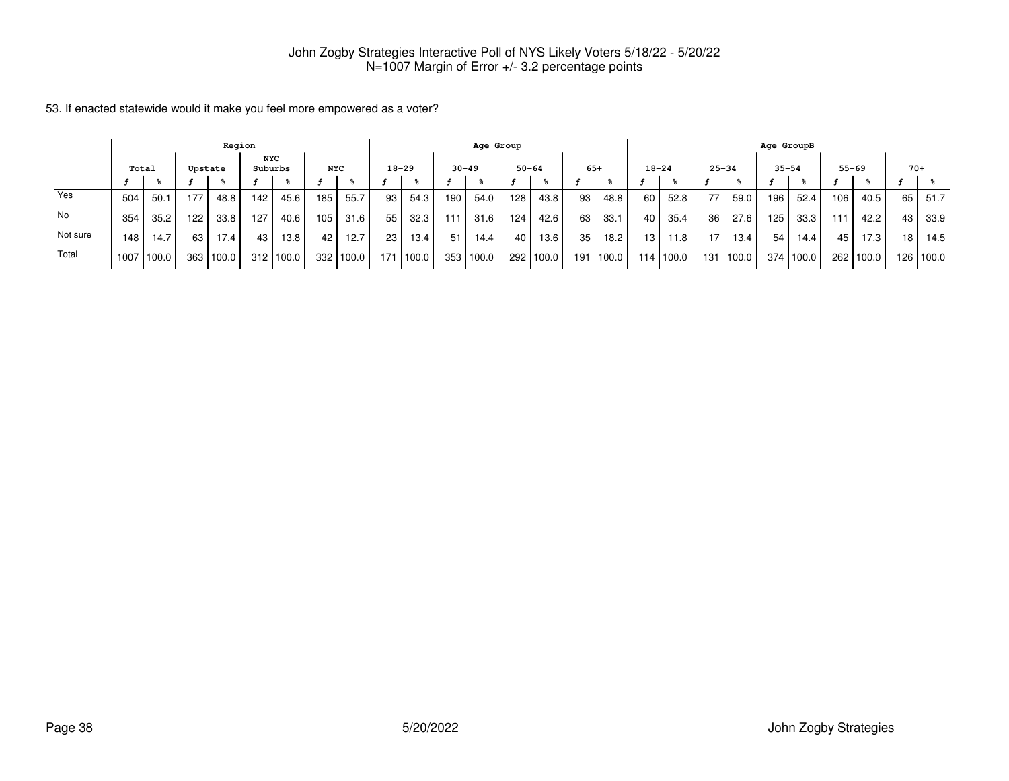|          |                  |       |     | Region |         |            |                 |       |     |           |           | Age Group |                 |           |    |             |                 |           |           |       | Age GroupB |       |      |                   |                 |             |
|----------|------------------|-------|-----|--------|---------|------------|-----------------|-------|-----|-----------|-----------|-----------|-----------------|-----------|----|-------------|-----------------|-----------|-----------|-------|------------|-------|------|-------------------|-----------------|-------------|
|          | Total<br>Upstate |       |     |        | Suburbs | <b>NYC</b> | <b>NYC</b>      |       |     | $18 - 29$ | $30 - 49$ |           | $50 - 64$       |           |    | $65+$       |                 | $18 - 24$ | $25 - 34$ |       | $35 - 54$  |       |      | $55 - 69$         | $70+$           |             |
|          |                  |       |     |        |         |            |                 |       |     |           |           |           |                 |           |    |             |                 |           |           |       |            |       |      |                   |                 |             |
| Yes      | 504              | 50.1  | 177 | 48.8   | 142.    | 45.6       | 185             | 55.7  | 93  | 54.3      | 190       | 54.0      | 128             | 43.8      | 93 | 48.8        | 60              | 52.8      | 77        | 59.0  | 196        | 52.4  | 106. | 40.5              | 65              | 51.7        |
| No       | 354              | 35.2  | 122 | 33.8   | 127     | 40.6       | 105             | 31.6  | 55  | 32.3      | 111       | 31.6      | 124             | 42.6      | 63 | 33.1        | 40              | 35.4      | 36        | 27.6  | 125        | 33.3  | 111  | 42.2              | 43              | 33.9        |
| Not sure | 148.             | 14.7  | 63  | 17.4   | 43      | 13.8       | 42 <sub>1</sub> | 12.7  | 23  | 13.4      | 51        | 14.4      | 40 <sup>1</sup> | 13.6      | 35 | 18.2        | 13 <sub>1</sub> | 11.8      | 17        | 13.4  | 54         | 14.4  | 45   | 17.3 <sub>1</sub> | 18 <sub>1</sub> | 14.5        |
| Total    | 1007             | 100.0 | 363 | 100.0  | 312     | 1100.0     | 332             | 100.0 | 171 | 100.0     | 353       | 100.0     |                 | 292 100.0 |    | 191   100.0 | 114             | 100.0     | 131 l     | 100.0 | 374        | 100.0 |      | 262 100.0         |                 | 126   100.0 |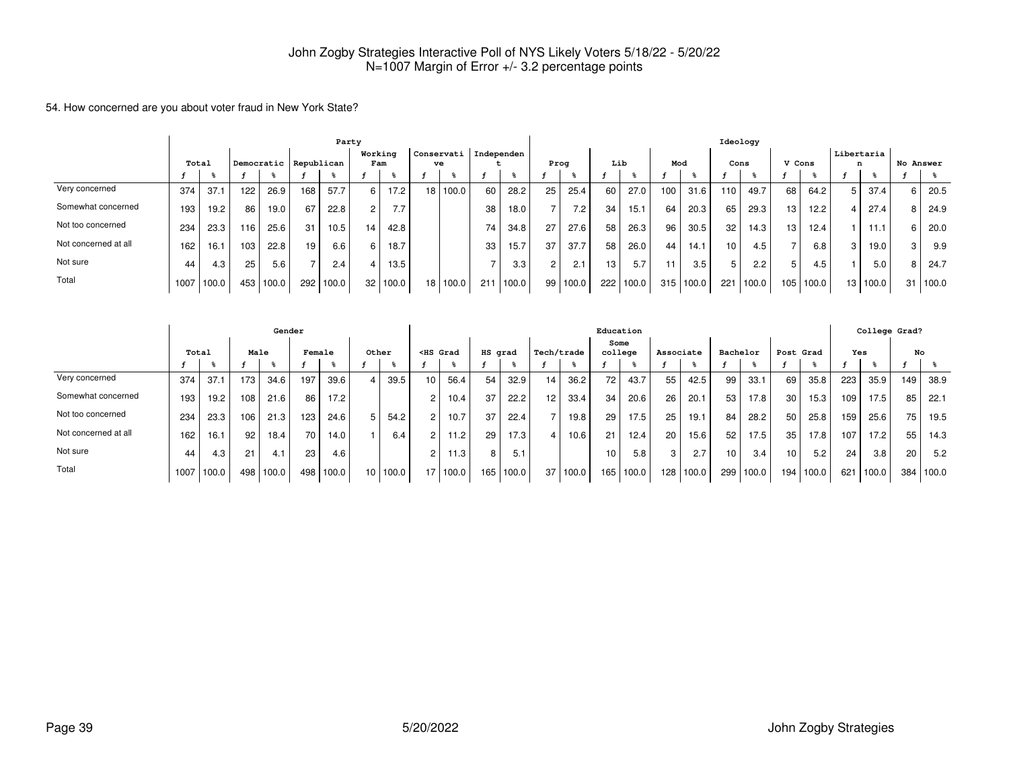#### 54. How concerned are you about voter fraud in New York State?

|                      | Party |       |     |       |                       |       |                |       |    |                  |            |       |    |       |     |       |     |       | Ideology         |       |        |       |                 |           |       |
|----------------------|-------|-------|-----|-------|-----------------------|-------|----------------|-------|----|------------------|------------|-------|----|-------|-----|-------|-----|-------|------------------|-------|--------|-------|-----------------|-----------|-------|
|                      | Total |       |     |       | Democratic Republican |       | Working<br>Fam |       |    | Conservati<br>ve | Independen |       |    | Prog  |     | Lib   | Mod |       | Cons             |       | V Cons |       | Libertaria<br>n | No Answer |       |
|                      |       |       |     |       |                       |       |                |       |    |                  |            |       |    |       |     |       |     |       |                  |       |        |       |                 |           |       |
| Very concerned       | 374   | 37.1  | 122 | 26.9  | 168                   | 57.7  |                | 17.2  | 18 | 100.0            | 60         | 28.2  | 25 | 25.4  | 60  | 27.0  | 100 | 31.6  | 110              | 49.7  | 68     | 64.2  | 37.4            |           | 20.5  |
| Somewhat concerned   | 193   | 19.2  | 86  | 19.0  | 67                    | 22.8  |                | 7.7   |    |                  | 38         | 18.0  |    | 7.2   | 34  | 15.1  | 64  | 20.3  | 65               | 29.3  | 13     | 12.2  | 27.4            |           | 24.9  |
| Not too concerned    | 234   | 23.3  | 116 | 25.6  | 31                    | 10.5  | 14             | 42.8  |    |                  | 74         | 34.8  | 27 | 27.6  | 58  | 26.3  | 96  | 30.5  | 32               | 14.3  | 13.    | 12.4  | 11.1            |           | 20.0  |
| Not concerned at all | 162   | 16.1  | 103 | 22.8  | 19                    | 6.6   |                | 18.7  |    |                  | 33         | 15.7  | 37 | 37.7  | 58  | 26.0  | 44  | 14.1  | 10 <sup>10</sup> | 4.5   |        | 6.8   | 19.0            |           | 9.9   |
| Not sure             | 44    | 4.3   | 25  | 5.6   |                       | 2.4   |                | 13.5  |    |                  |            | 3.3   |    | 2.1   | 13  | 5.7   |     | 3.5   |                  | 2.2   |        | 4.5   | 5.0             |           | 24.7  |
| Total                | 1007  | 100.0 | 453 | 100.0 | 292                   | 100.0 | 32             | 100.0 | 18 | 100.0            | 211        | 100.0 | 99 | 100.0 | 222 | 100.0 | 315 | 100.0 | 221              | 100.0 | 105    | 100.0 | 13 100.0        | 31        | 100.0 |

|                      | Gender |                   |      |       |        |       |       |       |                                                                                                                                                                                                                                                   |                   |         |       |    |            | Education       |       |           |       |          |       |           |       |     | College Grad? |     |       |
|----------------------|--------|-------------------|------|-------|--------|-------|-------|-------|---------------------------------------------------------------------------------------------------------------------------------------------------------------------------------------------------------------------------------------------------|-------------------|---------|-------|----|------------|-----------------|-------|-----------|-------|----------|-------|-----------|-------|-----|---------------|-----|-------|
|                      | Total  |                   | Male |       | Female |       | Other |       | <hs grad<="" th=""><th></th><th>HS grad</th><th></th><th></th><th>Tech/trade</th><th>Some<br/>college</th><th></th><th>Associate</th><th></th><th>Bachelor</th><th></th><th>Post Grad</th><th></th><th>Yes</th><th></th><th></th><th>No</th></hs> |                   | HS grad |       |    | Tech/trade | Some<br>college |       | Associate |       | Bachelor |       | Post Grad |       | Yes |               |     | No    |
|                      |        |                   |      |       |        |       |       |       |                                                                                                                                                                                                                                                   |                   |         |       |    |            |                 |       |           |       |          |       |           |       |     |               |     |       |
| Very concerned       | 374    | 37.               | 173  | 34.6  | 197    | 39.6  |       | 39.5  | 10                                                                                                                                                                                                                                                | 56.4              | 54      | 32.9  | 14 | 36.2       | 72              | 43.7  | 55        | 42.5  | 99       | 33.1  | 69        | 35.8  | 223 | 35.9          | 149 | 38.9  |
| Somewhat concerned   | 193    | 19.2 <sub>1</sub> | 108  | 21.6  | 86     | 17.2  |       |       |                                                                                                                                                                                                                                                   | 10.4              | 37      | 22.2  | 12 | 33.4       | 34              | 20.6  | 26        | 20.1  | 53       | 17.8  | 30        | 15.3  | 109 | 17.5          | 85  | 22.1  |
| Not too concerned    | 234    | 23.3              | 106  | 21.3  | 123    | 24.6  | 5     | 54.2  | $\overline{c}$                                                                                                                                                                                                                                    | 10.7              | 37      | 22.4  |    | 19.8       | 29              | 17.5  | 25        | 19.1  | 84       | 28.2  | 50        | 25.8  | 159 | 25.6          | 75  | 19.5  |
| Not concerned at all | 162    | 16.1              | 92   | 18.4  | 70     | 14.0  |       | 6.4   | $\overline{2}$                                                                                                                                                                                                                                    | 11.2              | 29      | 17.3  | 4  | 10.6       | 21              | 12.4  | 20        | 15.6  | 52       | 17.5  | 35        | 17.8  | 107 | 17.2          | 55  | 14.3  |
| Not sure             | 44     | 4.3               | 21   | 4.1   | 23     | 4.6   |       |       | 2                                                                                                                                                                                                                                                 | 11.3 <sub>1</sub> | 8       | 5.1   |    |            | 10              | 5.8   | 3         | 2.7   | 10       | 3.4   | 10        | 5.2   | 24  | 3.8           | 20  | 5.2   |
| Total                | 1007   | 100.0             | 498  | 100.0 | 498    | 100.0 | 10    | 100.0 | 17                                                                                                                                                                                                                                                | 100.0             | 165     | 100.0 | 37 | 100.0      | 165             | 100.0 | 128       | 100.0 | 299      | 100.0 | 194       | 100.0 | 621 | 100.0         | 384 | 100.0 |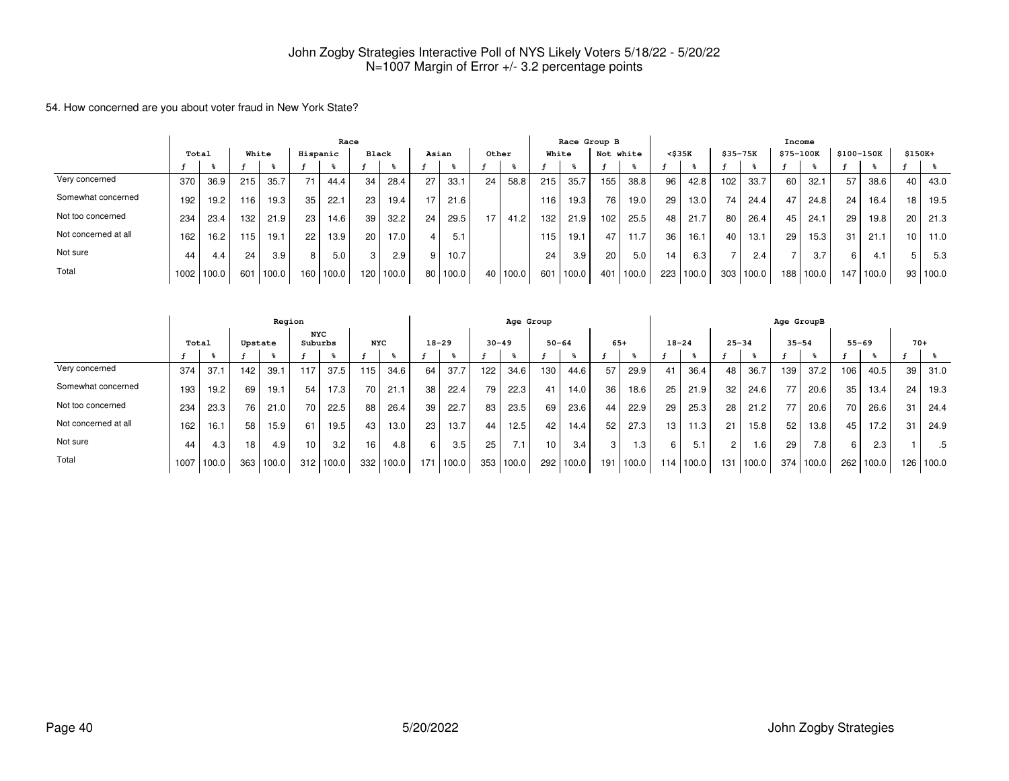#### 54. How concerned are you about voter fraud in New York State?

|                      |       |       |       |       |          | Race  |              |                   |     |       |       |       |     | Race Group B |           |       |                 |       |          |       | Income    |       |            |       |          |       |
|----------------------|-------|-------|-------|-------|----------|-------|--------------|-------------------|-----|-------|-------|-------|-----|--------------|-----------|-------|-----------------|-------|----------|-------|-----------|-------|------------|-------|----------|-------|
|                      | Total |       | White |       | Hispanic |       | <b>Black</b> |                   |     | Asian | Other |       |     | White        | Not white |       | $<$ \$35 $K$    |       | \$35-75K |       | \$75-100K |       | \$100-150K |       | $$150K+$ |       |
|                      |       |       |       |       |          |       |              |                   |     |       |       |       |     |              |           |       |                 |       |          |       |           |       |            |       |          |       |
| Very concerned       | 370   | 36.9  | 215   | 35.7  | 71       | 44.4  | 34           | 28.4              | 27  | 33.1  | 24    | 58.8  | 215 | 35.7         | 155       | 38.8  | 96              | 42.8  | 102      | 33.7  | 60        | 32.1  | 57         | 38.6  | 40       | 43.0  |
| Somewhat concerned   | 192   | 19.2  | 116   | 19.3  | 35       | 22.1  | 23           | 19.4              | - 7 | 21.6  |       |       | 116 | 19.3         | 76        | 19.0  | 29              | 13.0  | 74       | 24.4  | 47        | 24.8  | 24         | 16.4  | 18       | 19.5  |
| Not too concerned    | 234   | 23.4  | 132   | 21.9  | 23       | 14.6  | 39           | 32.2              | 24  | 29.5  | 17    | 41.2  | 132 | 21.9         | 102       | 25.5  | 48              | 21.7  | 80       | 26.4  | 45        | 24.1  | 29         | 19.8  | 20       | 21.3  |
| Not concerned at all | 162   | 16.2  | 115   | 19.1  | 22       | 13.9  | 20           | 17.0 <sub>1</sub> |     | 5.1   |       |       | 115 | 19.1         | 47        | 11.7  | 36              | 16.1  | 40       | 13.1  | 29        | 15.3  | 31         | 21.1  | 10       | 11.0  |
| Not sure             | 44    | 4.4   | 24    | 3.9   |          | 5.0   |              | 2.9               |     | 10.7  |       |       | 24  | 3.9          | 20        | 5.0   | 14 <sub>1</sub> | 6.3   |          | 2.4   |           | 3.7   |            | 4.1   |          | 5.3   |
| Total                | 1002  | 100.0 | 601   | 100.0 | 160      | 100.0 | 120          | 100.0             | 80  | 100.0 | 40    | 100.0 | 601 | 100.0        | 401       | 100.0 | 223             | 100.0 | 303      | 100.0 | 188       | 100.0 | 147        | 100.0 | 93       | 100.0 |

|                      | Region |       |                 |       |                       |       |            |       |     |           |     | Age Group |                 |       |       |              |           |       |     |           | Age GroupB |       |           |       |       |       |
|----------------------|--------|-------|-----------------|-------|-----------------------|-------|------------|-------|-----|-----------|-----|-----------|-----------------|-------|-------|--------------|-----------|-------|-----|-----------|------------|-------|-----------|-------|-------|-------|
|                      |        | Total | Upstate         |       | <b>NYC</b><br>Suburbs |       | <b>NYC</b> |       |     | $18 - 29$ |     | $30 - 49$ | $50 - 64$       |       | $65+$ |              | $18 - 24$ |       |     | $25 - 34$ | $35 - 54$  |       | $55 - 69$ |       | $70+$ |       |
|                      |        |       |                 |       |                       |       |            |       |     |           |     |           |                 |       |       |              |           |       |     |           |            |       |           |       |       |       |
| Very concerned       | 374    | 37.   | 142             | 39.1  | 117                   | 37.5  | 115        | 34.6  | 64  | 37.7      | 122 | 34.6      | 130             | 44.6  | 57    | 29.9         | 41        | 36.4  | 48  | 36.7      | 139        | 37.2  | 106       | 40.5  | 39    | 31.0  |
| Somewhat concerned   | 193    | 19.2  | 69              | 19.1  | 54                    | 17.3  | 70         | 21.1  | 38  | 22.4      | 79  | 22.3      | 41              | 14.0  | 36    | 18.6         | 25        | 21.9  | 32  | 24.6      | 77         | 20.6  | 35        | 13.4  | 24    | 19.3  |
| Not too concerned    | 234    | 23.3  | 76              | 21.0  | 70                    | 22.5  | 88         | 26.4  | 39  | 22.7      | 83  | 23.5      | 69              | 23.6  | 44    | 22.9         | 29        | 25.3  | 28  | 21.2      | 77         | 20.6  | 70        | 26.6  | 31    | 24.4  |
| Not concerned at all | 162    | 16.   | 58              | 15.9  | 61                    | 19.5  | 43         | 13.0  | 23  | 13.7      | 44  | 12.5      | 42              | 14.4  | 52    | 27.3         | 13        | 11.3  | 21  | 15.8      | 52         | 13.8  | 45        | 17.2  | 31    | 24.9  |
| Not sure             | 44     | 4.3   | 18 <sub>1</sub> | 4.9   | 10                    | 3.2   | 16         | 4.8   | 6   | 3.5       | 25  | 7.1       | 10 <sub>1</sub> | 3.4   | 3 I   | $.3^{\circ}$ | 6         | 5.1   |     | .6        | 29         | 7.8   | 6.        | 2.3   |       | .5    |
| Total                | 1007   | 100.0 | 363             | 100.0 | 312                   | 100.0 | 332        | 100.0 | 171 | 100.0     | 353 | 100.0     | 292             | 100.0 | 191   | 100.0        | 114       | 100.0 | 131 | 100.0     | 374        | 100.0 | 262       | 100.0 | 126   | 100.0 |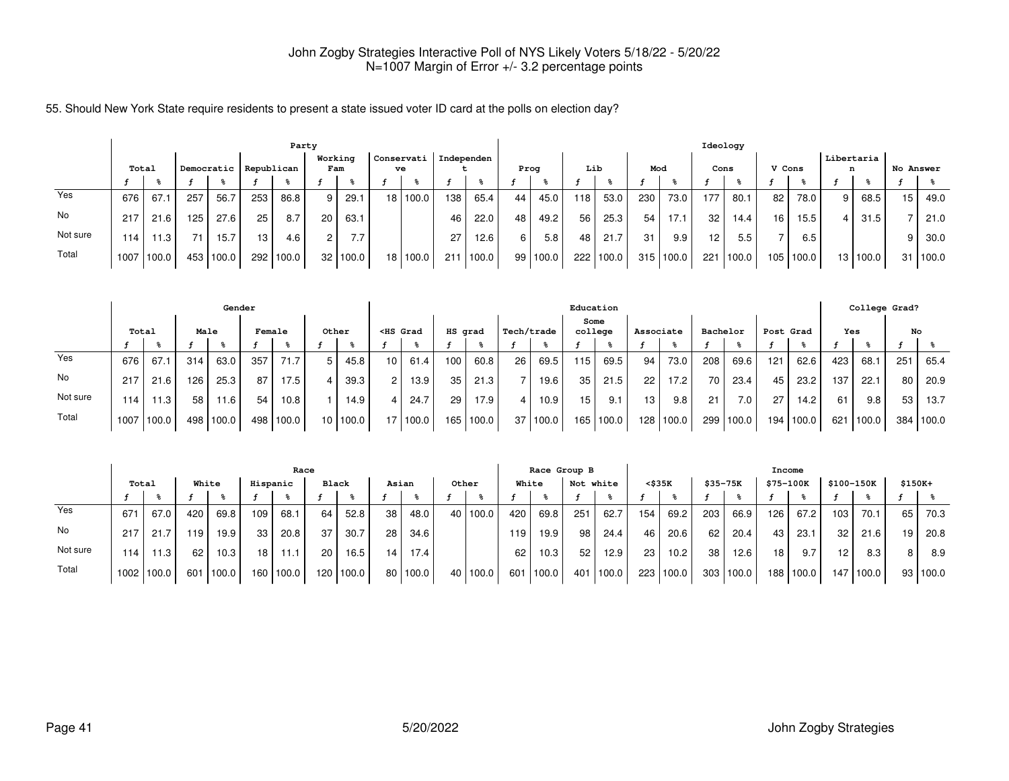55. Should New York State require residents to present a state issued voter ID card at the polls on election day?

|          |       | Party |     |            |     |            |                 |          |                 |            |            |       |                 |       |     |       |     |       | Ideology        |       |        |       |                 |            |           |       |
|----------|-------|-------|-----|------------|-----|------------|-----------------|----------|-----------------|------------|------------|-------|-----------------|-------|-----|-------|-----|-------|-----------------|-------|--------|-------|-----------------|------------|-----------|-------|
|          | Total |       |     | Democratic |     | Republican | Working<br>Fam  |          | Conservati      | ve         | Independen |       | Prog            |       | Lib |       | Mod |       | Cons            |       | V Cons |       | Libertaria<br>n |            | No Answer |       |
|          |       |       |     |            |     |            |                 |          |                 |            |            |       |                 |       |     |       |     |       |                 |       |        |       |                 |            |           |       |
| Yes      | 676   | 67.   | 257 | 56.7       | 253 | 86.8       | -9 I            | 29.1     | 18 <sup>1</sup> | 100.0      | 138        | 65.4  | 44              | 45.0  | 118 | 53.0  | 230 | 73.0  | 177             | 80.1  | 82     | 78.0  | 9 I             | 68.5       | 15        | 49.0  |
| No       | 217   | 21.6  | 125 | 27.6       | 25  | 8.7        | 20 <sub>1</sub> | 63.1     |                 |            | 46         | 22.0  | 48              | 49.2  | 56  | 25.3  | 54  | 17.1  | 32 <sub>1</sub> | 14.4  | 16     | 15.5  |                 | 31.5       |           | 21.0  |
| Not sure | 114   | 11.3  | 71  | 15.7       | 13  | 4.6        | $\overline{2}$  | 7.7      |                 |            | 27         | 12.6  | 6               | 5.8   | 48  | 21.7  | 31  | 9.9   | 12 <sup>2</sup> | 5.5   |        | 6.5   |                 |            | 9         | 30.0  |
| Total    | 1007  | 100.0 |     | 453 100.0  | 292 | 100.0      |                 | 32 100.0 |                 | 18   100.0 | 211        | 100.0 | 99 <sub>1</sub> | 100.0 | 222 | 100.0 | 315 | 100.0 | 221             | 100.0 | 105    | 100.0 |                 | 13   100.0 | 31 I      | 100.0 |

|          |       |       |      | Gender    |        |       |                 |       |                                                                                                                                                                                                                                              |          |         |       |                 |          | Education |           |                 |           |          |                  |       |           |     | College Grad? |     |           |
|----------|-------|-------|------|-----------|--------|-------|-----------------|-------|----------------------------------------------------------------------------------------------------------------------------------------------------------------------------------------------------------------------------------------------|----------|---------|-------|-----------------|----------|-----------|-----------|-----------------|-----------|----------|------------------|-------|-----------|-----|---------------|-----|-----------|
|          | Total |       | Male |           | Female |       | Other           |       | <hs grad<="" th=""><th></th><th>HS grad</th><th></th><th>Tech/trade</th><th></th><th>Some</th><th>college</th><th>Associate</th><th></th><th>Bachelor</th><th></th><th></th><th>Post Grad</th><th>Yes</th><th></th><th>No</th><th></th></hs> |          | HS grad |       | Tech/trade      |          | Some      | college   | Associate       |           | Bachelor |                  |       | Post Grad | Yes |               | No  |           |
|          |       |       |      |           |        |       |                 |       |                                                                                                                                                                                                                                              |          |         |       |                 |          |           |           |                 |           |          |                  |       |           |     |               |     |           |
| Yes      | 676   | 67.1  | 314  | 63.0      | 357    | 71.7  | 5               | 45.8  | 10 <sup>1</sup>                                                                                                                                                                                                                              | 61.4     | 100     | 60.8  | 26 <sub>1</sub> | 69.5     | 115       | 69.5      | 94              | 73.0      | 208      | 69.6             | 121   | 62.6      | 423 | 68.1          | 251 | 65.4      |
| No       | 217   | 21.6  | 126  | 25.3      | 87     | 17.5  |                 | 39.3  | $\overline{2}$                                                                                                                                                                                                                               | 13.9     | 35      | 21.3  |                 | 19.6     | 35        | 21.5      | 22              | 17.2      | 70       | 23.4             | 45    | 23.2      | 137 | 22.1          | 80  | 20.9      |
| Not sure | 114   | 1.3   | 58   | 11.6      | 54     | 10.8  |                 | 14.9  | 4                                                                                                                                                                                                                                            | 24.7     | 29      | 17.9  |                 | 10.9     | 15        | 9.1       | 13 <sub>1</sub> | 9.8       | 21       | 7.0 <sub>1</sub> | 27    | 14.2      | 61  | 9.8           | 53  | 13.7      |
| Total    | 1007  | 100.0 |      | 498 100.0 | 498    | 100.0 | 10 <sup>1</sup> | 100.0 |                                                                                                                                                                                                                                              | 17 100.0 | 165     | 100.0 |                 | 37 100.0 |           | 165 100.0 |                 | 128 100.0 | 299      | 100.0            | 194 l | 100.0     | 621 | 100.0         |     | 384 100.0 |

|          |       | Race  |       |                   |          |             |                 |                   |       |              |       |          |                 | Race Group B |     |        |        |                   |             |           | Income    |       |                 |             |          |          |
|----------|-------|-------|-------|-------------------|----------|-------------|-----------------|-------------------|-------|--------------|-------|----------|-----------------|--------------|-----|--------|--------|-------------------|-------------|-----------|-----------|-------|-----------------|-------------|----------|----------|
|          | Total |       | White |                   | Hispanic |             | Black           |                   | Asian |              | Other |          | White           |              | Not | white  | <\$35K |                   | $$35 - 75K$ |           | \$75-100K |       | \$100-150K      |             | $$150K+$ |          |
|          |       |       |       |                   |          |             |                 |                   |       |              |       |          |                 |              |     |        |        |                   |             |           |           |       |                 |             |          |          |
| Yes      | 671   | 67.0  | 420   | 69.8              | 109      | 68.1        | 64 l            | 52.8              | 38    | 48.0         |       | 40 100.0 | 420             | 69.8         | 251 | 62.7   | 154    | 69.2              | 203         | 66.9      | 126       | 67.2  | 103             | 70.1        | 65       | 70.3     |
| No       | 217   | 21.7  | 119   | 19.9              | 33       | 20.8        | 37 <sub>1</sub> | 30.7              | 28    | 34.6         |       |          | 119             | 19.9         | 98  | 24.4   | 46     | 20.6              | 62          | 20.4      | 43        | 23.1  | 32 <sub>1</sub> | 21.6        | 19       | 20.8     |
| Not sure | 114   | 11.3  | 62    | 10.3 <sub>1</sub> | 18       | 11.1        | 20              | 16.5 <sub>1</sub> | 14    | 17.4         |       |          | 62 <sub>1</sub> | 10.3         | 52  | 12.9   | 23     | 10.2 <sub>1</sub> | 38          | 12.6      | 18        | 9.7   | 12 <sup>2</sup> | 8.3         | 8        | 8.9      |
| Total    | 1002  | 100.0 | 601   | 100.0             |          | 160   100.0 |                 | 120 100.0         |       | $80$   100.0 | 40    | 100.0    | 601             | 1100.0       | 401 | 1100.0 | 223    | 100.0             |             | 303 100.0 | 188 l     | 100.0 |                 | 147   100.0 |          | 93 100.0 |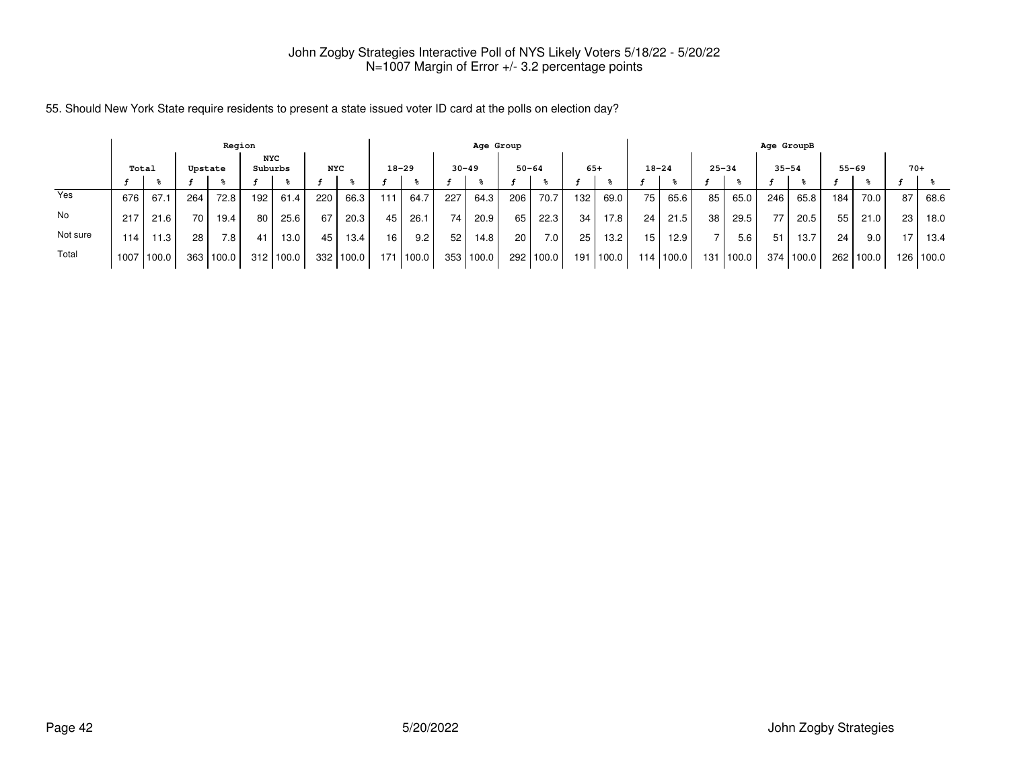|          |       |       |                  | Region  |         |            |            |             |           |                               |           | Age Group |           |       |       |       | Age GroupB      |           |                 |             |           |           |           |       |       |             |  |  |  |
|----------|-------|-------|------------------|---------|---------|------------|------------|-------------|-----------|-------------------------------|-----------|-----------|-----------|-------|-------|-------|-----------------|-----------|-----------------|-------------|-----------|-----------|-----------|-------|-------|-------------|--|--|--|
|          | Total |       |                  | Upstate | Suburbs | <b>NYC</b> | <b>NYC</b> |             | $18 - 29$ |                               | $30 - 49$ |           | $50 - 64$ |       | $65+$ |       | $18 - 24$       |           |                 | $25 - 34$   | $35 - 54$ |           | $55 - 69$ |       | $70+$ |             |  |  |  |
|          |       |       |                  |         |         |            |            |             |           |                               |           |           |           |       |       |       |                 |           |                 |             |           |           |           |       |       |             |  |  |  |
| Yes      | 676   | 67.   | 264              | 72.8    | 192     | 61.4       | 220        | 66.3        | 111       | 64.7                          | 227       | 64.3      | 206       | 70.7  | 132   | 69.0  | 75              | 65.6      | 85 <sub>1</sub> | 65.0        | 246       | 65.8      | 184       | 70.0  | 87    | 68.6        |  |  |  |
| No       | 217   | 21.6  | 70               | 19.4    | 80      | 25.6       | 67         | 20.3        | 45        | 26.1                          | 74        | 20.9      | 65        | 22.3  | 34    | 17.8  | 24              | 21.5      | 38              | 29.5        | 77        | 20.5      | 55        | 21.0  | 23    | 18.0        |  |  |  |
| Not sure | 114   | 11.3  | 28               | 7.8     | 41      | 13.0       | 45         | 13.4        | 16        | 9.2                           | 52        | 14.8      | 20        | 7.0   | 25    | 13.2  | 15 <sub>1</sub> | 12.9      |                 | 5.6         | 51        | 13.7      | 24        | 9.0   | 17    | 13.4        |  |  |  |
| Total    | 1007  | 100.0 | 363 <sub>1</sub> | 100.0   | 312     | 100.0      |            | 332   100.0 | 171       | $^{\prime}$ 100.0 $^{\prime}$ |           | 353 100.0 | 292       | 100.0 | 191   | 100.0 |                 | 114 100.0 |                 | 131   100.0 |           | 374 100.0 | 262       | 100.0 |       | 126   100.0 |  |  |  |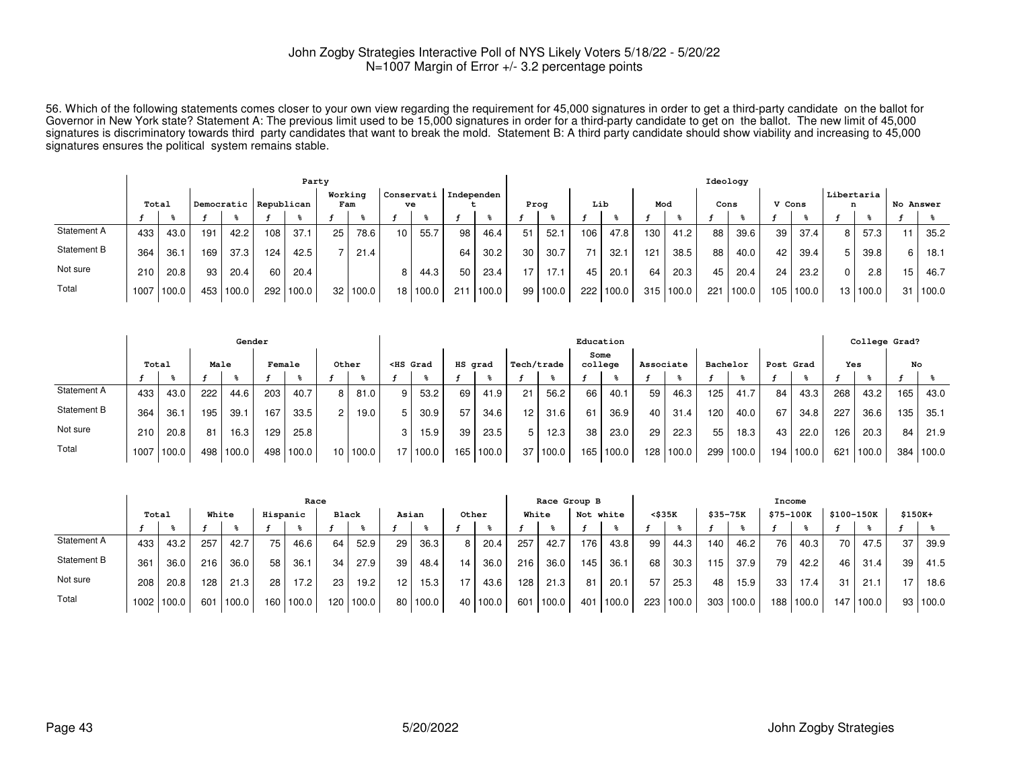56. Which of the following statements comes closer to your own view regarding the requirement for 45,000 signatures in order to get a third-party candidate on the ballot forGovernor in New York state? Statement A: The previous limit used to be 15,000 signatures in order for a third-party candidate to get on the ballot. The new limit of 45,000<br>signatures is discriminatory towards third part signatures ensures the political system remains stable.

|             |       |       |                       |       |                | Party |                  |       |                 |            |     |       | Ideology |       |         |       |       |       |        |       |                 |       |           |       |    |       |
|-------------|-------|-------|-----------------------|-------|----------------|-------|------------------|-------|-----------------|------------|-----|-------|----------|-------|---------|-------|-------|-------|--------|-------|-----------------|-------|-----------|-------|----|-------|
|             | Total |       | Democratic Republican |       | Working<br>Fam |       | Conservati<br>ve |       | Independen      |            |     | Prog  |          | Lib   |         | Mod   | Cons  |       | V Cons |       | Libertaria<br>n |       | No Answer |       |    |       |
|             |       |       |                       |       |                |       |                  |       |                 |            |     |       |          |       |         |       |       |       |        |       |                 |       |           |       |    |       |
| Statement A | 433   | 43.0  | 191                   | 42.2  | 108            | 37.1  | 25               | 78.6  | 10 <sup>1</sup> | 55.7       | 98  | 46.4  | 51       | 52.1  | 106     | 47.8  | 130   | 41.2  | 88     | 39.6  | 39              | 37.4  | 8         | 57.3  | 11 | 35.2  |
| Statement B | 364   | 36.1  | 169                   | 37.3  | 124            | 42.5  |                  | 21.4  |                 |            | 64  | 30.2  | 30       | 30.7  | 71      | 32.1  | 121   | 38.5  | 88     | 40.0  | 42              | 39.4  | 5         | 39.8  | 6  | 18.1  |
| Not sure    | 2101  | 20.8  | 93                    | 20.4  | 60             | 20.4  |                  |       | 8               | 44.3       | 50  | 23.4  | 17       | 17.1  | 45      | 20.1  | 64    | 20.3  | 45     | 20.4  | 24              | 23.2  | $\Omega$  | 2.8   | 15 | 46.7  |
| Total       | 1007  | 100.0 | 453                   | 100.0 | 292            | 100.0 | 32               | 100.0 |                 | 18   100.0 | 211 | 100.0 | 99       | 100.0 | $222 -$ | 100.0 | 315 l | 100.0 | 221    | 100.0 | 105             | 100.0 | 13 I      | 100.0 | 31 | 100.0 |

|             |              |      |      | Gender    |        |       |                 |       | Education                                                                                                                                                                                                                                               |            |         |       |                 |            |    |                 |                 |             |     |          |           |       |     | College Grad? |     |       |  |
|-------------|--------------|------|------|-----------|--------|-------|-----------------|-------|---------------------------------------------------------------------------------------------------------------------------------------------------------------------------------------------------------------------------------------------------------|------------|---------|-------|-----------------|------------|----|-----------------|-----------------|-------------|-----|----------|-----------|-------|-----|---------------|-----|-------|--|
|             | Total        |      | Male |           | Female |       | Other           |       | <hs grad<="" th=""><th colspan="2">HS grad</th><th></th><th colspan="2">Tech/trade</th><th colspan="2">Some<br/>college</th><th colspan="2">Associate</th><th>Bachelor</th><th>Post Grad</th><th></th><th></th><th>Yes</th><th colspan="2">No</th></hs> |            | HS grad |       |                 | Tech/trade |    | Some<br>college |                 | Associate   |     | Bachelor | Post Grad |       |     | Yes           | No  |       |  |
|             |              |      |      |           |        |       |                 |       |                                                                                                                                                                                                                                                         |            |         |       |                 |            |    |                 |                 |             |     |          |           |       |     |               |     |       |  |
| Statement A | 433          | 43.0 | 222  | 44.6      | 203    | 40.7  | õ               | 81.0  | 9. I                                                                                                                                                                                                                                                    | 53.2       | 69      | 41.9  | 21              | 56.2       | 66 | 40.1            | 59              | 46.3        | 125 | 41.7     | 84        | 43.3  | 268 | 43.2          | 165 | 43.0  |  |
| Statement B | 364          | 36.1 | 195  | 39.1      | 167    | 33.5  |                 | 19.0  |                                                                                                                                                                                                                                                         | 30.9       | 57      | 34.6  | 12 <sub>1</sub> | 31.6       | 61 | 36.9            | 40 <sup>1</sup> | 31.4        | 120 | 40.0     | 67        | 34.8  | 227 | 36.6          | 135 | 35.1  |  |
| Not sure    | 210          | 20.8 | 81   | 16.3      | 129    | 25.8  |                 |       |                                                                                                                                                                                                                                                         | 15.9       | 39      | 23.5  |                 | 12.3       | 38 | 23.0            | 29              | 22.3        | 55  | 18.3     | 43        | 22.0  | 126 | 20.3          | 84  | 21.9  |  |
| Total       | 1007   100.0 |      |      | 498 100.0 | 498    | 100.0 | 10 <sub>1</sub> | 100.0 |                                                                                                                                                                                                                                                         | 17   100.0 | 165     | 100.0 | 37              | 100.0      |    | 165 100.0       |                 | 128   100.0 | 299 | 100.0    | 194       | 100.0 | 621 | 1100.0        | 384 | 100.0 |  |

|                    |                  |            |       |       |                  | Race  |       |           |                 |            |       |       | Race Group B |       |           |       |        | Income |             |       |           |       |      |            |          |          |  |  |  |
|--------------------|------------------|------------|-------|-------|------------------|-------|-------|-----------|-----------------|------------|-------|-------|--------------|-------|-----------|-------|--------|--------|-------------|-------|-----------|-------|------|------------|----------|----------|--|--|--|
|                    | Total            |            | White |       | Hispanic         |       | Black |           | Asian           |            | Other |       | White        |       | Not white |       | <\$35K |        | $$35 - 75K$ |       | \$75-100K |       |      | \$100-150K | $$150K+$ |          |  |  |  |
|                    |                  |            |       |       |                  |       |       |           |                 |            |       |       |              |       |           |       |        |        |             |       |           |       |      |            |          |          |  |  |  |
| <b>Statement A</b> | 433              | 43.2       | 257   | 42.7  | 75               | 46.6  | 64    | 52.9      | 29              | 36.3       | 8     | 20.4  | 257          | 42.7  | 176       | 43.8  | 99 I   | 44.3   | 140         | 46.2  | 76        | 40.3  | 70 I | 47.5       | 37       | 39.9     |  |  |  |
| Statement B        | 361              | 36.0       | 216   | 36.0  | 58               | 36.1  | 34    | 27.9      | 39              | 48.4       | 14    | 36.0  | 216          | 36.0  | 145       | 36.1  | 68     | 30.3   | 115         | 37.9  | 79        | 42.2  | 46 I | 31.4       | 39       | 41.5     |  |  |  |
| Not sure           | 208 <sub>1</sub> | 20.8       | 128   | 21.3  | 28               | 17.2  | 23    | 19.2      | 12 <sub>1</sub> | 15.3       | 17    | 43.6  | 128          | 21.3  | 81        | 20.1  | 57     | 25.3   | 48          | 15.9  | 33        | 17.4  | 31   | 21.1       | 17       | 18.6     |  |  |  |
| Total              |                  | 1002 100.0 | 601   | 100.0 | 160 <sub>1</sub> | 100.0 |       | 120 100.0 |                 | 80   100.0 | 40    | 100.0 | 601          | 100.0 | 401       | 100.0 | 223    | 100.0  | 303         | 100.0 | 188       | 100.0 | 147  | 100.0      |          | 93 100.0 |  |  |  |